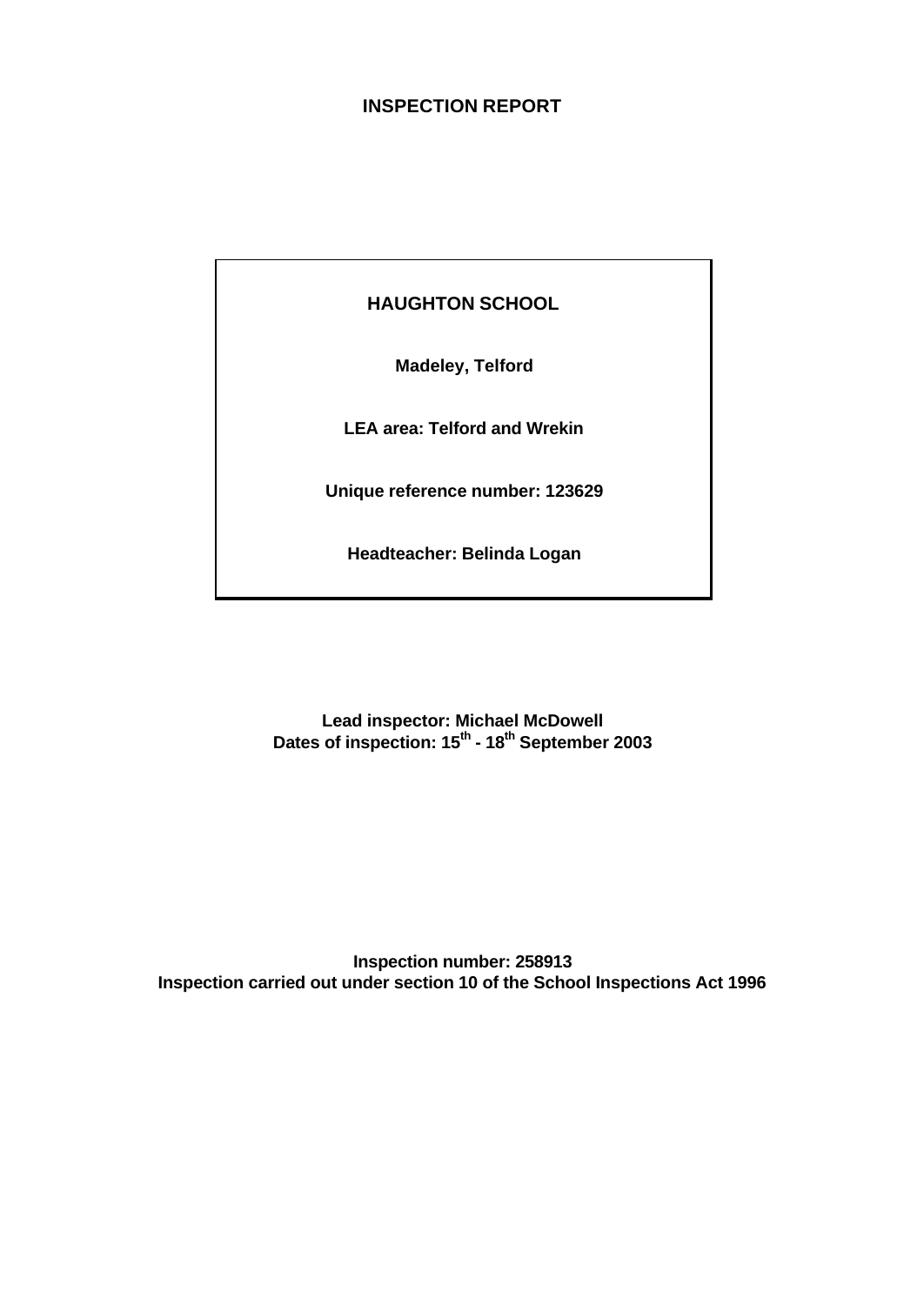### **INSPECTION REPORT**

**HAUGHTON SCHOOL**

**Madeley, Telford**

**LEA area: Telford and Wrekin**

**Unique reference number: 123629**

**Headteacher: Belinda Logan**

**Lead inspector: Michael McDowell Dates of inspection: 15th - 18th September 2003**

**Inspection number: 258913 Inspection carried out under section 10 of the School Inspections Act 1996**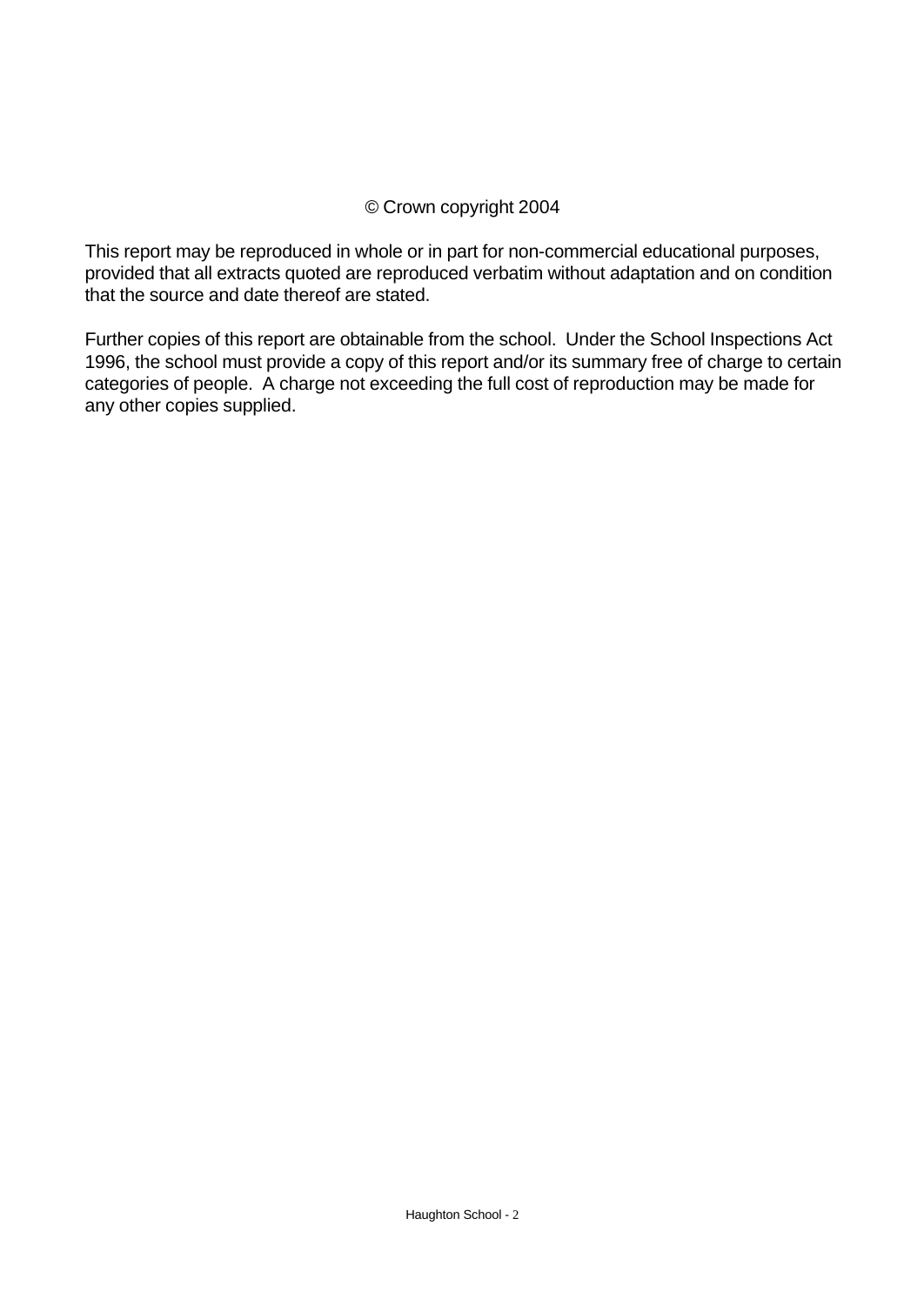## © Crown copyright 2004

This report may be reproduced in whole or in part for non-commercial educational purposes, provided that all extracts quoted are reproduced verbatim without adaptation and on condition that the source and date thereof are stated.

Further copies of this report are obtainable from the school. Under the School Inspections Act 1996, the school must provide a copy of this report and/or its summary free of charge to certain categories of people. A charge not exceeding the full cost of reproduction may be made for any other copies supplied.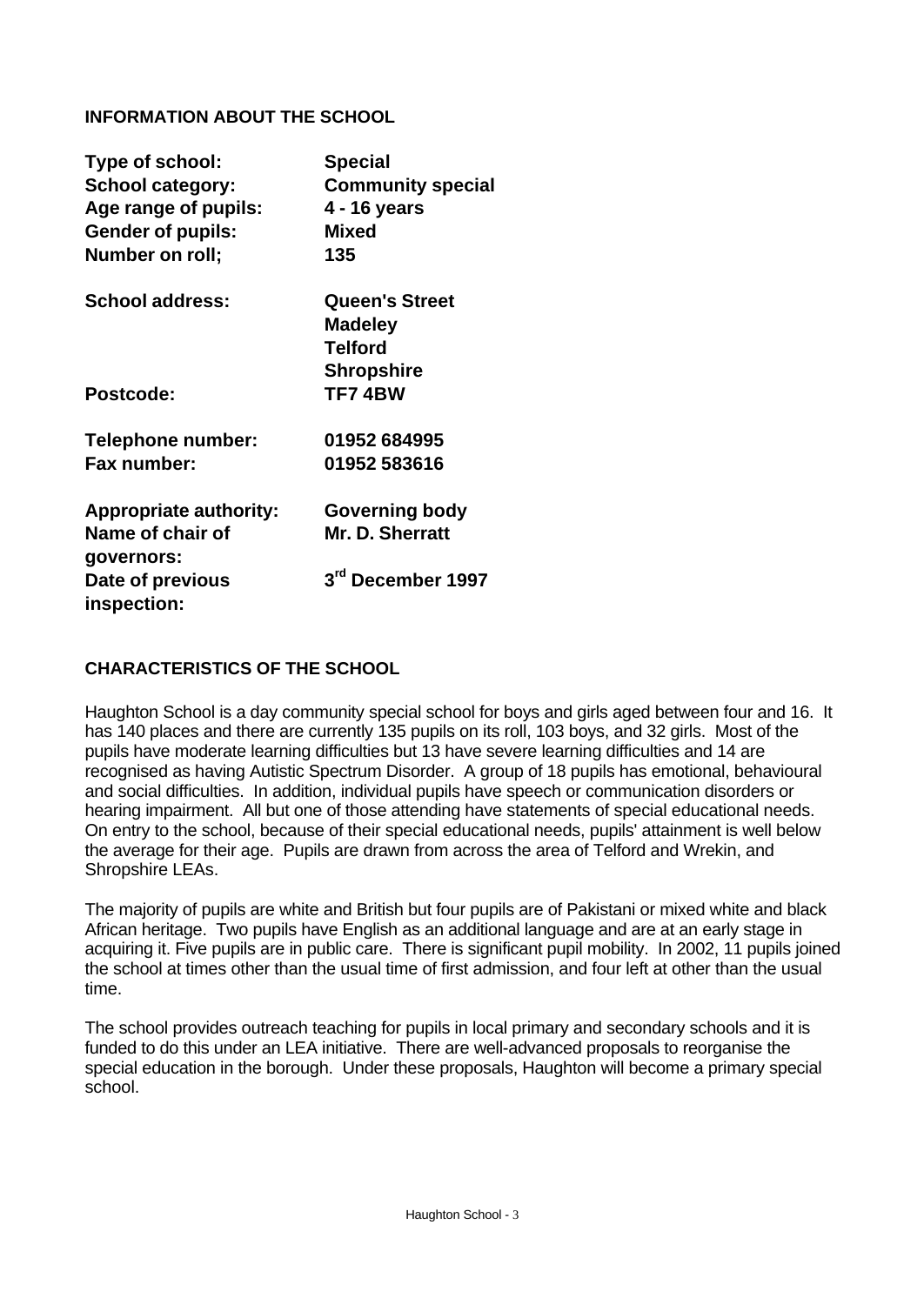### **INFORMATION ABOUT THE SCHOOL**

| Type of school:<br><b>School category:</b><br>Age range of pupils:<br><b>Gender of pupils:</b><br>Number on roll; | <b>Special</b><br><b>Community special</b><br>4 - 16 years<br><b>Mixed</b><br>135 |
|-------------------------------------------------------------------------------------------------------------------|-----------------------------------------------------------------------------------|
| <b>School address:</b>                                                                                            | <b>Queen's Street</b>                                                             |
|                                                                                                                   | <b>Madeley</b>                                                                    |
|                                                                                                                   | <b>Telford</b>                                                                    |
|                                                                                                                   | <b>Shropshire</b>                                                                 |
| Postcode:                                                                                                         | <b>TF74BW</b>                                                                     |
| Telephone number:                                                                                                 | 01952 684995                                                                      |
| Fax number:                                                                                                       | 01952 583616                                                                      |
| <b>Appropriate authority:</b>                                                                                     | Governing body                                                                    |
| Name of chair of                                                                                                  | Mr. D. Sherratt                                                                   |
| governors:                                                                                                        |                                                                                   |
| Date of previous                                                                                                  | 3 <sup>rd</sup> December 1997                                                     |
|                                                                                                                   |                                                                                   |
| inspection:                                                                                                       |                                                                                   |

#### **CHARACTERISTICS OF THE SCHOOL**

Haughton School is a day community special school for boys and girls aged between four and 16. It has 140 places and there are currently 135 pupils on its roll, 103 boys, and 32 girls. Most of the pupils have moderate learning difficulties but 13 have severe learning difficulties and 14 are recognised as having Autistic Spectrum Disorder. A group of 18 pupils has emotional, behavioural and social difficulties. In addition, individual pupils have speech or communication disorders or hearing impairment. All but one of those attending have statements of special educational needs. On entry to the school, because of their special educational needs, pupils' attainment is well below the average for their age. Pupils are drawn from across the area of Telford and Wrekin, and Shropshire LEAs.

The majority of pupils are white and British but four pupils are of Pakistani or mixed white and black African heritage. Two pupils have English as an additional language and are at an early stage in acquiring it. Five pupils are in public care. There is significant pupil mobility. In 2002, 11 pupils joined the school at times other than the usual time of first admission, and four left at other than the usual time.

The school provides outreach teaching for pupils in local primary and secondary schools and it is funded to do this under an LEA initiative. There are well-advanced proposals to reorganise the special education in the borough. Under these proposals, Haughton will become a primary special school.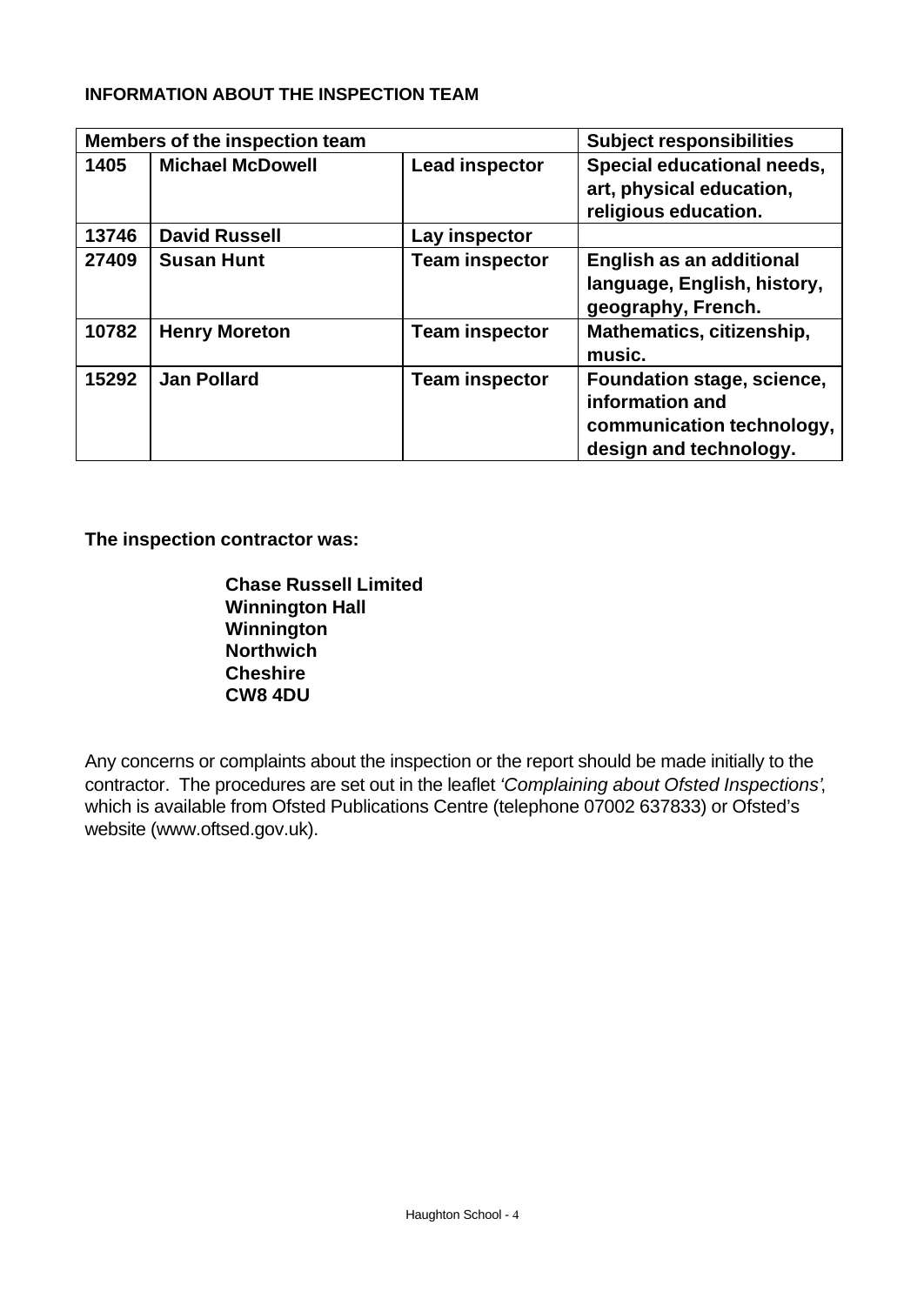### **INFORMATION ABOUT THE INSPECTION TEAM**

|       | Members of the inspection team |                       | <b>Subject responsibilities</b>                                                                      |
|-------|--------------------------------|-----------------------|------------------------------------------------------------------------------------------------------|
| 1405  | <b>Michael McDowell</b>        | <b>Lead inspector</b> | Special educational needs,<br>art, physical education,<br>religious education.                       |
| 13746 | <b>David Russell</b>           | Lay inspector         |                                                                                                      |
| 27409 | <b>Susan Hunt</b>              | <b>Team inspector</b> | English as an additional<br>language, English, history,<br>geography, French.                        |
| 10782 | <b>Henry Moreton</b>           | <b>Team inspector</b> | Mathematics, citizenship,<br>music.                                                                  |
| 15292 | <b>Jan Pollard</b>             | <b>Team inspector</b> | Foundation stage, science,<br>information and<br>communication technology,<br>design and technology. |

**The inspection contractor was:**

**Chase Russell Limited Winnington Hall Winnington Northwich Cheshire CW8 4DU**

Any concerns or complaints about the inspection or the report should be made initially to the contractor. The procedures are set out in the leaflet *'Complaining about Ofsted Inspections'*, which is available from Ofsted Publications Centre (telephone 07002 637833) or Ofsted's website (www.oftsed.gov.uk).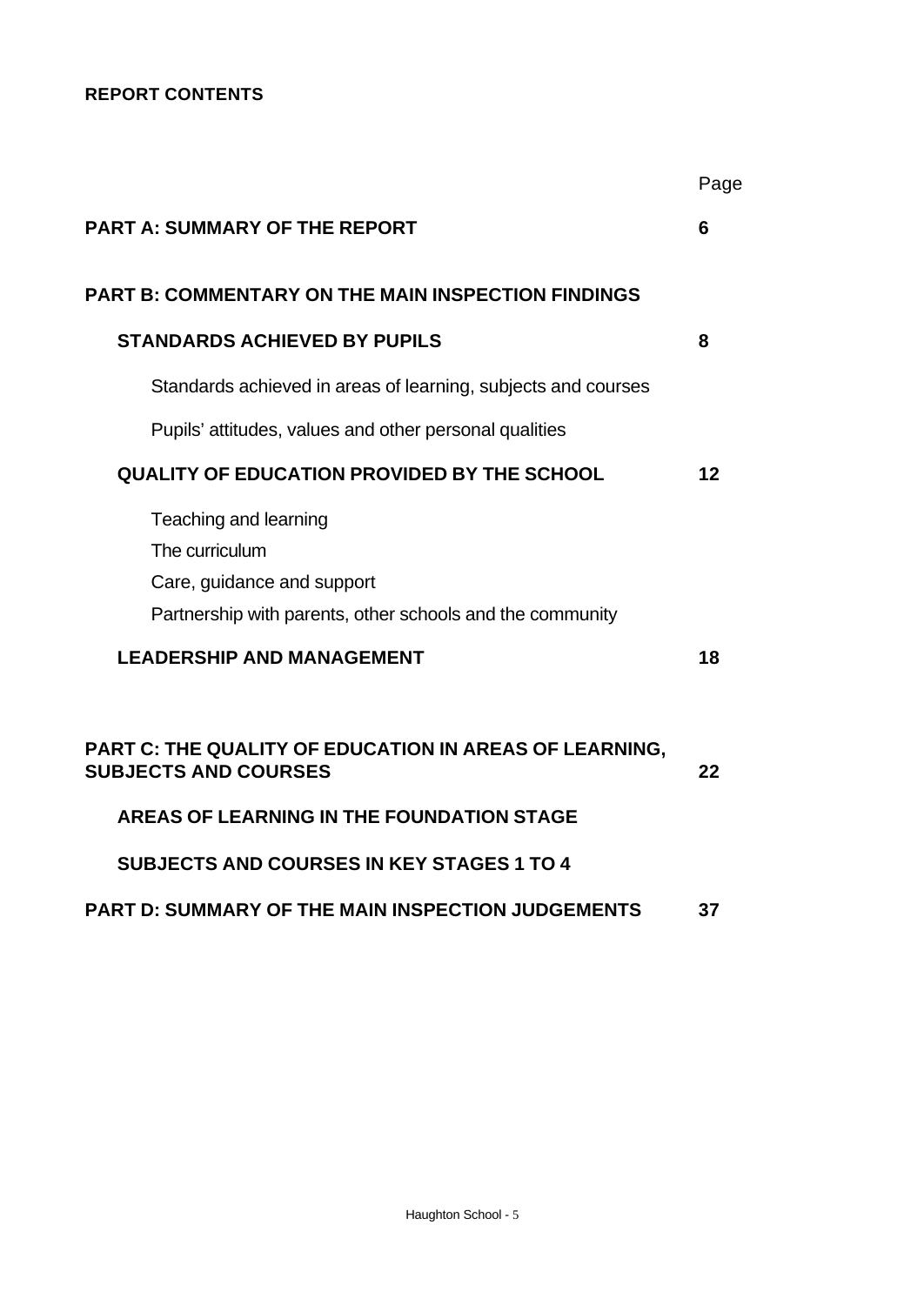# **REPORT CONTENTS**

|                                                                                                                                    | Page |
|------------------------------------------------------------------------------------------------------------------------------------|------|
| <b>PART A: SUMMARY OF THE REPORT</b>                                                                                               | 6    |
| <b>PART B: COMMENTARY ON THE MAIN INSPECTION FINDINGS</b>                                                                          |      |
| <b>STANDARDS ACHIEVED BY PUPILS</b>                                                                                                | 8    |
| Standards achieved in areas of learning, subjects and courses                                                                      |      |
| Pupils' attitudes, values and other personal qualities                                                                             |      |
| <b>QUALITY OF EDUCATION PROVIDED BY THE SCHOOL</b>                                                                                 | 12   |
| Teaching and learning<br>The curriculum<br>Care, guidance and support<br>Partnership with parents, other schools and the community |      |
| <b>LEADERSHIP AND MANAGEMENT</b>                                                                                                   | 18   |
| <b>PART C: THE QUALITY OF EDUCATION IN AREAS OF LEARNING,</b><br><b>SUBJECTS AND COURSES</b>                                       | 22   |
| <b>AREAS OF LEARNING IN THE FOUNDATION STAGE</b>                                                                                   |      |
| <b>SUBJECTS AND COURSES IN KEY STAGES 1 TO 4</b>                                                                                   |      |
| <b>PART D: SUMMARY OF THE MAIN INSPECTION JUDGEMENTS</b>                                                                           | 37   |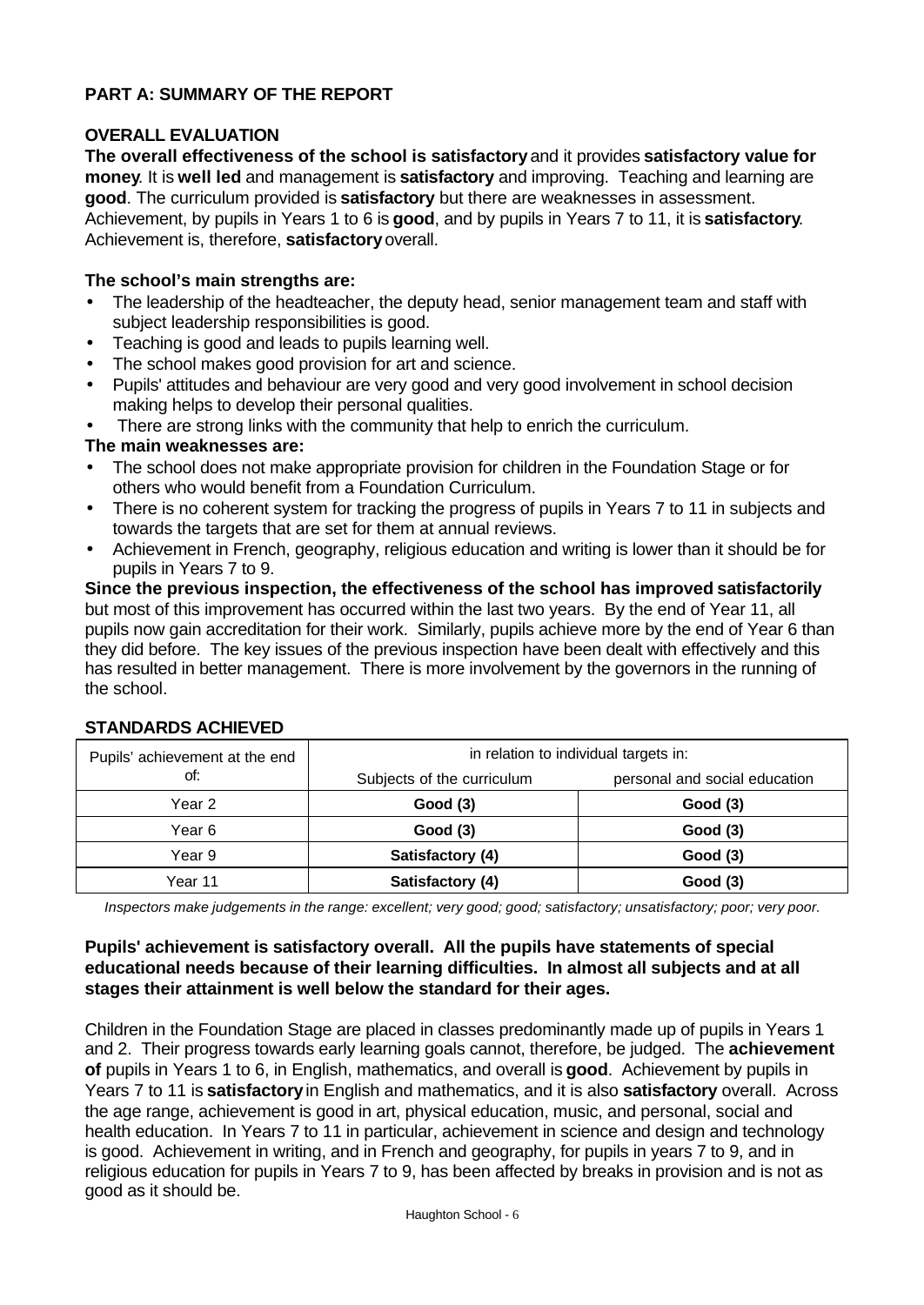### **PART A: SUMMARY OF THE REPORT**

### **OVERALL EVALUATION**

**The overall effectiveness of the school is satisfactory** and it provides **satisfactory value for money**. It is **well led** and management is **satisfactory** and improving. Teaching and learning are **good**. The curriculum provided is **satisfactory** but there are weaknesses in assessment. Achievement, by pupils in Years 1 to 6 is **good**, and by pupils in Years 7 to 11, it is **satisfactory**. Achievement is, therefore, **satisfactory** overall.

#### **The school's main strengths are:**

- The leadership of the headteacher, the deputy head, senior management team and staff with subject leadership responsibilities is good.
- Teaching is good and leads to pupils learning well.
- The school makes good provision for art and science.
- Pupils' attitudes and behaviour are very good and very good involvement in school decision making helps to develop their personal qualities.

There are strong links with the community that help to enrich the curriculum.

### **The main weaknesses are:**

- The school does not make appropriate provision for children in the Foundation Stage or for others who would benefit from a Foundation Curriculum.
- There is no coherent system for tracking the progress of pupils in Years 7 to 11 in subjects and towards the targets that are set for them at annual reviews.
- Achievement in French, geography, religious education and writing is lower than it should be for pupils in Years 7 to 9.

**Since the previous inspection, the effectiveness of the school has improved satisfactorily** but most of this improvement has occurred within the last two years. By the end of Year 11, all pupils now gain accreditation for their work. Similarly, pupils achieve more by the end of Year 6 than they did before. The key issues of the previous inspection have been dealt with effectively and this has resulted in better management. There is more involvement by the governors in the running of the school.

| Pupils' achievement at the end | in relation to individual targets in: |                               |  |  |  |
|--------------------------------|---------------------------------------|-------------------------------|--|--|--|
| of:                            | Subjects of the curriculum            | personal and social education |  |  |  |
| Year 2                         | Good(3)                               | Good(3)                       |  |  |  |
| Year 6                         | Good(3)                               | Good(3)                       |  |  |  |
| Year 9                         | Satisfactory (4)                      | Good (3)                      |  |  |  |
| Year 11                        | Satisfactory (4)                      | Good (3)                      |  |  |  |

#### **STANDARDS ACHIEVED**

*Inspectors make judgements in the range: excellent; very good; good; satisfactory; unsatisfactory; poor; very poor.*

#### **Pupils' achievement is satisfactory overall. All the pupils have statements of special educational needs because of their learning difficulties. In almost all subjects and at all stages their attainment is well below the standard for their ages.**

Children in the Foundation Stage are placed in classes predominantly made up of pupils in Years 1 and 2. Their progress towards early learning goals cannot, therefore, be judged. The **achievement of** pupils in Years 1 to 6, in English, mathematics, and overall is **good**. Achievement by pupils in Years 7 to 11 is **satisfactory** in English and mathematics, and it is also **satisfactory** overall. Across the age range, achievement is good in art, physical education, music, and personal, social and health education. In Years 7 to 11 in particular, achievement in science and design and technology is good. Achievement in writing, and in French and geography, for pupils in years 7 to 9, and in religious education for pupils in Years 7 to 9, has been affected by breaks in provision and is not as good as it should be.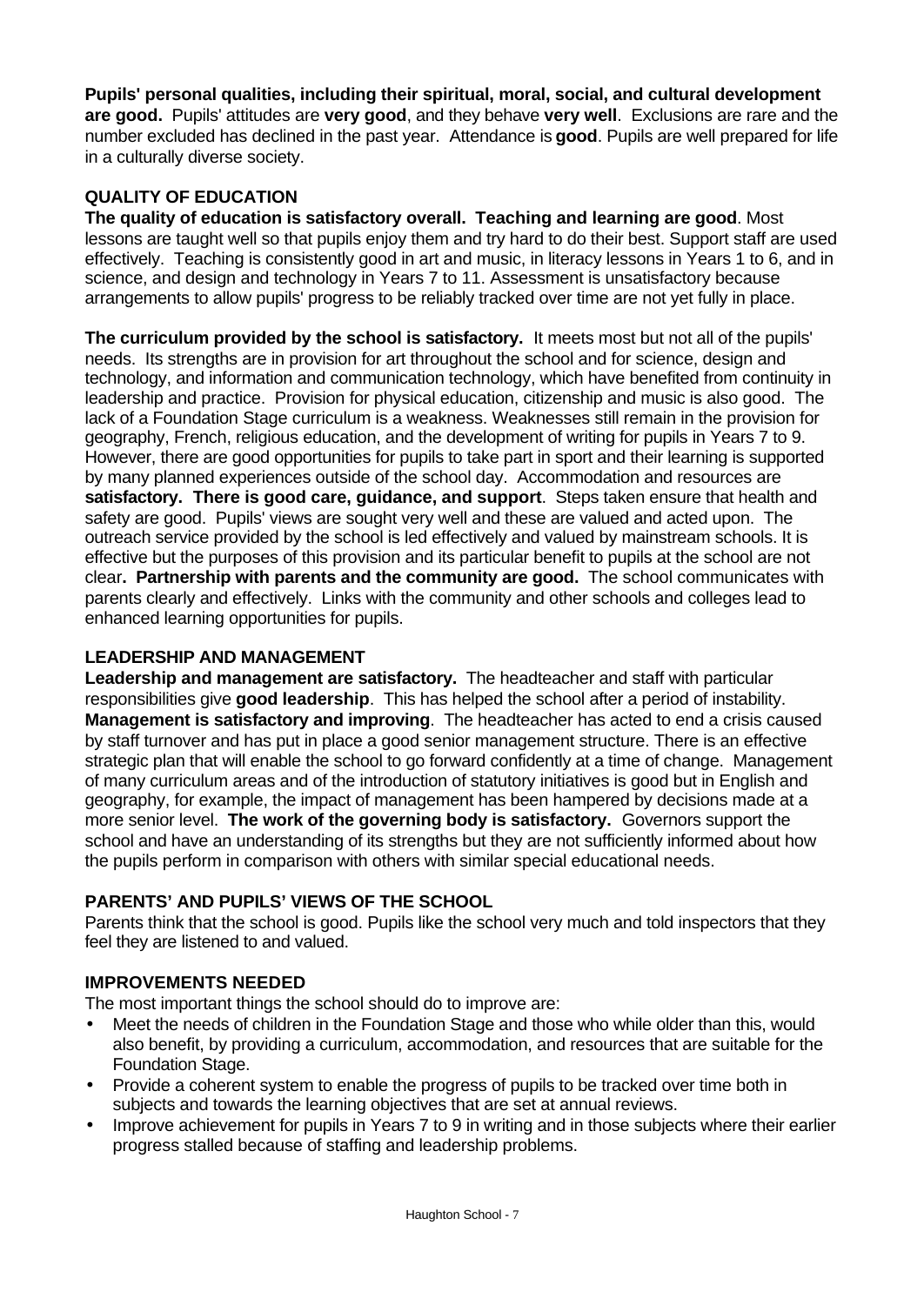**Pupils' personal qualities, including their spiritual, moral, social, and cultural development are good.** Pupils' attitudes are **very good**, and they behave **very well**. Exclusions are rare and the number excluded has declined in the past year. Attendance is **good**. Pupils are well prepared for life in a culturally diverse society.

### **QUALITY OF EDUCATION**

**The quality of education is satisfactory overall. Teaching and learning are good**. Most lessons are taught well so that pupils enjoy them and try hard to do their best. Support staff are used effectively. Teaching is consistently good in art and music, in literacy lessons in Years 1 to 6, and in science, and design and technology in Years 7 to 11. Assessment is unsatisfactory because arrangements to allow pupils' progress to be reliably tracked over time are not yet fully in place.

**The curriculum provided by the school is satisfactory.** It meets most but not all of the pupils' needs. Its strengths are in provision for art throughout the school and for science, design and technology, and information and communication technology, which have benefited from continuity in leadership and practice. Provision for physical education, citizenship and music is also good. The lack of a Foundation Stage curriculum is a weakness. Weaknesses still remain in the provision for geography, French, religious education, and the development of writing for pupils in Years 7 to 9. However, there are good opportunities for pupils to take part in sport and their learning is supported by many planned experiences outside of the school day. Accommodation and resources are **satisfactory. There is good care, guidance, and support**. Steps taken ensure that health and safety are good. Pupils' views are sought very well and these are valued and acted upon. The outreach service provided by the school is led effectively and valued by mainstream schools. It is effective but the purposes of this provision and its particular benefit to pupils at the school are not clear**. Partnership with parents and the community are good.** The school communicates with parents clearly and effectively. Links with the community and other schools and colleges lead to enhanced learning opportunities for pupils.

### **LEADERSHIP AND MANAGEMENT**

**Leadership and management are satisfactory.** The headteacher and staff with particular responsibilities give **good leadership**. This has helped the school after a period of instability. **Management is satisfactory and improving**. The headteacher has acted to end a crisis caused by staff turnover and has put in place a good senior management structure. There is an effective strategic plan that will enable the school to go forward confidently at a time of change. Management of many curriculum areas and of the introduction of statutory initiatives is good but in English and geography, for example, the impact of management has been hampered by decisions made at a more senior level. **The work of the governing body is satisfactory.** Governors support the school and have an understanding of its strengths but they are not sufficiently informed about how the pupils perform in comparison with others with similar special educational needs.

### **PARENTS' AND PUPILS' VIEWS OF THE SCHOOL**

Parents think that the school is good. Pupils like the school very much and told inspectors that they feel they are listened to and valued.

### **IMPROVEMENTS NEEDED**

The most important things the school should do to improve are:

- Meet the needs of children in the Foundation Stage and those who while older than this, would also benefit, by providing a curriculum, accommodation, and resources that are suitable for the Foundation Stage.
- Provide a coherent system to enable the progress of pupils to be tracked over time both in subjects and towards the learning objectives that are set at annual reviews.
- Improve achievement for pupils in Years 7 to 9 in writing and in those subjects where their earlier progress stalled because of staffing and leadership problems.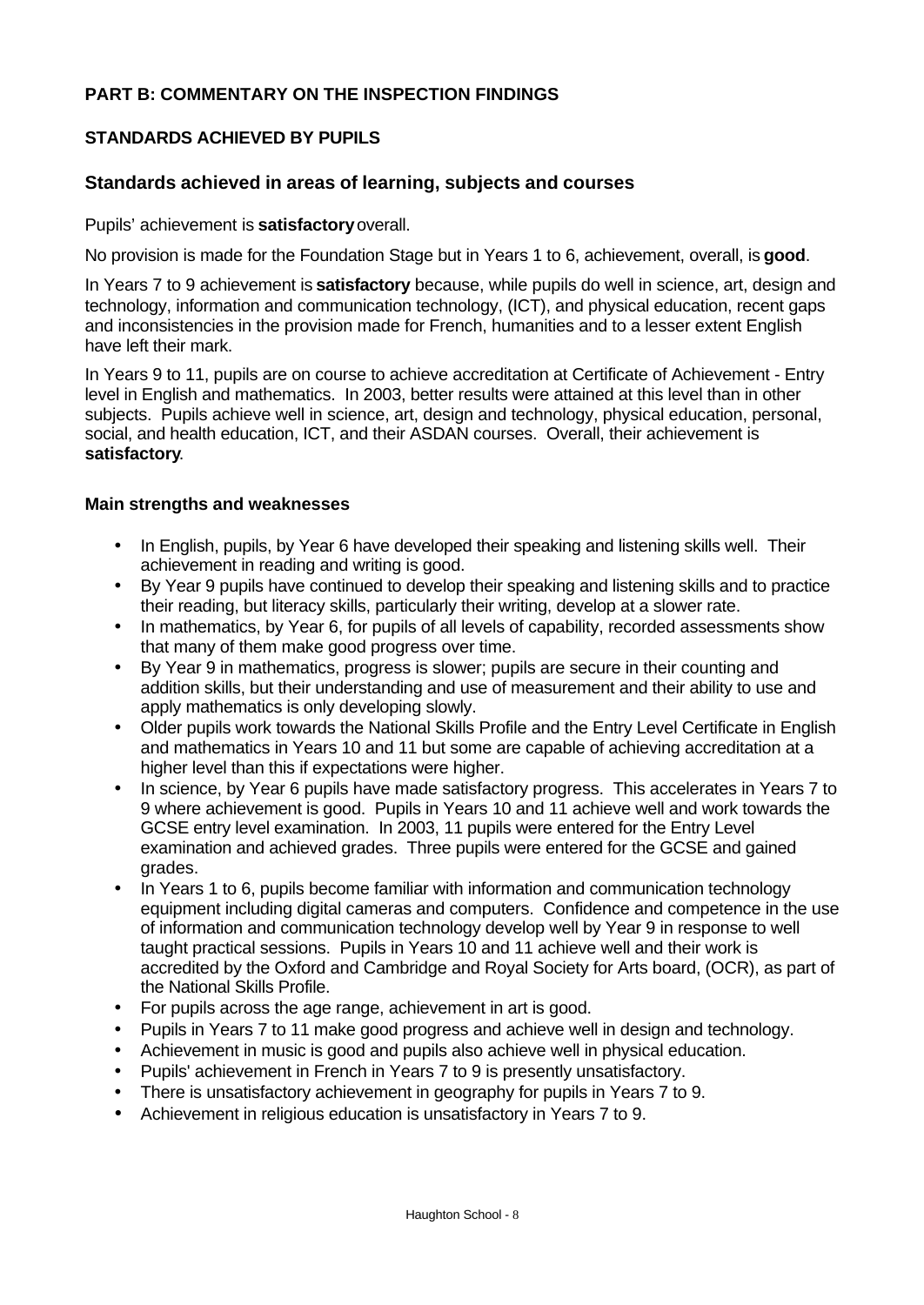### **PART B: COMMENTARY ON THE INSPECTION FINDINGS**

### **STANDARDS ACHIEVED BY PUPILS**

#### **Standards achieved in areas of learning, subjects and courses**

Pupils' achievement is **satisfactory** overall.

No provision is made for the Foundation Stage but in Years 1 to 6, achievement, overall, is **good**.

In Years 7 to 9 achievement is **satisfactory** because, while pupils do well in science, art, design and technology, information and communication technology, (ICT), and physical education, recent gaps and inconsistencies in the provision made for French, humanities and to a lesser extent English have left their mark.

In Years 9 to 11, pupils are on course to achieve accreditation at Certificate of Achievement - Entry level in English and mathematics. In 2003, better results were attained at this level than in other subjects. Pupils achieve well in science, art, design and technology, physical education, personal, social, and health education, ICT, and their ASDAN courses. Overall, their achievement is **satisfactory**.

#### **Main strengths and weaknesses**

- In English, pupils, by Year 6 have developed their speaking and listening skills well. Their achievement in reading and writing is good.
- By Year 9 pupils have continued to develop their speaking and listening skills and to practice their reading, but literacy skills, particularly their writing, develop at a slower rate.
- In mathematics, by Year 6, for pupils of all levels of capability, recorded assessments show that many of them make good progress over time.
- By Year 9 in mathematics, progress is slower; pupils are secure in their counting and addition skills, but their understanding and use of measurement and their ability to use and apply mathematics is only developing slowly.
- Older pupils work towards the National Skills Profile and the Entry Level Certificate in English and mathematics in Years 10 and 11 but some are capable of achieving accreditation at a higher level than this if expectations were higher.
- In science, by Year 6 pupils have made satisfactory progress. This accelerates in Years 7 to 9 where achievement is good. Pupils in Years 10 and 11 achieve well and work towards the GCSE entry level examination. In 2003, 11 pupils were entered for the Entry Level examination and achieved grades. Three pupils were entered for the GCSE and gained grades.
- In Years 1 to 6, pupils become familiar with information and communication technology equipment including digital cameras and computers. Confidence and competence in the use of information and communication technology develop well by Year 9 in response to well taught practical sessions. Pupils in Years 10 and 11 achieve well and their work is accredited by the Oxford and Cambridge and Royal Society for Arts board, (OCR), as part of the National Skills Profile.
- For pupils across the age range, achievement in art is good.
- Pupils in Years 7 to 11 make good progress and achieve well in design and technology.
- Achievement in music is good and pupils also achieve well in physical education.
- Pupils' achievement in French in Years 7 to 9 is presently unsatisfactory.
- There is unsatisfactory achievement in geography for pupils in Years 7 to 9.
- Achievement in religious education is unsatisfactory in Years 7 to 9.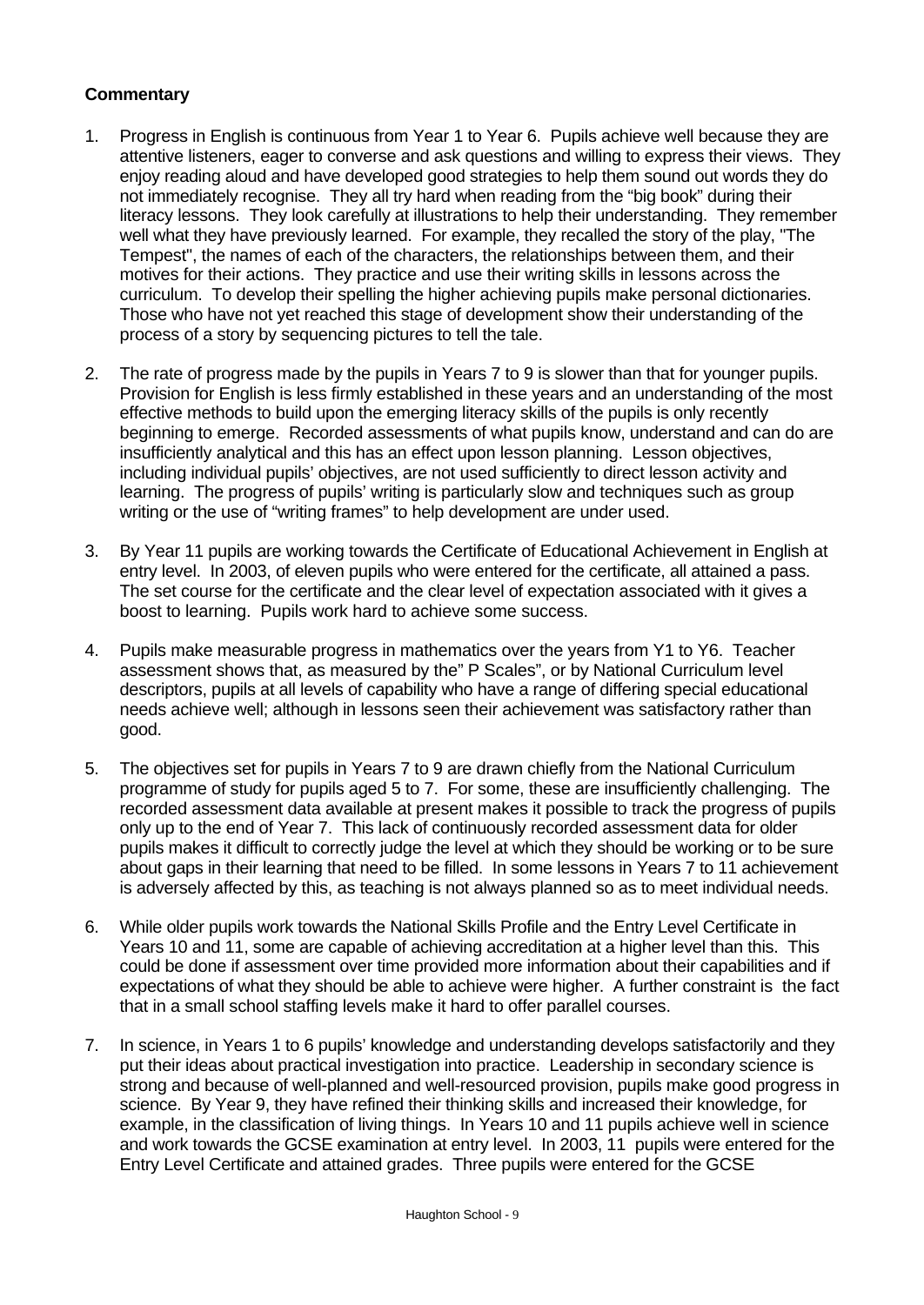- 1. Progress in English is continuous from Year 1 to Year 6. Pupils achieve well because they are attentive listeners, eager to converse and ask questions and willing to express their views. They enjoy reading aloud and have developed good strategies to help them sound out words they do not immediately recognise. They all try hard when reading from the "big book" during their literacy lessons. They look carefully at illustrations to help their understanding. They remember well what they have previously learned. For example, they recalled the story of the play, "The Tempest", the names of each of the characters, the relationships between them, and their motives for their actions. They practice and use their writing skills in lessons across the curriculum. To develop their spelling the higher achieving pupils make personal dictionaries. Those who have not yet reached this stage of development show their understanding of the process of a story by sequencing pictures to tell the tale.
- 2. The rate of progress made by the pupils in Years 7 to 9 is slower than that for younger pupils. Provision for English is less firmly established in these years and an understanding of the most effective methods to build upon the emerging literacy skills of the pupils is only recently beginning to emerge. Recorded assessments of what pupils know, understand and can do are insufficiently analytical and this has an effect upon lesson planning. Lesson objectives, including individual pupils' objectives, are not used sufficiently to direct lesson activity and learning. The progress of pupils' writing is particularly slow and techniques such as group writing or the use of "writing frames" to help development are under used.
- 3. By Year 11 pupils are working towards the Certificate of Educational Achievement in English at entry level. In 2003, of eleven pupils who were entered for the certificate, all attained a pass. The set course for the certificate and the clear level of expectation associated with it gives a boost to learning. Pupils work hard to achieve some success.
- 4. Pupils make measurable progress in mathematics over the years from Y1 to Y6. Teacher assessment shows that, as measured by the" P Scales", or by National Curriculum level descriptors, pupils at all levels of capability who have a range of differing special educational needs achieve well; although in lessons seen their achievement was satisfactory rather than good.
- 5. The objectives set for pupils in Years 7 to 9 are drawn chiefly from the National Curriculum programme of study for pupils aged 5 to 7. For some, these are insufficiently challenging. The recorded assessment data available at present makes it possible to track the progress of pupils only up to the end of Year 7. This lack of continuously recorded assessment data for older pupils makes it difficult to correctly judge the level at which they should be working or to be sure about gaps in their learning that need to be filled. In some lessons in Years 7 to 11 achievement is adversely affected by this, as teaching is not always planned so as to meet individual needs.
- 6. While older pupils work towards the National Skills Profile and the Entry Level Certificate in Years 10 and 11, some are capable of achieving accreditation at a higher level than this. This could be done if assessment over time provided more information about their capabilities and if expectations of what they should be able to achieve were higher. A further constraint is the fact that in a small school staffing levels make it hard to offer parallel courses.
- 7. In science, in Years 1 to 6 pupils' knowledge and understanding develops satisfactorily and they put their ideas about practical investigation into practice. Leadership in secondary science is strong and because of well-planned and well-resourced provision, pupils make good progress in science. By Year 9, they have refined their thinking skills and increased their knowledge, for example, in the classification of living things. In Years 10 and 11 pupils achieve well in science and work towards the GCSE examination at entry level. In 2003, 11 pupils were entered for the Entry Level Certificate and attained grades. Three pupils were entered for the GCSE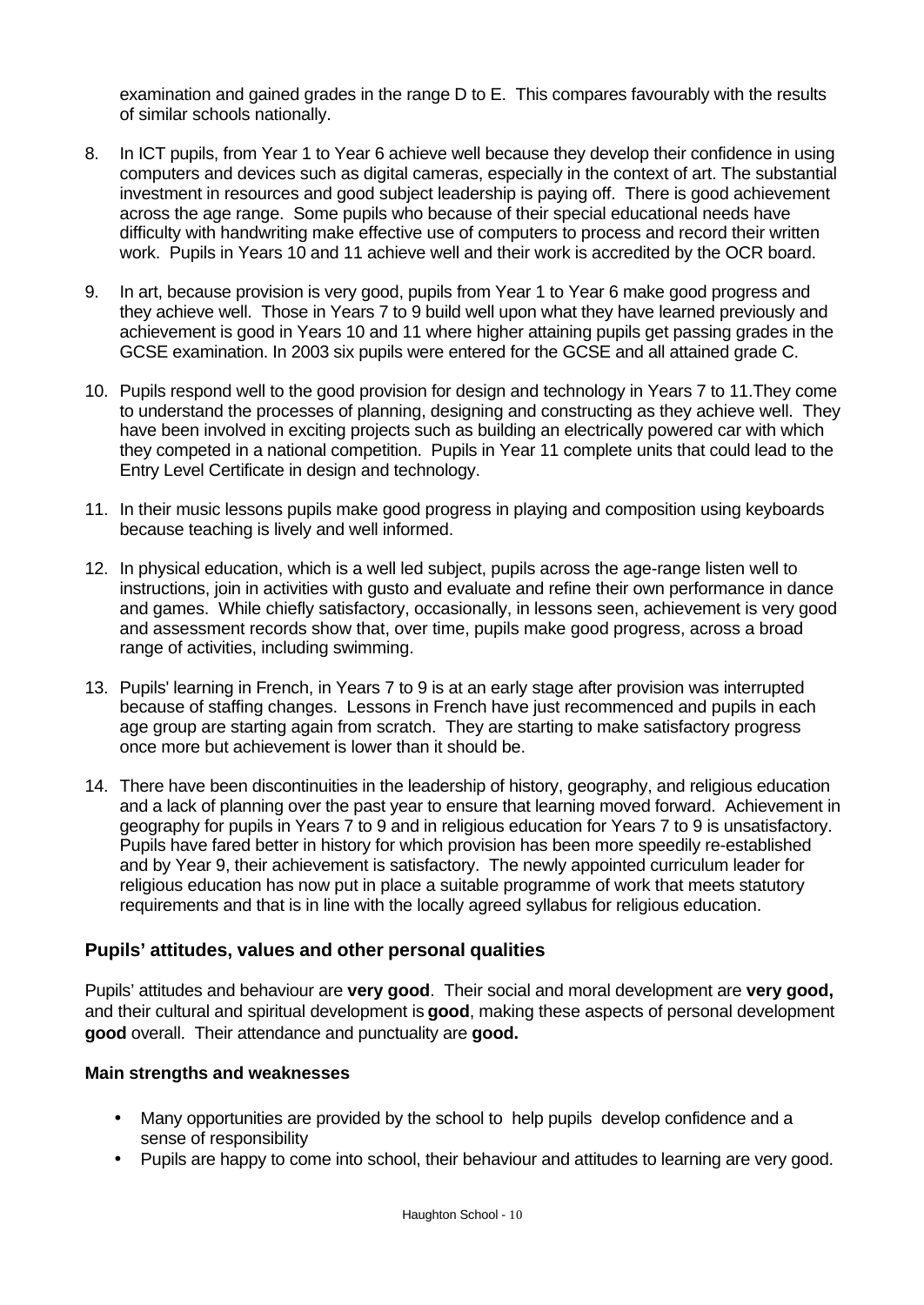examination and gained grades in the range D to E. This compares favourably with the results of similar schools nationally.

- 8. In ICT pupils, from Year 1 to Year 6 achieve well because they develop their confidence in using computers and devices such as digital cameras, especially in the context of art. The substantial investment in resources and good subject leadership is paying off. There is good achievement across the age range. Some pupils who because of their special educational needs have difficulty with handwriting make effective use of computers to process and record their written work. Pupils in Years 10 and 11 achieve well and their work is accredited by the OCR board.
- 9. In art, because provision is very good, pupils from Year 1 to Year 6 make good progress and they achieve well. Those in Years 7 to 9 build well upon what they have learned previously and achievement is good in Years 10 and 11 where higher attaining pupils get passing grades in the GCSE examination. In 2003 six pupils were entered for the GCSE and all attained grade C.
- 10. Pupils respond well to the good provision for design and technology in Years 7 to 11.They come to understand the processes of planning, designing and constructing as they achieve well. They have been involved in exciting projects such as building an electrically powered car with which they competed in a national competition. Pupils in Year 11 complete units that could lead to the Entry Level Certificate in design and technology.
- 11. In their music lessons pupils make good progress in playing and composition using keyboards because teaching is lively and well informed.
- 12. In physical education, which is a well led subject, pupils across the age-range listen well to instructions, join in activities with gusto and evaluate and refine their own performance in dance and games. While chiefly satisfactory, occasionally, in lessons seen, achievement is very good and assessment records show that, over time, pupils make good progress, across a broad range of activities, including swimming.
- 13. Pupils' learning in French, in Years 7 to 9 is at an early stage after provision was interrupted because of staffing changes. Lessons in French have just recommenced and pupils in each age group are starting again from scratch. They are starting to make satisfactory progress once more but achievement is lower than it should be.
- 14. There have been discontinuities in the leadership of history, geography, and religious education and a lack of planning over the past year to ensure that learning moved forward. Achievement in geography for pupils in Years 7 to 9 and in religious education for Years 7 to 9 is unsatisfactory. Pupils have fared better in history for which provision has been more speedily re-established and by Year 9, their achievement is satisfactory. The newly appointed curriculum leader for religious education has now put in place a suitable programme of work that meets statutory requirements and that is in line with the locally agreed syllabus for religious education.

### **Pupils' attitudes, values and other personal qualities**

Pupils' attitudes and behaviour are **very good**. Their social and moral development are **very good,** and their cultural and spiritual development is **good**, making these aspects of personal development **good** overall. Their attendance and punctuality are **good.**

#### **Main strengths and weaknesses**

- Many opportunities are provided by the school to help pupils develop confidence and a sense of responsibility
- Pupils are happy to come into school, their behaviour and attitudes to learning are very good.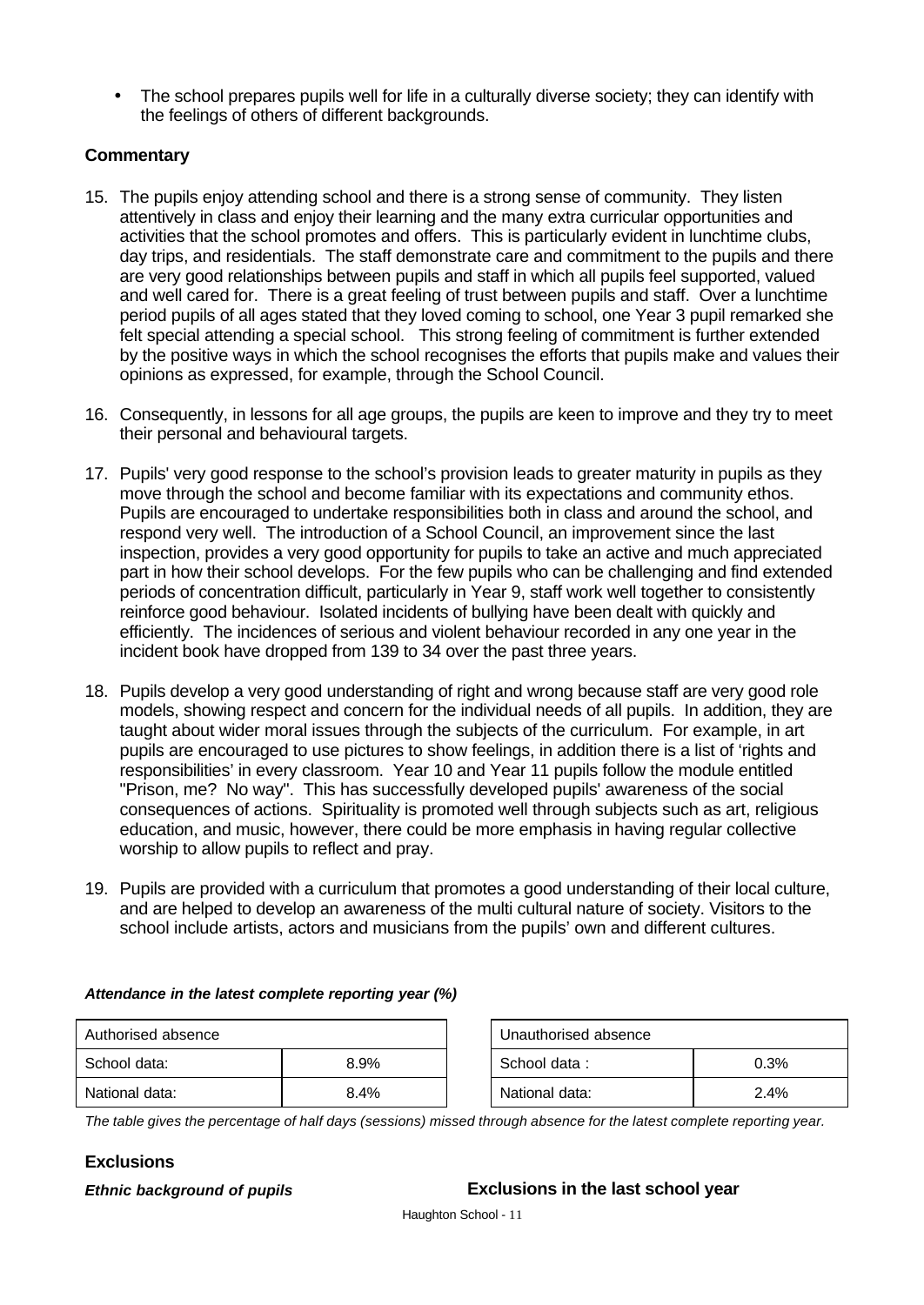• The school prepares pupils well for life in a culturally diverse society; they can identify with the feelings of others of different backgrounds.

### **Commentary**

- 15. The pupils enjoy attending school and there is a strong sense of community. They listen attentively in class and enjoy their learning and the many extra curricular opportunities and activities that the school promotes and offers. This is particularly evident in lunchtime clubs, day trips, and residentials. The staff demonstrate care and commitment to the pupils and there are very good relationships between pupils and staff in which all pupils feel supported, valued and well cared for. There is a great feeling of trust between pupils and staff. Over a lunchtime period pupils of all ages stated that they loved coming to school, one Year 3 pupil remarked she felt special attending a special school. This strong feeling of commitment is further extended by the positive ways in which the school recognises the efforts that pupils make and values their opinions as expressed, for example, through the School Council.
- 16. Consequently, in lessons for all age groups, the pupils are keen to improve and they try to meet their personal and behavioural targets.
- 17. Pupils' very good response to the school's provision leads to greater maturity in pupils as they move through the school and become familiar with its expectations and community ethos. Pupils are encouraged to undertake responsibilities both in class and around the school, and respond very well. The introduction of a School Council, an improvement since the last inspection, provides a very good opportunity for pupils to take an active and much appreciated part in how their school develops. For the few pupils who can be challenging and find extended periods of concentration difficult, particularly in Year 9, staff work well together to consistently reinforce good behaviour. Isolated incidents of bullying have been dealt with quickly and efficiently. The incidences of serious and violent behaviour recorded in any one year in the incident book have dropped from 139 to 34 over the past three years.
- 18. Pupils develop a very good understanding of right and wrong because staff are very good role models, showing respect and concern for the individual needs of all pupils. In addition, they are taught about wider moral issues through the subjects of the curriculum. For example, in art pupils are encouraged to use pictures to show feelings, in addition there is a list of 'rights and responsibilities' in every classroom. Year 10 and Year 11 pupils follow the module entitled "Prison, me? No way". This has successfully developed pupils' awareness of the social consequences of actions. Spirituality is promoted well through subjects such as art, religious education, and music, however, there could be more emphasis in having regular collective worship to allow pupils to reflect and pray.
- 19. Pupils are provided with a curriculum that promotes a good understanding of their local culture, and are helped to develop an awareness of the multi cultural nature of society. Visitors to the school include artists, actors and musicians from the pupils' own and different cultures.

#### *Attendance in the latest complete reporting year (%)*

| Authorised absence   |      | Unauthorised absence |      |
|----------------------|------|----------------------|------|
| School data:<br>8.9% |      | School data:         | 0.3% |
| National data:       | 8.4% | National data:       | 2.4% |

| Unauthorised absence |         |  |  |  |
|----------------------|---------|--|--|--|
| School data:         | 0.3%    |  |  |  |
| National data:       | $2.4\%$ |  |  |  |

*The table gives the percentage of half days (sessions) missed through absence for the latest complete reporting year.*

# **Exclusions**

# *Ethnic background of pupils* **Exclusions in the last school year**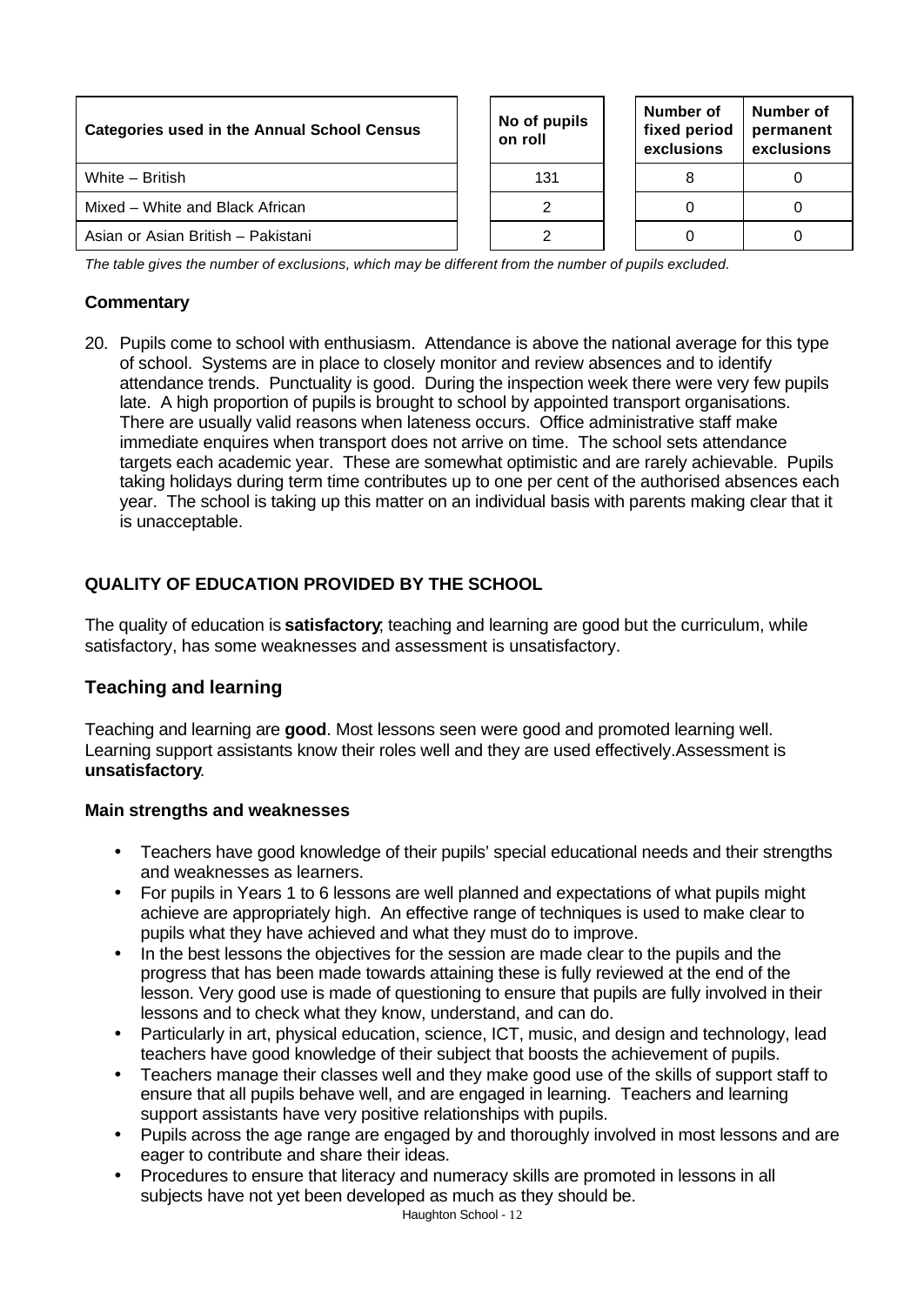| <b>Categories used in the Annual School Census</b> |  | No of pupils<br>on roll |  | Number of<br>fixed period<br>exclusions | Number of<br>permanent<br>exclusions |
|----------------------------------------------------|--|-------------------------|--|-----------------------------------------|--------------------------------------|
| White - British                                    |  | 131                     |  |                                         |                                      |
| Mixed – White and Black African                    |  |                         |  |                                         |                                      |
| Asian or Asian British - Pakistani                 |  |                         |  |                                         |                                      |

*The table gives the number of exclusions, which may be different from the number of pupils excluded.*

### **Commentary**

20. Pupils come to school with enthusiasm. Attendance is above the national average for this type of school. Systems are in place to closely monitor and review absences and to identify attendance trends. Punctuality is good. During the inspection week there were very few pupils late. A high proportion of pupils is brought to school by appointed transport organisations. There are usually valid reasons when lateness occurs. Office administrative staff make immediate enquires when transport does not arrive on time. The school sets attendance targets each academic year. These are somewhat optimistic and are rarely achievable. Pupils taking holidays during term time contributes up to one per cent of the authorised absences each year. The school is taking up this matter on an individual basis with parents making clear that it is unacceptable.

### **QUALITY OF EDUCATION PROVIDED BY THE SCHOOL**

The quality of education is **satisfactory**; teaching and learning are good but the curriculum, while satisfactory, has some weaknesses and assessment is unsatisfactory.

### **Teaching and learning**

Teaching and learning are **good**. Most lessons seen were good and promoted learning well. Learning support assistants know their roles well and they are used effectively.Assessment is **unsatisfactory**.

#### **Main strengths and weaknesses**

- Teachers have good knowledge of their pupils' special educational needs and their strengths and weaknesses as learners.
- For pupils in Years 1 to 6 lessons are well planned and expectations of what pupils might achieve are appropriately high. An effective range of techniques is used to make clear to pupils what they have achieved and what they must do to improve.
- In the best lessons the objectives for the session are made clear to the pupils and the progress that has been made towards attaining these is fully reviewed at the end of the lesson. Very good use is made of questioning to ensure that pupils are fully involved in their lessons and to check what they know, understand, and can do.
- Particularly in art, physical education, science, ICT, music, and design and technology, lead teachers have good knowledge of their subject that boosts the achievement of pupils.
- Teachers manage their classes well and they make good use of the skills of support staff to ensure that all pupils behave well, and are engaged in learning. Teachers and learning support assistants have very positive relationships with pupils.
- Pupils across the age range are engaged by and thoroughly involved in most lessons and are eager to contribute and share their ideas.
- Procedures to ensure that literacy and numeracy skills are promoted in lessons in all subjects have not yet been developed as much as they should be.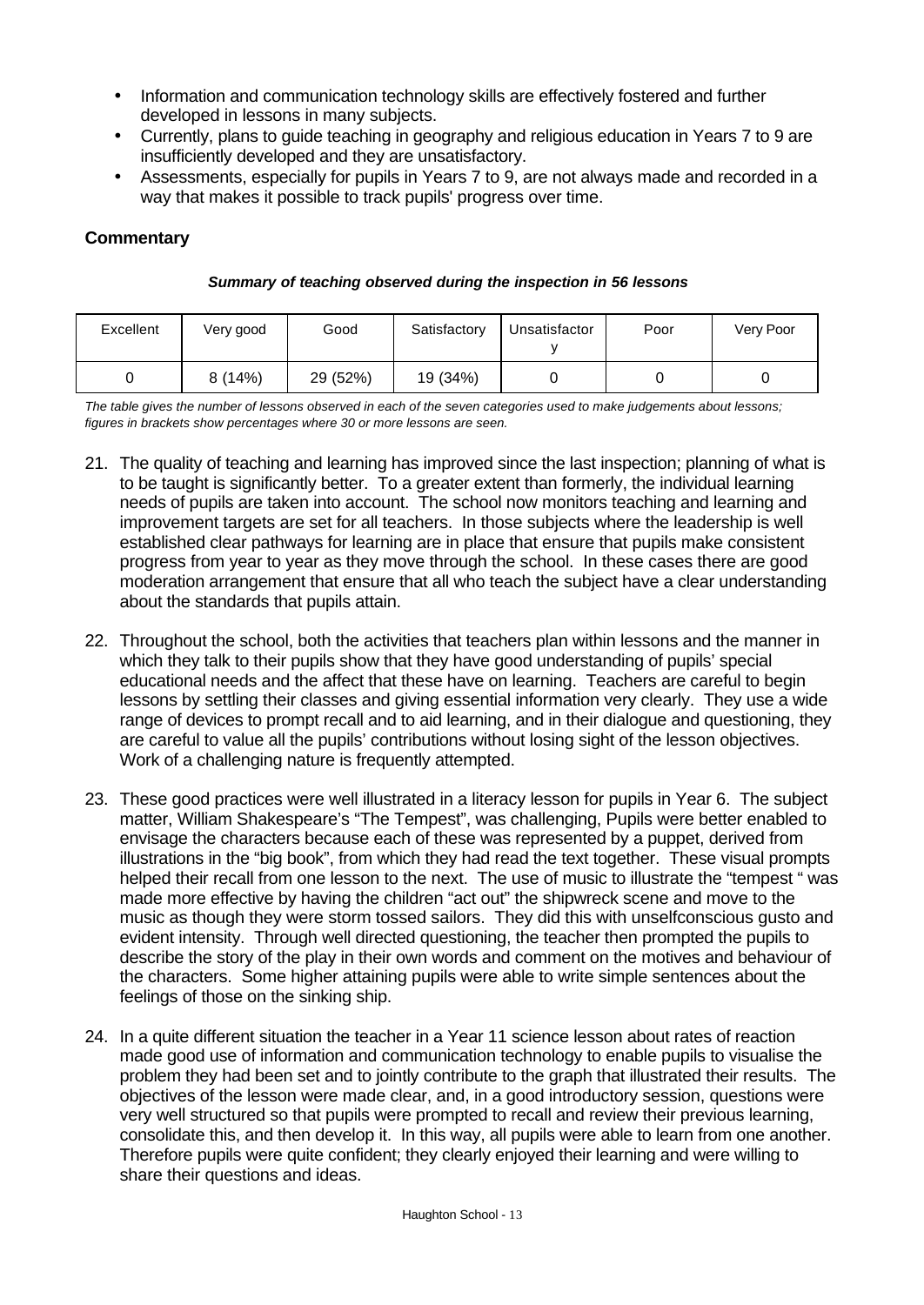- Information and communication technology skills are effectively fostered and further developed in lessons in many subjects.
- Currently, plans to quide teaching in geography and religious education in Years 7 to 9 are insufficiently developed and they are unsatisfactory.
- Assessments, especially for pupils in Years 7 to 9, are not always made and recorded in a way that makes it possible to track pupils' progress over time.

### **Commentary**

| Excellent | Very good | Good | Satisfactory | <b>Unsatisfactor</b> | Poor | Very Poor |
|-----------|-----------|------|--------------|----------------------|------|-----------|

0 8 (14%) 29 (52%) 19 (34%) 1 0 0 0 0

#### *Summary of teaching observed during the inspection in 56 lessons*

y

*The table gives the number of lessons observed in each of the seven categories used to make judgements about lessons; figures in brackets show percentages where 30 or more lessons are seen.*

- 21. The quality of teaching and learning has improved since the last inspection; planning of what is to be taught is significantly better. To a greater extent than formerly, the individual learning needs of pupils are taken into account. The school now monitors teaching and learning and improvement targets are set for all teachers. In those subjects where the leadership is well established clear pathways for learning are in place that ensure that pupils make consistent progress from year to year as they move through the school. In these cases there are good moderation arrangement that ensure that all who teach the subject have a clear understanding about the standards that pupils attain.
- 22. Throughout the school, both the activities that teachers plan within lessons and the manner in which they talk to their pupils show that they have good understanding of pupils' special educational needs and the affect that these have on learning. Teachers are careful to begin lessons by settling their classes and giving essential information very clearly. They use a wide range of devices to prompt recall and to aid learning, and in their dialogue and questioning, they are careful to value all the pupils' contributions without losing sight of the lesson objectives. Work of a challenging nature is frequently attempted.
- 23. These good practices were well illustrated in a literacy lesson for pupils in Year 6. The subject matter, William Shakespeare's "The Tempest", was challenging, Pupils were better enabled to envisage the characters because each of these was represented by a puppet, derived from illustrations in the "big book", from which they had read the text together. These visual prompts helped their recall from one lesson to the next. The use of music to illustrate the "tempest " was made more effective by having the children "act out" the shipwreck scene and move to the music as though they were storm tossed sailors. They did this with unselfconscious gusto and evident intensity. Through well directed questioning, the teacher then prompted the pupils to describe the story of the play in their own words and comment on the motives and behaviour of the characters. Some higher attaining pupils were able to write simple sentences about the feelings of those on the sinking ship.
- 24. In a quite different situation the teacher in a Year 11 science lesson about rates of reaction made good use of information and communication technology to enable pupils to visualise the problem they had been set and to jointly contribute to the graph that illustrated their results. The objectives of the lesson were made clear, and, in a good introductory session, questions were very well structured so that pupils were prompted to recall and review their previous learning, consolidate this, and then develop it. In this way, all pupils were able to learn from one another. Therefore pupils were quite confident; they clearly enjoyed their learning and were willing to share their questions and ideas.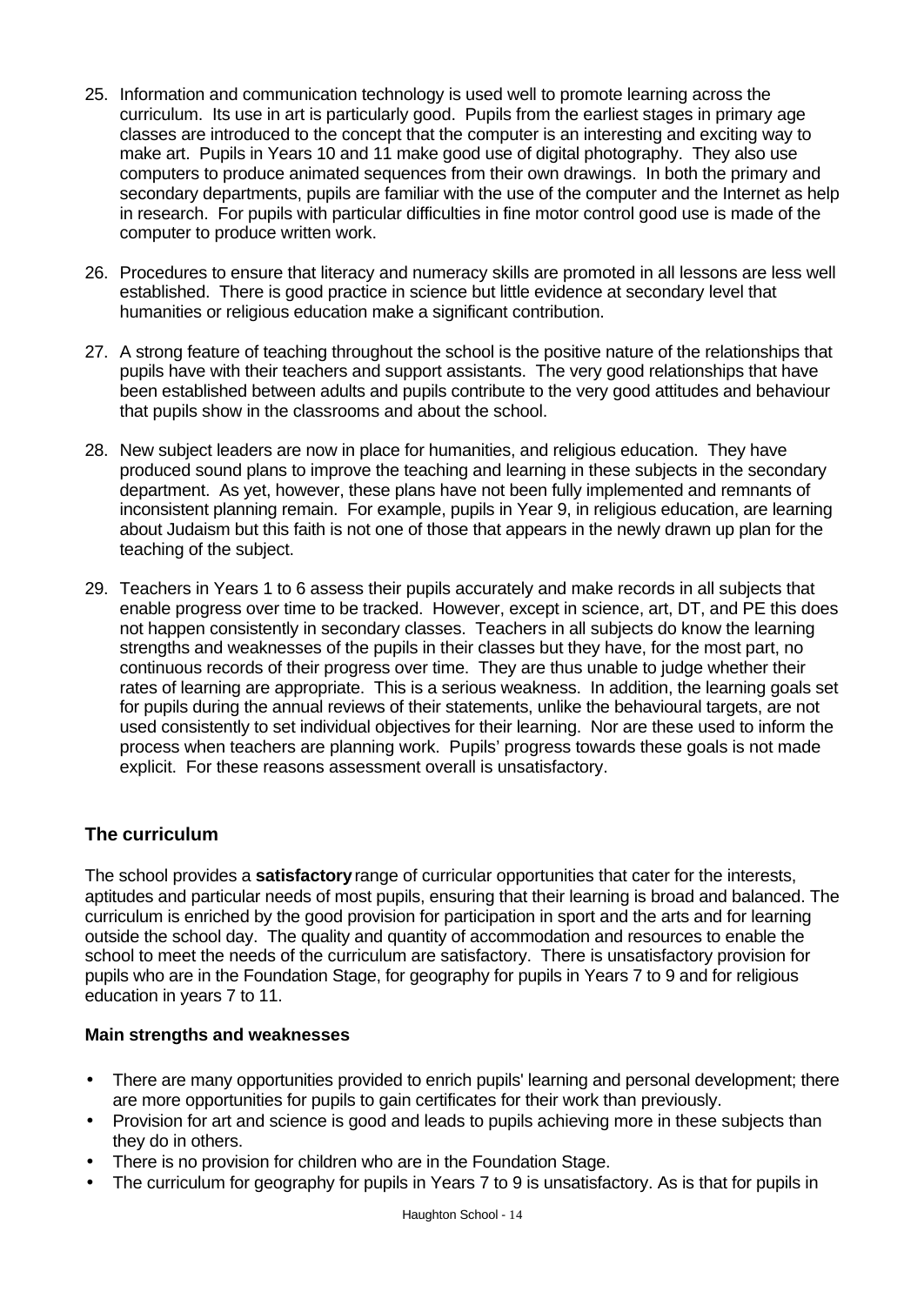- 25. Information and communication technology is used well to promote learning across the curriculum. Its use in art is particularly good. Pupils from the earliest stages in primary age classes are introduced to the concept that the computer is an interesting and exciting way to make art. Pupils in Years 10 and 11 make good use of digital photography. They also use computers to produce animated sequences from their own drawings. In both the primary and secondary departments, pupils are familiar with the use of the computer and the Internet as help in research. For pupils with particular difficulties in fine motor control good use is made of the computer to produce written work.
- 26. Procedures to ensure that literacy and numeracy skills are promoted in all lessons are less well established. There is good practice in science but little evidence at secondary level that humanities or religious education make a significant contribution.
- 27. A strong feature of teaching throughout the school is the positive nature of the relationships that pupils have with their teachers and support assistants. The very good relationships that have been established between adults and pupils contribute to the very good attitudes and behaviour that pupils show in the classrooms and about the school.
- 28. New subject leaders are now in place for humanities, and religious education. They have produced sound plans to improve the teaching and learning in these subjects in the secondary department. As yet, however, these plans have not been fully implemented and remnants of inconsistent planning remain. For example, pupils in Year 9, in religious education, are learning about Judaism but this faith is not one of those that appears in the newly drawn up plan for the teaching of the subject.
- 29. Teachers in Years 1 to 6 assess their pupils accurately and make records in all subjects that enable progress over time to be tracked. However, except in science, art, DT, and PE this does not happen consistently in secondary classes. Teachers in all subjects do know the learning strengths and weaknesses of the pupils in their classes but they have, for the most part, no continuous records of their progress over time. They are thus unable to judge whether their rates of learning are appropriate. This is a serious weakness. In addition, the learning goals set for pupils during the annual reviews of their statements, unlike the behavioural targets, are not used consistently to set individual objectives for their learning. Nor are these used to inform the process when teachers are planning work. Pupils' progress towards these goals is not made explicit. For these reasons assessment overall is unsatisfactory.

# **The curriculum**

The school provides a **satisfactory** range of curricular opportunities that cater for the interests, aptitudes and particular needs of most pupils, ensuring that their learning is broad and balanced. The curriculum is enriched by the good provision for participation in sport and the arts and for learning outside the school day. The quality and quantity of accommodation and resources to enable the school to meet the needs of the curriculum are satisfactory. There is unsatisfactory provision for pupils who are in the Foundation Stage, for geography for pupils in Years 7 to 9 and for religious education in years 7 to 11.

#### **Main strengths and weaknesses**

- There are many opportunities provided to enrich pupils' learning and personal development; there are more opportunities for pupils to gain certificates for their work than previously.
- Provision for art and science is good and leads to pupils achieving more in these subjects than they do in others.
- There is no provision for children who are in the Foundation Stage.
- The curriculum for geography for pupils in Years 7 to 9 is unsatisfactory. As is that for pupils in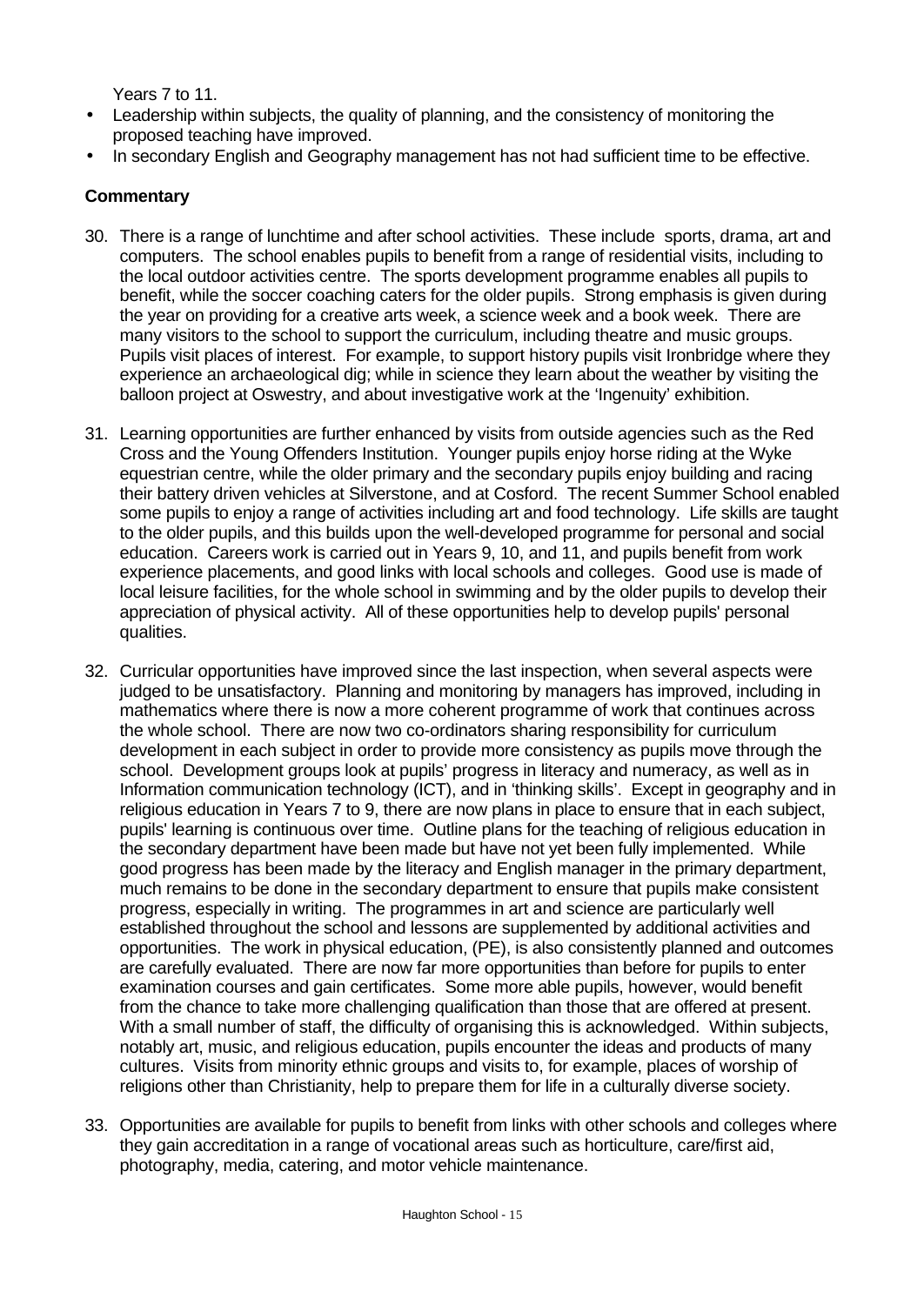Years 7 to 11.

- Leadership within subjects, the quality of planning, and the consistency of monitoring the proposed teaching have improved.
- In secondary English and Geography management has not had sufficient time to be effective.

- 30. There is a range of lunchtime and after school activities. These include sports, drama, art and computers. The school enables pupils to benefit from a range of residential visits, including to the local outdoor activities centre. The sports development programme enables all pupils to benefit, while the soccer coaching caters for the older pupils. Strong emphasis is given during the year on providing for a creative arts week, a science week and a book week. There are many visitors to the school to support the curriculum, including theatre and music groups. Pupils visit places of interest. For example, to support history pupils visit Ironbridge where they experience an archaeological dig; while in science they learn about the weather by visiting the balloon project at Oswestry, and about investigative work at the 'Ingenuity' exhibition.
- 31. Learning opportunities are further enhanced by visits from outside agencies such as the Red Cross and the Young Offenders Institution. Younger pupils enjoy horse riding at the Wyke equestrian centre, while the older primary and the secondary pupils enjoy building and racing their battery driven vehicles at Silverstone, and at Cosford. The recent Summer School enabled some pupils to enjoy a range of activities including art and food technology. Life skills are taught to the older pupils, and this builds upon the well-developed programme for personal and social education. Careers work is carried out in Years 9, 10, and 11, and pupils benefit from work experience placements, and good links with local schools and colleges. Good use is made of local leisure facilities, for the whole school in swimming and by the older pupils to develop their appreciation of physical activity. All of these opportunities help to develop pupils' personal qualities.
- 32. Curricular opportunities have improved since the last inspection, when several aspects were judged to be unsatisfactory. Planning and monitoring by managers has improved, including in mathematics where there is now a more coherent programme of work that continues across the whole school. There are now two co-ordinators sharing responsibility for curriculum development in each subject in order to provide more consistency as pupils move through the school. Development groups look at pupils' progress in literacy and numeracy, as well as in Information communication technology (ICT), and in 'thinking skills'. Except in geography and in religious education in Years 7 to 9, there are now plans in place to ensure that in each subject, pupils' learning is continuous over time. Outline plans for the teaching of religious education in the secondary department have been made but have not yet been fully implemented. While good progress has been made by the literacy and English manager in the primary department, much remains to be done in the secondary department to ensure that pupils make consistent progress, especially in writing. The programmes in art and science are particularly well established throughout the school and lessons are supplemented by additional activities and opportunities. The work in physical education, (PE), is also consistently planned and outcomes are carefully evaluated. There are now far more opportunities than before for pupils to enter examination courses and gain certificates. Some more able pupils, however, would benefit from the chance to take more challenging qualification than those that are offered at present. With a small number of staff, the difficulty of organising this is acknowledged. Within subjects, notably art, music, and religious education, pupils encounter the ideas and products of many cultures. Visits from minority ethnic groups and visits to, for example, places of worship of religions other than Christianity, help to prepare them for life in a culturally diverse society.
- 33. Opportunities are available for pupils to benefit from links with other schools and colleges where they gain accreditation in a range of vocational areas such as horticulture, care/first aid, photography, media, catering, and motor vehicle maintenance.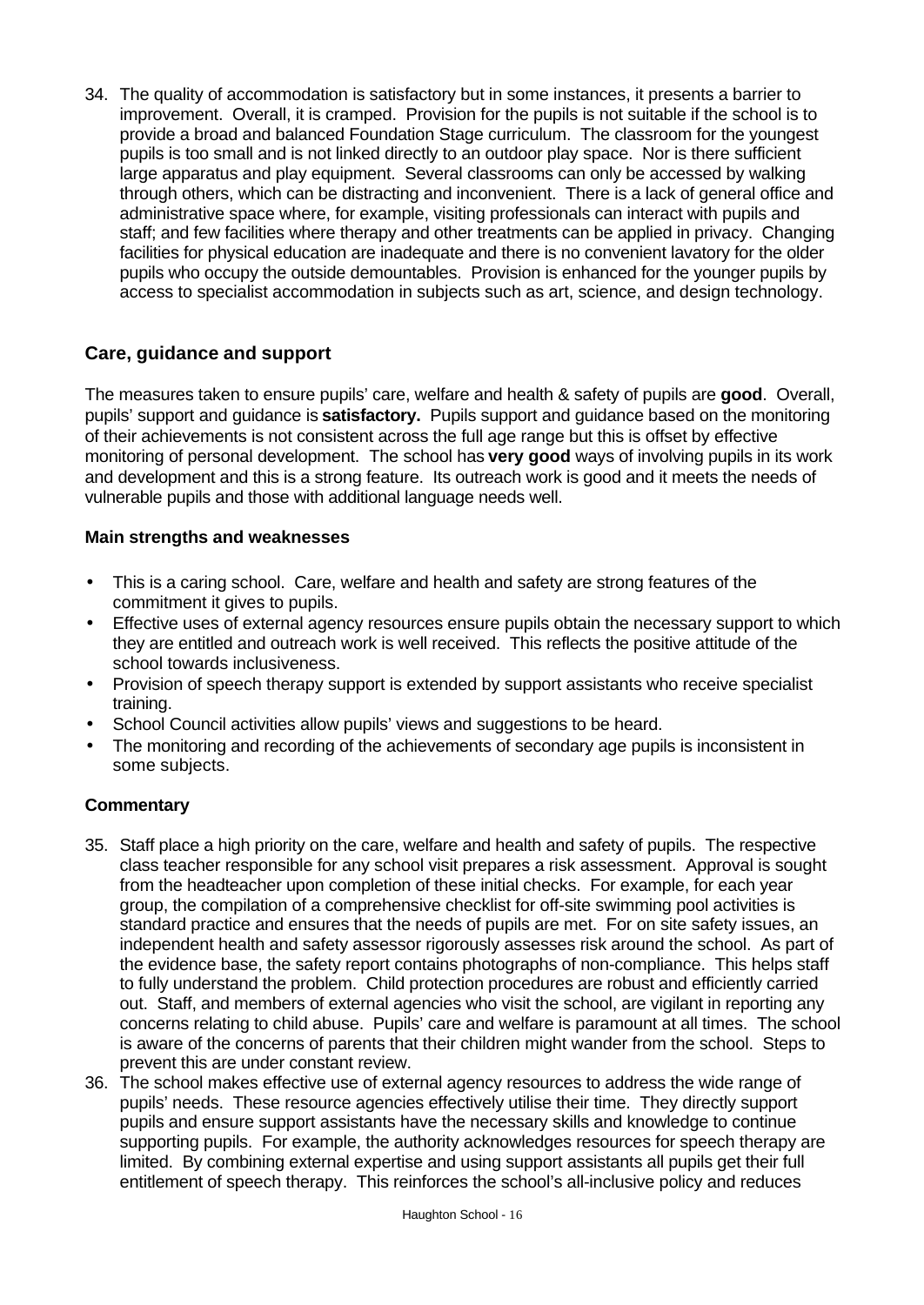34. The quality of accommodation is satisfactory but in some instances, it presents a barrier to improvement. Overall, it is cramped. Provision for the pupils is not suitable if the school is to provide a broad and balanced Foundation Stage curriculum. The classroom for the youngest pupils is too small and is not linked directly to an outdoor play space. Nor is there sufficient large apparatus and play equipment. Several classrooms can only be accessed by walking through others, which can be distracting and inconvenient. There is a lack of general office and administrative space where, for example, visiting professionals can interact with pupils and staff; and few facilities where therapy and other treatments can be applied in privacy. Changing facilities for physical education are inadequate and there is no convenient lavatory for the older pupils who occupy the outside demountables. Provision is enhanced for the younger pupils by access to specialist accommodation in subjects such as art, science, and design technology.

### **Care, guidance and support**

The measures taken to ensure pupils' care, welfare and health & safety of pupils are **good**. Overall, pupils' support and guidance is **satisfactory.** Pupils support and guidance based on the monitoring of their achievements is not consistent across the full age range but this is offset by effective monitoring of personal development. The school has **very good** ways of involving pupils in its work and development and this is a strong feature. Its outreach work is good and it meets the needs of vulnerable pupils and those with additional language needs well.

#### **Main strengths and weaknesses**

- This is a caring school. Care, welfare and health and safety are strong features of the commitment it gives to pupils.
- Effective uses of external agency resources ensure pupils obtain the necessary support to which they are entitled and outreach work is well received. This reflects the positive attitude of the school towards inclusiveness.
- Provision of speech therapy support is extended by support assistants who receive specialist training.
- School Council activities allow pupils' views and suggestions to be heard.
- The monitoring and recording of the achievements of secondary age pupils is inconsistent in some subjects.

- 35. Staff place a high priority on the care, welfare and health and safety of pupils. The respective class teacher responsible for any school visit prepares a risk assessment. Approval is sought from the headteacher upon completion of these initial checks. For example, for each year group, the compilation of a comprehensive checklist for off-site swimming pool activities is standard practice and ensures that the needs of pupils are met. For on site safety issues, an independent health and safety assessor rigorously assesses risk around the school. As part of the evidence base, the safety report contains photographs of non-compliance. This helps staff to fully understand the problem. Child protection procedures are robust and efficiently carried out. Staff, and members of external agencies who visit the school, are vigilant in reporting any concerns relating to child abuse. Pupils' care and welfare is paramount at all times. The school is aware of the concerns of parents that their children might wander from the school. Steps to prevent this are under constant review.
- 36. The school makes effective use of external agency resources to address the wide range of pupils' needs. These resource agencies effectively utilise their time. They directly support pupils and ensure support assistants have the necessary skills and knowledge to continue supporting pupils. For example, the authority acknowledges resources for speech therapy are limited. By combining external expertise and using support assistants all pupils get their full entitlement of speech therapy. This reinforces the school's all-inclusive policy and reduces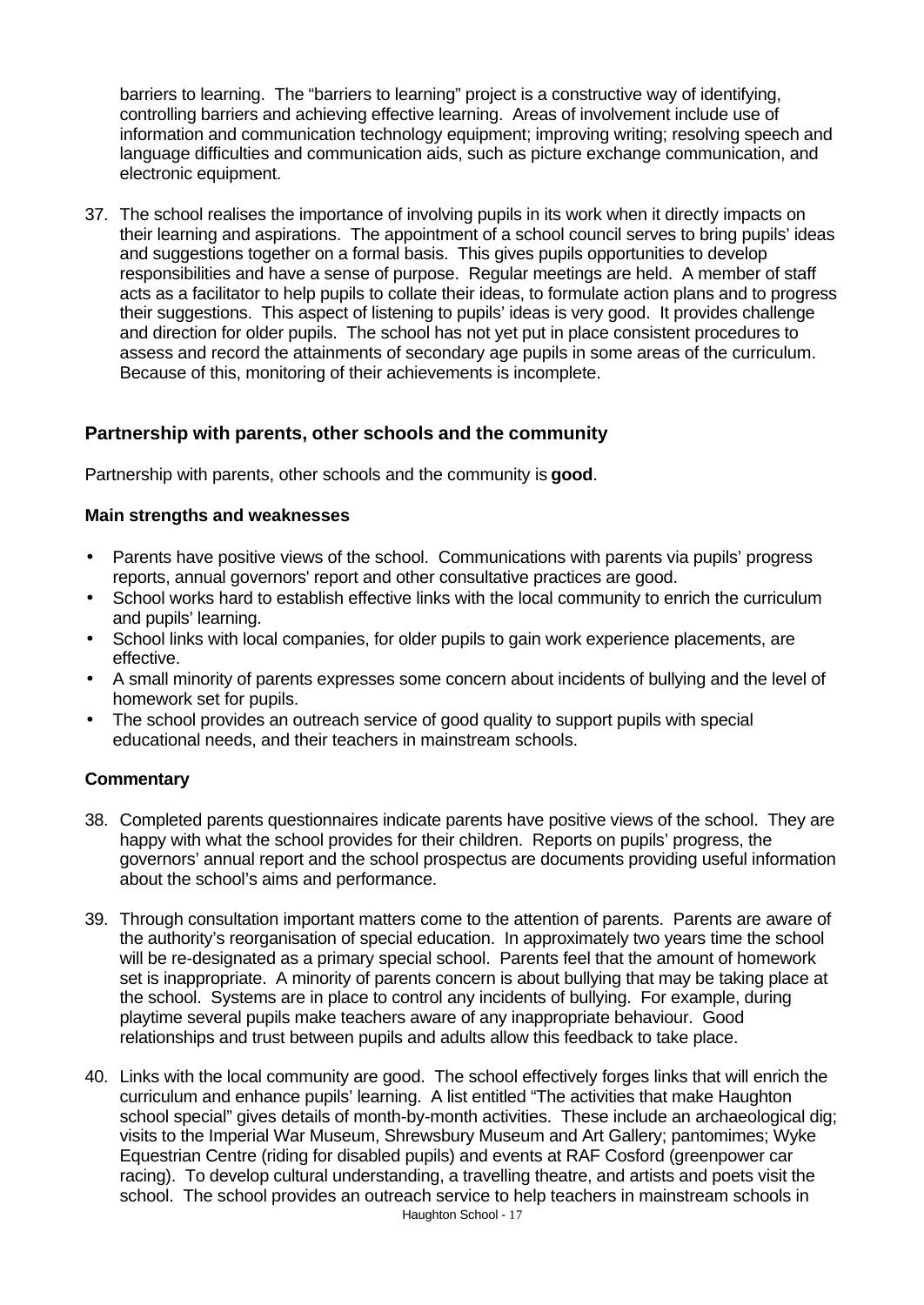barriers to learning. The "barriers to learning" project is a constructive way of identifying, controlling barriers and achieving effective learning. Areas of involvement include use of information and communication technology equipment; improving writing; resolving speech and language difficulties and communication aids, such as picture exchange communication, and electronic equipment.

37. The school realises the importance of involving pupils in its work when it directly impacts on their learning and aspirations. The appointment of a school council serves to bring pupils' ideas and suggestions together on a formal basis. This gives pupils opportunities to develop responsibilities and have a sense of purpose. Regular meetings are held. A member of staff acts as a facilitator to help pupils to collate their ideas, to formulate action plans and to progress their suggestions. This aspect of listening to pupils' ideas is very good. It provides challenge and direction for older pupils. The school has not yet put in place consistent procedures to assess and record the attainments of secondary age pupils in some areas of the curriculum. Because of this, monitoring of their achievements is incomplete.

### **Partnership with parents, other schools and the community**

Partnership with parents, other schools and the community is **good**.

#### **Main strengths and weaknesses**

- Parents have positive views of the school. Communications with parents via pupils' progress reports, annual governors' report and other consultative practices are good.
- School works hard to establish effective links with the local community to enrich the curriculum and pupils' learning.
- School links with local companies, for older pupils to gain work experience placements, are effective.
- A small minority of parents expresses some concern about incidents of bullying and the level of homework set for pupils.
- The school provides an outreach service of good quality to support pupils with special educational needs, and their teachers in mainstream schools.

- 38. Completed parents questionnaires indicate parents have positive views of the school. They are happy with what the school provides for their children. Reports on pupils' progress, the governors' annual report and the school prospectus are documents providing useful information about the school's aims and performance.
- 39. Through consultation important matters come to the attention of parents. Parents are aware of the authority's reorganisation of special education. In approximately two years time the school will be re-designated as a primary special school. Parents feel that the amount of homework set is inappropriate. A minority of parents concern is about bullying that may be taking place at the school. Systems are in place to control any incidents of bullying. For example, during playtime several pupils make teachers aware of any inappropriate behaviour. Good relationships and trust between pupils and adults allow this feedback to take place.
- 40. Links with the local community are good. The school effectively forges links that will enrich the curriculum and enhance pupils' learning. A list entitled "The activities that make Haughton school special" gives details of month-by-month activities. These include an archaeological dig; visits to the Imperial War Museum, Shrewsbury Museum and Art Gallery; pantomimes; Wyke Equestrian Centre (riding for disabled pupils) and events at RAF Cosford (greenpower car racing). To develop cultural understanding, a travelling theatre, and artists and poets visit the school. The school provides an outreach service to help teachers in mainstream schools in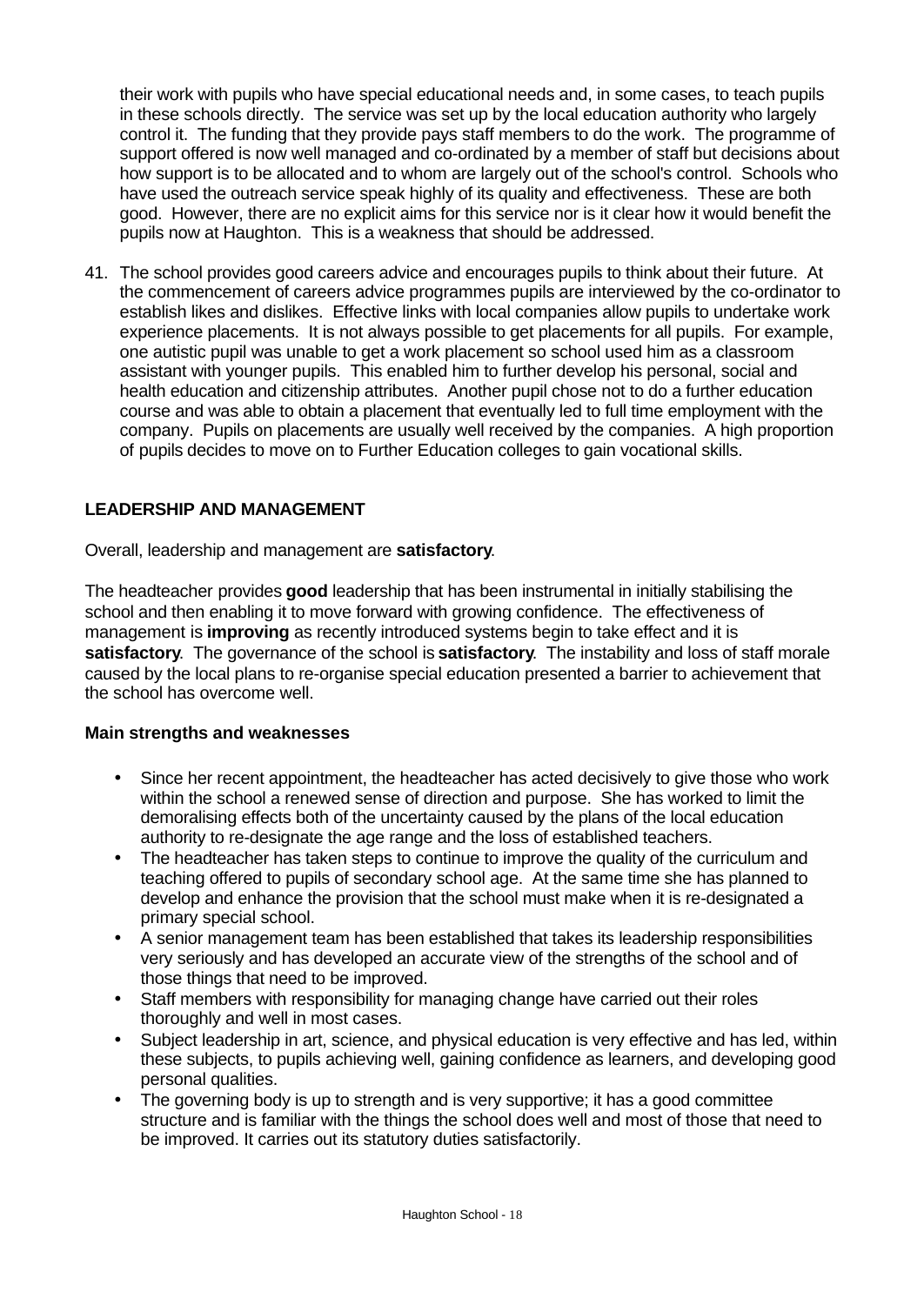their work with pupils who have special educational needs and, in some cases, to teach pupils in these schools directly. The service was set up by the local education authority who largely control it. The funding that they provide pays staff members to do the work. The programme of support offered is now well managed and co-ordinated by a member of staff but decisions about how support is to be allocated and to whom are largely out of the school's control. Schools who have used the outreach service speak highly of its quality and effectiveness. These are both good. However, there are no explicit aims for this service nor is it clear how it would benefit the pupils now at Haughton. This is a weakness that should be addressed.

41. The school provides good careers advice and encourages pupils to think about their future. At the commencement of careers advice programmes pupils are interviewed by the co-ordinator to establish likes and dislikes. Effective links with local companies allow pupils to undertake work experience placements. It is not always possible to get placements for all pupils. For example, one autistic pupil was unable to get a work placement so school used him as a classroom assistant with younger pupils. This enabled him to further develop his personal, social and health education and citizenship attributes. Another pupil chose not to do a further education course and was able to obtain a placement that eventually led to full time employment with the company. Pupils on placements are usually well received by the companies. A high proportion of pupils decides to move on to Further Education colleges to gain vocational skills.

### **LEADERSHIP AND MANAGEMENT**

Overall, leadership and management are **satisfactory**.

The headteacher provides **good** leadership that has been instrumental in initially stabilising the school and then enabling it to move forward with growing confidence. The effectiveness of management is **improving** as recently introduced systems begin to take effect and it is **satisfactory**. The governance of the school is **satisfactory**. The instability and loss of staff morale caused by the local plans to re-organise special education presented a barrier to achievement that the school has overcome well.

#### **Main strengths and weaknesses**

- Since her recent appointment, the headteacher has acted decisively to give those who work within the school a renewed sense of direction and purpose. She has worked to limit the demoralising effects both of the uncertainty caused by the plans of the local education authority to re-designate the age range and the loss of established teachers.
- The headteacher has taken steps to continue to improve the quality of the curriculum and teaching offered to pupils of secondary school age. At the same time she has planned to develop and enhance the provision that the school must make when it is re-designated a primary special school.
- A senior management team has been established that takes its leadership responsibilities very seriously and has developed an accurate view of the strengths of the school and of those things that need to be improved.
- Staff members with responsibility for managing change have carried out their roles thoroughly and well in most cases.
- Subject leadership in art, science, and physical education is very effective and has led, within these subjects, to pupils achieving well, gaining confidence as learners, and developing good personal qualities.
- The governing body is up to strength and is very supportive; it has a good committee structure and is familiar with the things the school does well and most of those that need to be improved. It carries out its statutory duties satisfactorily.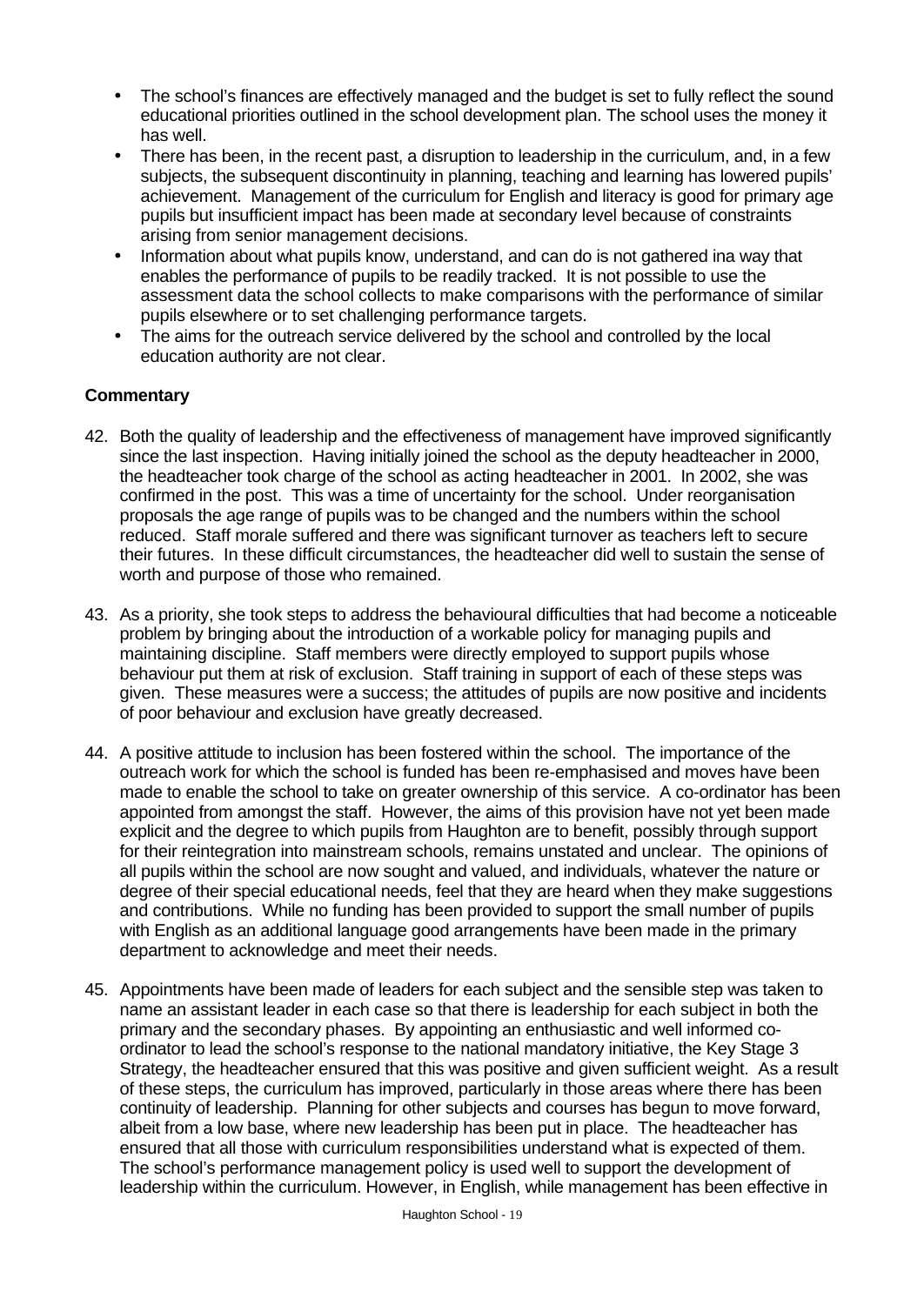- The school's finances are effectively managed and the budget is set to fully reflect the sound educational priorities outlined in the school development plan. The school uses the money it has well.
- There has been, in the recent past, a disruption to leadership in the curriculum, and, in a few subjects, the subsequent discontinuity in planning, teaching and learning has lowered pupils' achievement. Management of the curriculum for English and literacy is good for primary age pupils but insufficient impact has been made at secondary level because of constraints arising from senior management decisions.
- Information about what pupils know, understand, and can do is not gathered ina way that enables the performance of pupils to be readily tracked. It is not possible to use the assessment data the school collects to make comparisons with the performance of similar pupils elsewhere or to set challenging performance targets.
- The aims for the outreach service delivered by the school and controlled by the local education authority are not clear.

- 42. Both the quality of leadership and the effectiveness of management have improved significantly since the last inspection. Having initially joined the school as the deputy headteacher in 2000, the headteacher took charge of the school as acting headteacher in 2001. In 2002, she was confirmed in the post. This was a time of uncertainty for the school. Under reorganisation proposals the age range of pupils was to be changed and the numbers within the school reduced. Staff morale suffered and there was significant turnover as teachers left to secure their futures. In these difficult circumstances, the headteacher did well to sustain the sense of worth and purpose of those who remained.
- 43. As a priority, she took steps to address the behavioural difficulties that had become a noticeable problem by bringing about the introduction of a workable policy for managing pupils and maintaining discipline. Staff members were directly employed to support pupils whose behaviour put them at risk of exclusion. Staff training in support of each of these steps was given. These measures were a success; the attitudes of pupils are now positive and incidents of poor behaviour and exclusion have greatly decreased.
- 44. A positive attitude to inclusion has been fostered within the school. The importance of the outreach work for which the school is funded has been re-emphasised and moves have been made to enable the school to take on greater ownership of this service. A co-ordinator has been appointed from amongst the staff. However, the aims of this provision have not yet been made explicit and the degree to which pupils from Haughton are to benefit, possibly through support for their reintegration into mainstream schools, remains unstated and unclear. The opinions of all pupils within the school are now sought and valued, and individuals, whatever the nature or degree of their special educational needs, feel that they are heard when they make suggestions and contributions. While no funding has been provided to support the small number of pupils with English as an additional language good arrangements have been made in the primary department to acknowledge and meet their needs.
- 45. Appointments have been made of leaders for each subject and the sensible step was taken to name an assistant leader in each case so that there is leadership for each subject in both the primary and the secondary phases. By appointing an enthusiastic and well informed coordinator to lead the school's response to the national mandatory initiative, the Key Stage 3 Strategy, the headteacher ensured that this was positive and given sufficient weight. As a result of these steps, the curriculum has improved, particularly in those areas where there has been continuity of leadership. Planning for other subjects and courses has begun to move forward, albeit from a low base, where new leadership has been put in place. The headteacher has ensured that all those with curriculum responsibilities understand what is expected of them. The school's performance management policy is used well to support the development of leadership within the curriculum. However, in English, while management has been effective in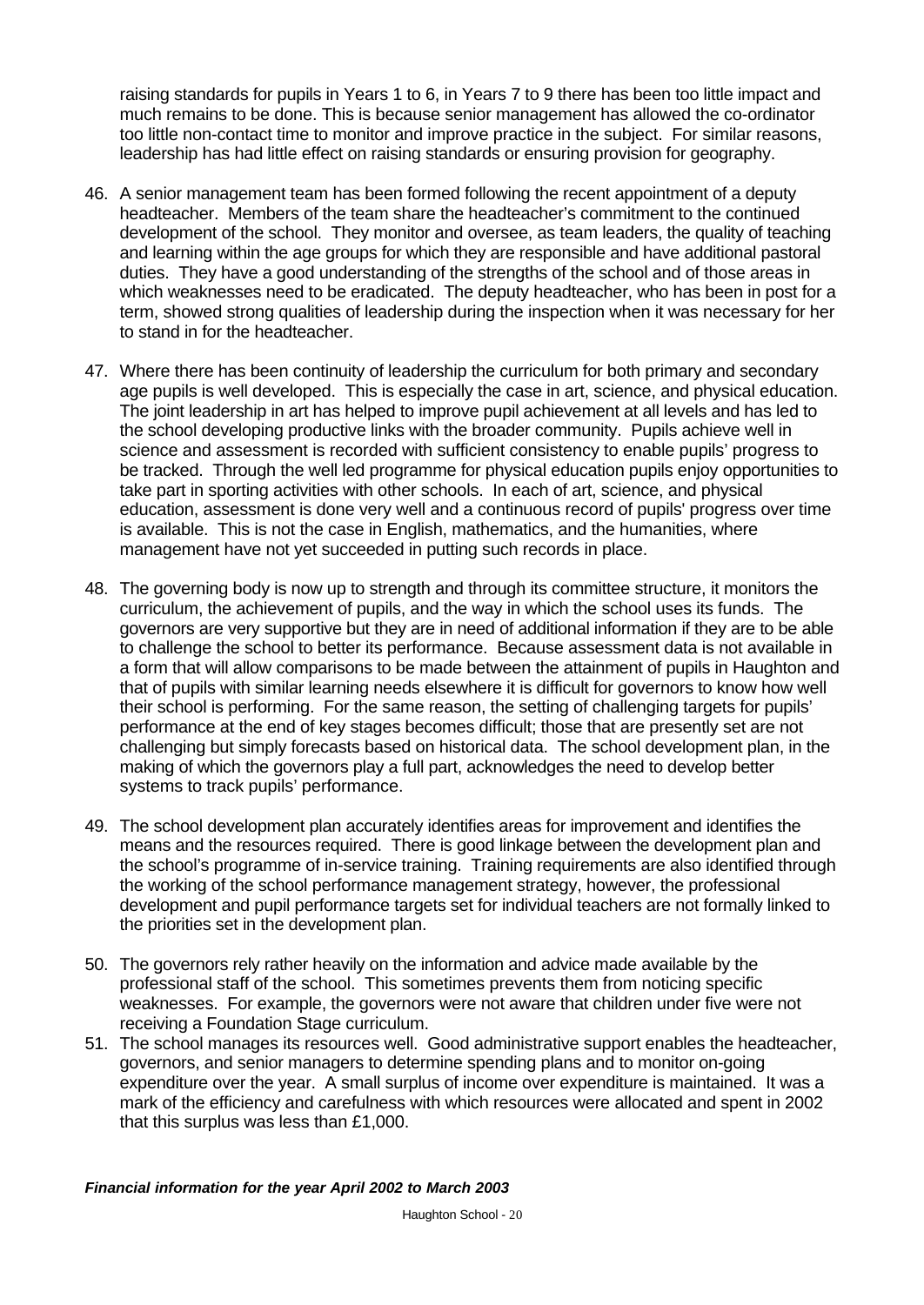raising standards for pupils in Years 1 to 6, in Years 7 to 9 there has been too little impact and much remains to be done. This is because senior management has allowed the co-ordinator too little non-contact time to monitor and improve practice in the subject. For similar reasons, leadership has had little effect on raising standards or ensuring provision for geography.

- 46. A senior management team has been formed following the recent appointment of a deputy headteacher. Members of the team share the headteacher's commitment to the continued development of the school. They monitor and oversee, as team leaders, the quality of teaching and learning within the age groups for which they are responsible and have additional pastoral duties. They have a good understanding of the strengths of the school and of those areas in which weaknesses need to be eradicated. The deputy headteacher, who has been in post for a term, showed strong qualities of leadership during the inspection when it was necessary for her to stand in for the headteacher.
- 47. Where there has been continuity of leadership the curriculum for both primary and secondary age pupils is well developed. This is especially the case in art, science, and physical education. The joint leadership in art has helped to improve pupil achievement at all levels and has led to the school developing productive links with the broader community. Pupils achieve well in science and assessment is recorded with sufficient consistency to enable pupils' progress to be tracked. Through the well led programme for physical education pupils enjoy opportunities to take part in sporting activities with other schools. In each of art, science, and physical education, assessment is done very well and a continuous record of pupils' progress over time is available. This is not the case in English, mathematics, and the humanities, where management have not yet succeeded in putting such records in place.
- 48. The governing body is now up to strength and through its committee structure, it monitors the curriculum, the achievement of pupils, and the way in which the school uses its funds. The governors are very supportive but they are in need of additional information if they are to be able to challenge the school to better its performance. Because assessment data is not available in a form that will allow comparisons to be made between the attainment of pupils in Haughton and that of pupils with similar learning needs elsewhere it is difficult for governors to know how well their school is performing. For the same reason, the setting of challenging targets for pupils' performance at the end of key stages becomes difficult; those that are presently set are not challenging but simply forecasts based on historical data. The school development plan, in the making of which the governors play a full part, acknowledges the need to develop better systems to track pupils' performance.
- 49. The school development plan accurately identifies areas for improvement and identifies the means and the resources required. There is good linkage between the development plan and the school's programme of in-service training. Training requirements are also identified through the working of the school performance management strategy, however, the professional development and pupil performance targets set for individual teachers are not formally linked to the priorities set in the development plan.
- 50. The governors rely rather heavily on the information and advice made available by the professional staff of the school. This sometimes prevents them from noticing specific weaknesses. For example, the governors were not aware that children under five were not receiving a Foundation Stage curriculum.
- 51. The school manages its resources well. Good administrative support enables the headteacher, governors, and senior managers to determine spending plans and to monitor on-going expenditure over the year. A small surplus of income over expenditure is maintained. It was a mark of the efficiency and carefulness with which resources were allocated and spent in 2002 that this surplus was less than £1,000.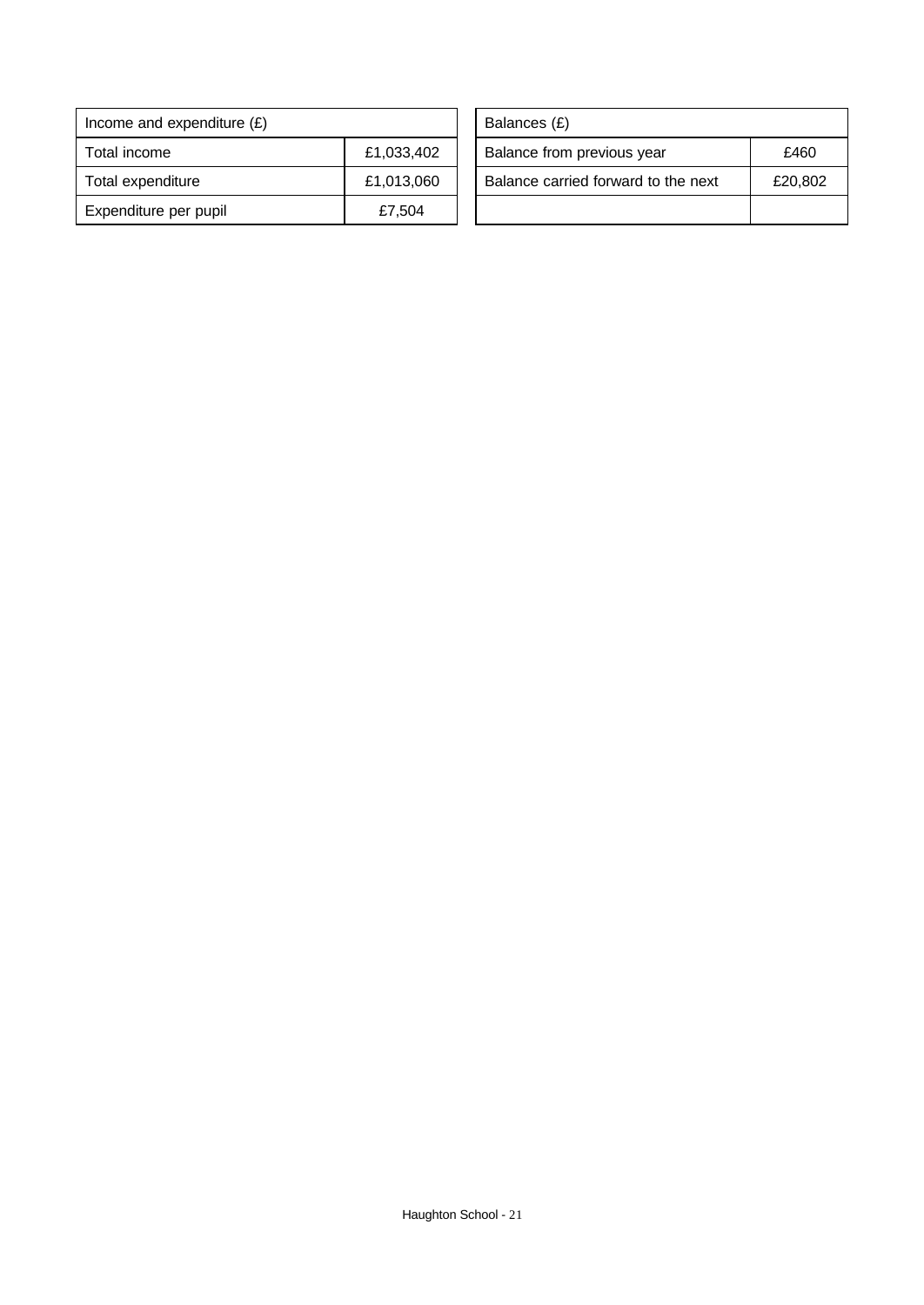| Income and expenditure $(E)$ |            | Balances (£)                        |         |
|------------------------------|------------|-------------------------------------|---------|
| Total income                 | £1,033,402 | Balance from previous year          | £460    |
| Total expenditure            | £1,013,060 | Balance carried forward to the next | £20,802 |
| Expenditure per pupil        | £7,504     |                                     |         |

| Balances (£)                        |         |
|-------------------------------------|---------|
| Balance from previous year          | £460    |
| Balance carried forward to the next | £20,802 |
|                                     |         |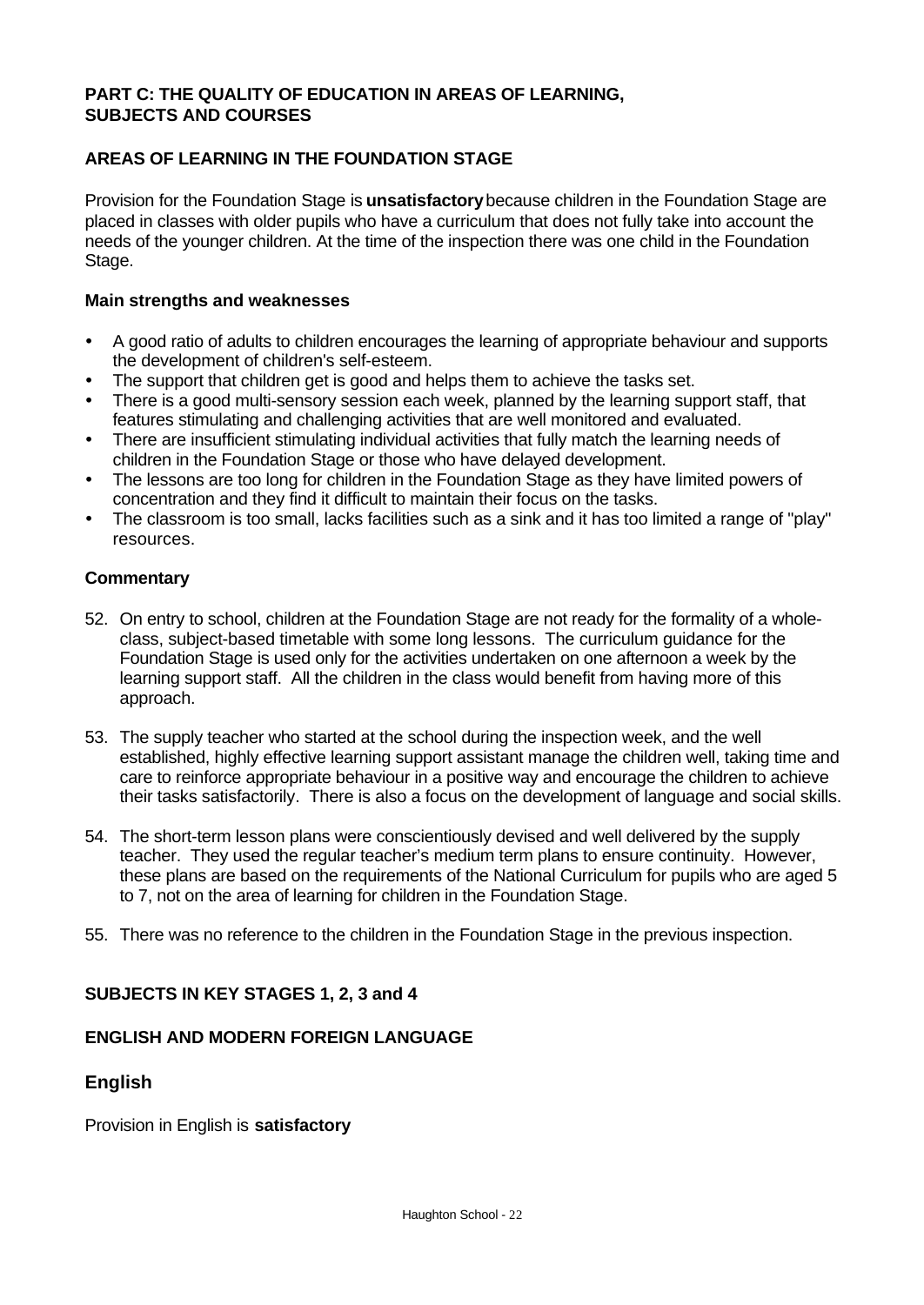### **PART C: THE QUALITY OF EDUCATION IN AREAS OF LEARNING, SUBJECTS AND COURSES**

### **AREAS OF LEARNING IN THE FOUNDATION STAGE**

Provision for the Foundation Stage is **unsatisfactory** because children in the Foundation Stage are placed in classes with older pupils who have a curriculum that does not fully take into account the needs of the younger children. At the time of the inspection there was one child in the Foundation Stage.

#### **Main strengths and weaknesses**

- A good ratio of adults to children encourages the learning of appropriate behaviour and supports the development of children's self-esteem.
- The support that children get is good and helps them to achieve the tasks set.
- There is a good multi-sensory session each week, planned by the learning support staff, that features stimulating and challenging activities that are well monitored and evaluated.
- There are insufficient stimulating individual activities that fully match the learning needs of children in the Foundation Stage or those who have delayed development.
- The lessons are too long for children in the Foundation Stage as they have limited powers of concentration and they find it difficult to maintain their focus on the tasks.
- ü The classroom is too small, lacks facilities such as a sink and it has too limited a range of "play" resources.

#### **Commentary**

- 52. On entry to school, children at the Foundation Stage are not ready for the formality of a wholeclass, subject-based timetable with some long lessons. The curriculum guidance for the Foundation Stage is used only for the activities undertaken on one afternoon a week by the learning support staff. All the children in the class would benefit from having more of this approach.
- 53. The supply teacher who started at the school during the inspection week, and the well established, highly effective learning support assistant manage the children well, taking time and care to reinforce appropriate behaviour in a positive way and encourage the children to achieve their tasks satisfactorily. There is also a focus on the development of language and social skills.
- 54. The short-term lesson plans were conscientiously devised and well delivered by the supply teacher. They used the regular teacher's medium term plans to ensure continuity. However, these plans are based on the requirements of the National Curriculum for pupils who are aged 5 to 7, not on the area of learning for children in the Foundation Stage.
- 55. There was no reference to the children in the Foundation Stage in the previous inspection.

#### **SUBJECTS IN KEY STAGES 1, 2, 3 and 4**

#### **ENGLISH AND MODERN FOREIGN LANGUAGE**

#### **English**

Provision in English is **satisfactory**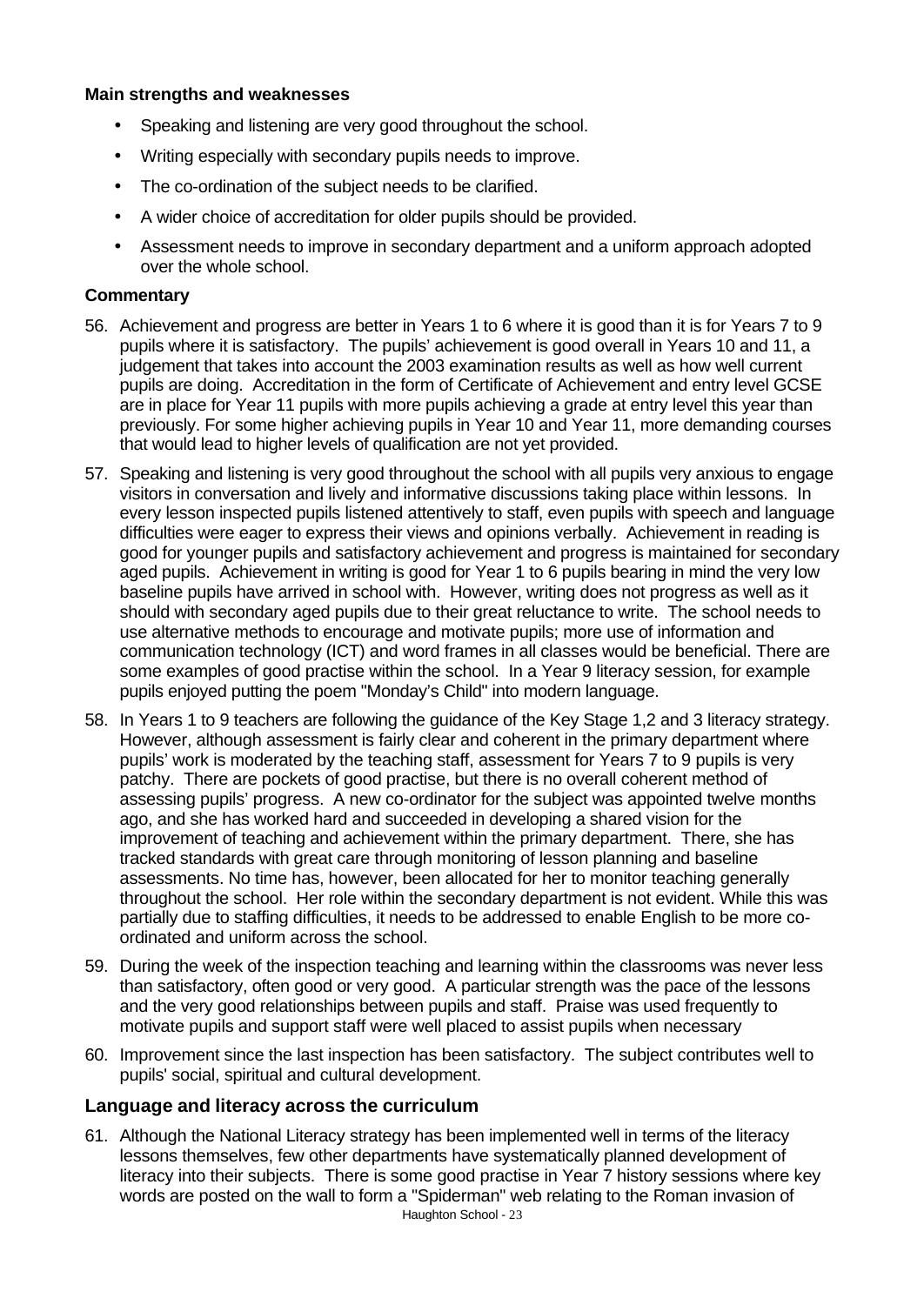#### **Main strengths and weaknesses**

- Speaking and listening are very good throughout the school.
- Writing especially with secondary pupils needs to improve.
- The co-ordination of the subject needs to be clarified.
- A wider choice of accreditation for older pupils should be provided.
- Assessment needs to improve in secondary department and a uniform approach adopted over the whole school.

#### **Commentary**

- 56. Achievement and progress are better in Years 1 to 6 where it is good than it is for Years 7 to 9 pupils where it is satisfactory. The pupils' achievement is good overall in Years 10 and 11, a judgement that takes into account the 2003 examination results as well as how well current pupils are doing. Accreditation in the form of Certificate of Achievement and entry level GCSE are in place for Year 11 pupils with more pupils achieving a grade at entry level this year than previously. For some higher achieving pupils in Year 10 and Year 11, more demanding courses that would lead to higher levels of qualification are not yet provided.
- 57. Speaking and listening is very good throughout the school with all pupils very anxious to engage visitors in conversation and lively and informative discussions taking place within lessons. In every lesson inspected pupils listened attentively to staff, even pupils with speech and language difficulties were eager to express their views and opinions verbally. Achievement in reading is good for younger pupils and satisfactory achievement and progress is maintained for secondary aged pupils. Achievement in writing is good for Year 1 to 6 pupils bearing in mind the very low baseline pupils have arrived in school with. However, writing does not progress as well as it should with secondary aged pupils due to their great reluctance to write. The school needs to use alternative methods to encourage and motivate pupils; more use of information and communication technology (ICT) and word frames in all classes would be beneficial. There are some examples of good practise within the school. In a Year 9 literacy session, for example pupils enjoyed putting the poem "Monday's Child" into modern language.
- 58. In Years 1 to 9 teachers are following the guidance of the Key Stage 1,2 and 3 literacy strategy. However, although assessment is fairly clear and coherent in the primary department where pupils' work is moderated by the teaching staff, assessment for Years 7 to 9 pupils is very patchy. There are pockets of good practise, but there is no overall coherent method of assessing pupils' progress. A new co-ordinator for the subject was appointed twelve months ago, and she has worked hard and succeeded in developing a shared vision for the improvement of teaching and achievement within the primary department. There, she has tracked standards with great care through monitoring of lesson planning and baseline assessments. No time has, however, been allocated for her to monitor teaching generally throughout the school. Her role within the secondary department is not evident. While this was partially due to staffing difficulties, it needs to be addressed to enable English to be more coordinated and uniform across the school.
- 59. During the week of the inspection teaching and learning within the classrooms was never less than satisfactory, often good or very good. A particular strength was the pace of the lessons and the very good relationships between pupils and staff. Praise was used frequently to motivate pupils and support staff were well placed to assist pupils when necessary
- 60. Improvement since the last inspection has been satisfactory. The subject contributes well to pupils' social, spiritual and cultural development.

### **Language and literacy across the curriculum**

Haughton School - 23 61. Although the National Literacy strategy has been implemented well in terms of the literacy lessons themselves, few other departments have systematically planned development of literacy into their subjects. There is some good practise in Year 7 history sessions where key words are posted on the wall to form a "Spiderman" web relating to the Roman invasion of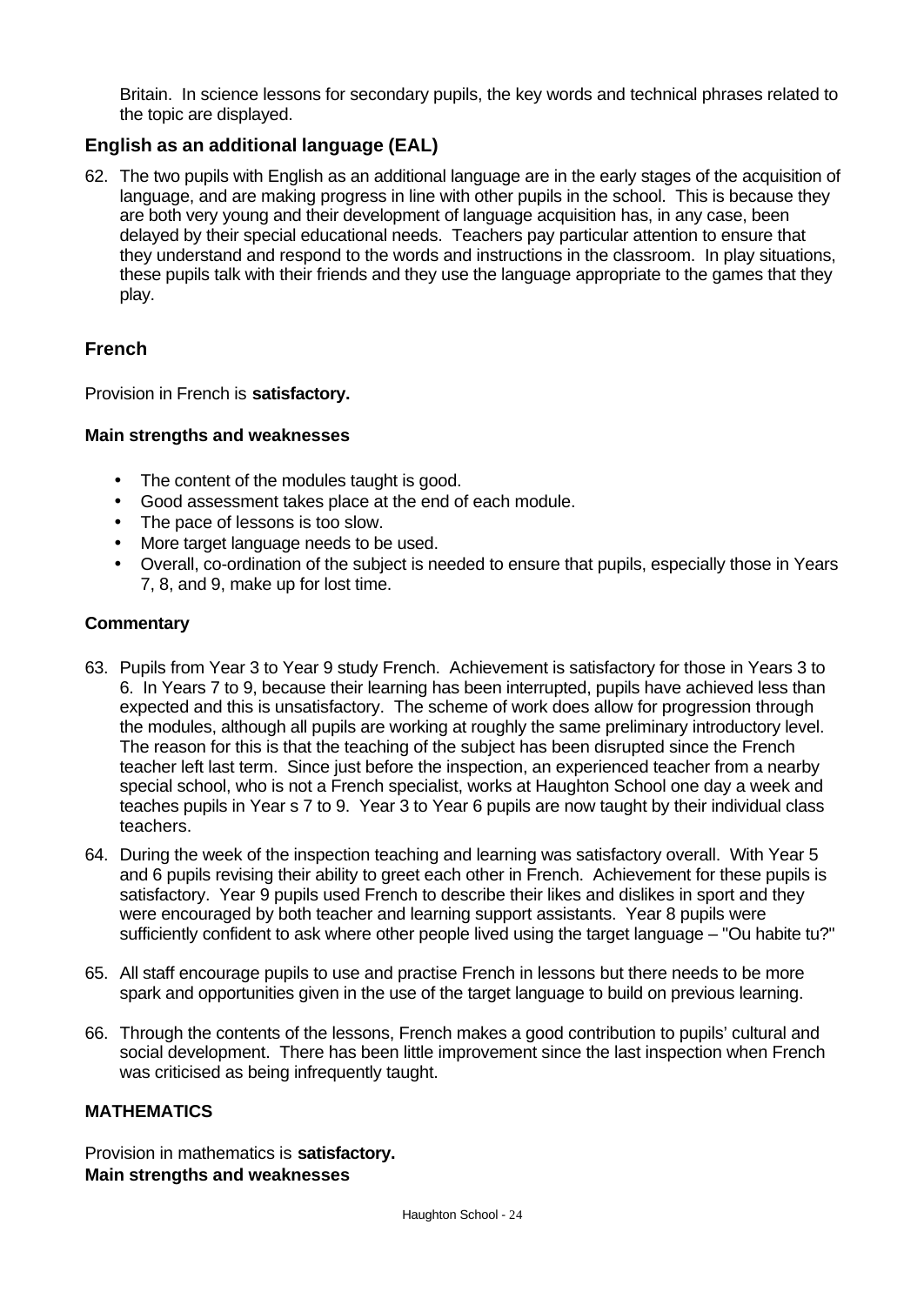Britain. In science lessons for secondary pupils, the key words and technical phrases related to the topic are displayed.

### **English as an additional language (EAL)**

62. The two pupils with English as an additional language are in the early stages of the acquisition of language, and are making progress in line with other pupils in the school. This is because they are both very young and their development of language acquisition has, in any case, been delayed by their special educational needs. Teachers pay particular attention to ensure that they understand and respond to the words and instructions in the classroom. In play situations, these pupils talk with their friends and they use the language appropriate to the games that they play.

### **French**

Provision in French is **satisfactory.**

#### **Main strengths and weaknesses**

- The content of the modules taught is good.
- Good assessment takes place at the end of each module.
- The pace of lessons is too slow.
- More target language needs to be used.
- Overall, co-ordination of the subject is needed to ensure that pupils, especially those in Years 7, 8, and 9, make up for lost time.

### **Commentary**

- 63. Pupils from Year 3 to Year 9 study French. Achievement is satisfactory for those in Years 3 to 6. In Years 7 to 9, because their learning has been interrupted, pupils have achieved less than expected and this is unsatisfactory. The scheme of work does allow for progression through the modules, although all pupils are working at roughly the same preliminary introductory level. The reason for this is that the teaching of the subject has been disrupted since the French teacher left last term. Since just before the inspection, an experienced teacher from a nearby special school, who is not a French specialist, works at Haughton School one day a week and teaches pupils in Year s 7 to 9. Year 3 to Year 6 pupils are now taught by their individual class teachers.
- 64. During the week of the inspection teaching and learning was satisfactory overall. With Year 5 and 6 pupils revising their ability to greet each other in French. Achievement for these pupils is satisfactory. Year 9 pupils used French to describe their likes and dislikes in sport and they were encouraged by both teacher and learning support assistants. Year 8 pupils were sufficiently confident to ask where other people lived using the target language – "Ou habite tu?"
- 65. All staff encourage pupils to use and practise French in lessons but there needs to be more spark and opportunities given in the use of the target language to build on previous learning.
- 66. Through the contents of the lessons, French makes a good contribution to pupils' cultural and social development. There has been little improvement since the last inspection when French was criticised as being infrequently taught.

### **MATHEMATICS**

Provision in mathematics is **satisfactory. Main strengths and weaknesses**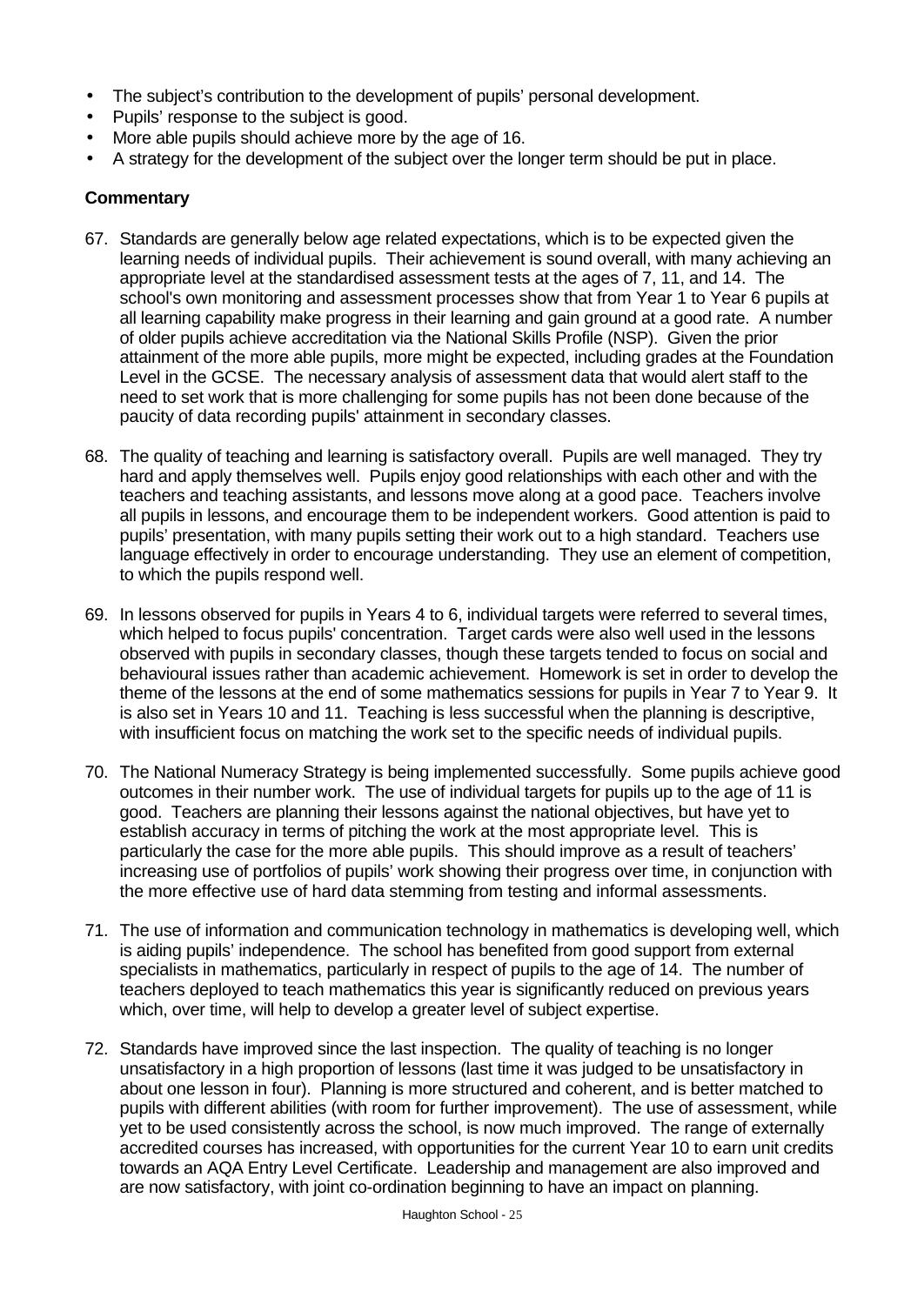- The subject's contribution to the development of pupils' personal development.
- Pupils' response to the subject is good.
- More able pupils should achieve more by the age of 16.
- A strategy for the development of the subject over the longer term should be put in place.

- 67. Standards are generally below age related expectations, which is to be expected given the learning needs of individual pupils. Their achievement is sound overall, with many achieving an appropriate level at the standardised assessment tests at the ages of 7, 11, and 14. The school's own monitoring and assessment processes show that from Year 1 to Year 6 pupils at all learning capability make progress in their learning and gain ground at a good rate. A number of older pupils achieve accreditation via the National Skills Profile (NSP). Given the prior attainment of the more able pupils, more might be expected, including grades at the Foundation Level in the GCSE. The necessary analysis of assessment data that would alert staff to the need to set work that is more challenging for some pupils has not been done because of the paucity of data recording pupils' attainment in secondary classes.
- 68. The quality of teaching and learning is satisfactory overall. Pupils are well managed. They try hard and apply themselves well. Pupils enjoy good relationships with each other and with the teachers and teaching assistants, and lessons move along at a good pace. Teachers involve all pupils in lessons, and encourage them to be independent workers. Good attention is paid to pupils' presentation, with many pupils setting their work out to a high standard. Teachers use language effectively in order to encourage understanding. They use an element of competition, to which the pupils respond well.
- 69. In lessons observed for pupils in Years 4 to 6, individual targets were referred to several times, which helped to focus pupils' concentration. Target cards were also well used in the lessons observed with pupils in secondary classes, though these targets tended to focus on social and behavioural issues rather than academic achievement. Homework is set in order to develop the theme of the lessons at the end of some mathematics sessions for pupils in Year 7 to Year 9. It is also set in Years 10 and 11. Teaching is less successful when the planning is descriptive, with insufficient focus on matching the work set to the specific needs of individual pupils.
- 70. The National Numeracy Strategy is being implemented successfully. Some pupils achieve good outcomes in their number work. The use of individual targets for pupils up to the age of 11 is good. Teachers are planning their lessons against the national objectives, but have yet to establish accuracy in terms of pitching the work at the most appropriate level. This is particularly the case for the more able pupils. This should improve as a result of teachers' increasing use of portfolios of pupils' work showing their progress over time, in conjunction with the more effective use of hard data stemming from testing and informal assessments.
- 71. The use of information and communication technology in mathematics is developing well, which is aiding pupils' independence. The school has benefited from good support from external specialists in mathematics, particularly in respect of pupils to the age of 14. The number of teachers deployed to teach mathematics this year is significantly reduced on previous years which, over time, will help to develop a greater level of subject expertise.
- 72. Standards have improved since the last inspection. The quality of teaching is no longer unsatisfactory in a high proportion of lessons (last time it was judged to be unsatisfactory in about one lesson in four). Planning is more structured and coherent, and is better matched to pupils with different abilities (with room for further improvement). The use of assessment, while yet to be used consistently across the school, is now much improved. The range of externally accredited courses has increased, with opportunities for the current Year 10 to earn unit credits towards an AQA Entry Level Certificate. Leadership and management are also improved and are now satisfactory, with joint co-ordination beginning to have an impact on planning.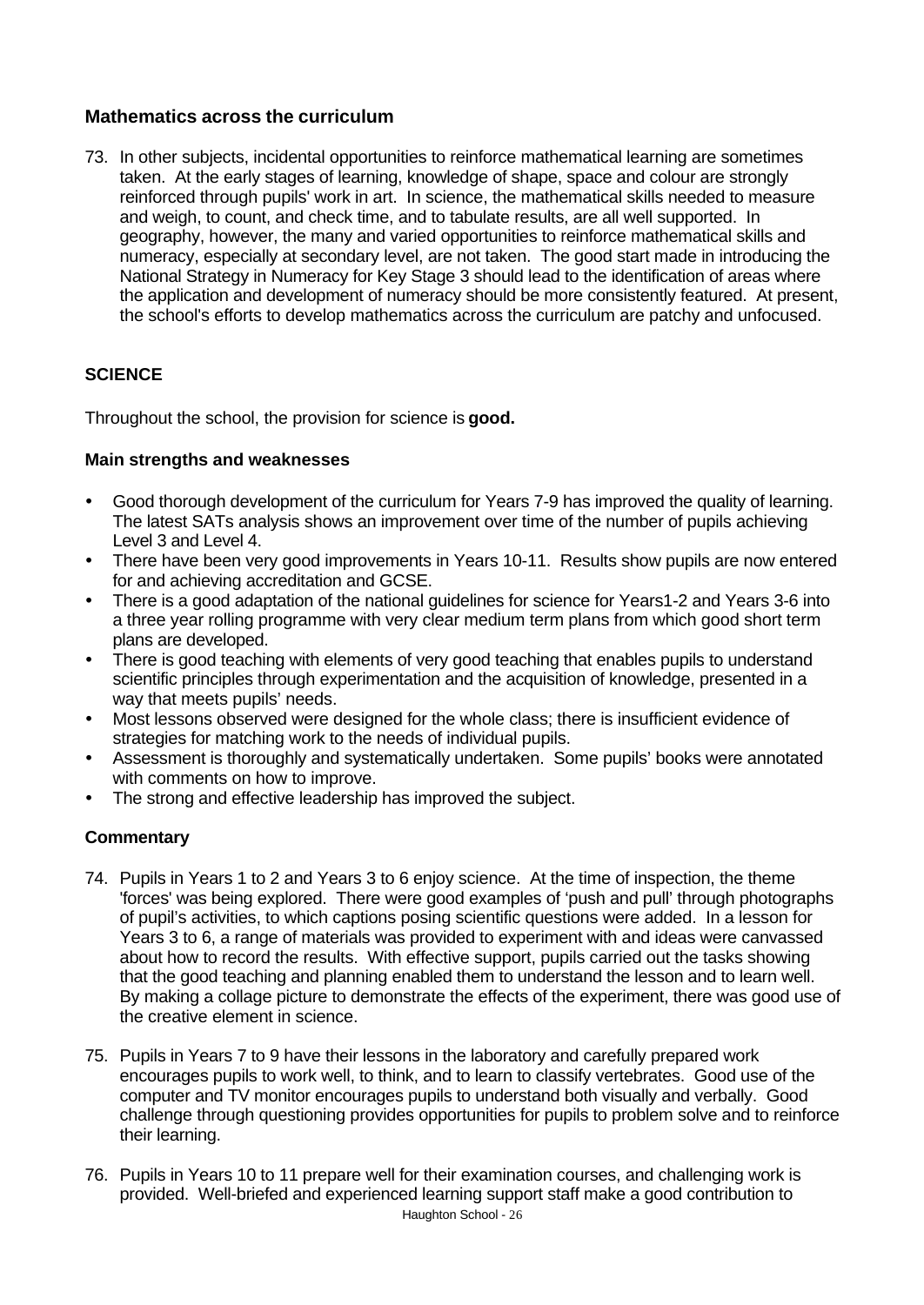### **Mathematics across the curriculum**

73. In other subjects, incidental opportunities to reinforce mathematical learning are sometimes taken. At the early stages of learning, knowledge of shape, space and colour are strongly reinforced through pupils' work in art. In science, the mathematical skills needed to measure and weigh, to count, and check time, and to tabulate results, are all well supported. In geography, however, the many and varied opportunities to reinforce mathematical skills and numeracy, especially at secondary level, are not taken. The good start made in introducing the National Strategy in Numeracy for Key Stage 3 should lead to the identification of areas where the application and development of numeracy should be more consistently featured. At present, the school's efforts to develop mathematics across the curriculum are patchy and unfocused.

### **SCIENCE**

Throughout the school, the provision for science is **good.**

### **Main strengths and weaknesses**

- Good thorough development of the curriculum for Years 7-9 has improved the quality of learning. The latest SATs analysis shows an improvement over time of the number of pupils achieving Level 3 and Level 4.
- There have been very good improvements in Years 10-11. Results show pupils are now entered for and achieving accreditation and GCSE.
- There is a good adaptation of the national guidelines for science for Years1-2 and Years 3-6 into a three year rolling programme with very clear medium term plans from which good short term plans are developed.
- There is good teaching with elements of very good teaching that enables pupils to understand scientific principles through experimentation and the acquisition of knowledge, presented in a way that meets pupils' needs.
- Most lessons observed were designed for the whole class; there is insufficient evidence of strategies for matching work to the needs of individual pupils.
- Assessment is thoroughly and systematically undertaken. Some pupils' books were annotated with comments on how to improve.
- The strong and effective leadership has improved the subject.

- 74. Pupils in Years 1 to 2 and Years 3 to 6 enjoy science. At the time of inspection, the theme 'forces' was being explored. There were good examples of 'push and pull' through photographs of pupil's activities, to which captions posing scientific questions were added. In a lesson for Years 3 to 6, a range of materials was provided to experiment with and ideas were canvassed about how to record the results. With effective support, pupils carried out the tasks showing that the good teaching and planning enabled them to understand the lesson and to learn well. By making a collage picture to demonstrate the effects of the experiment, there was good use of the creative element in science.
- 75. Pupils in Years 7 to 9 have their lessons in the laboratory and carefully prepared work encourages pupils to work well, to think, and to learn to classify vertebrates. Good use of the computer and TV monitor encourages pupils to understand both visually and verbally. Good challenge through questioning provides opportunities for pupils to problem solve and to reinforce their learning.
- Haughton School 26 76. Pupils in Years 10 to 11 prepare well for their examination courses, and challenging work is provided. Well-briefed and experienced learning support staff make a good contribution to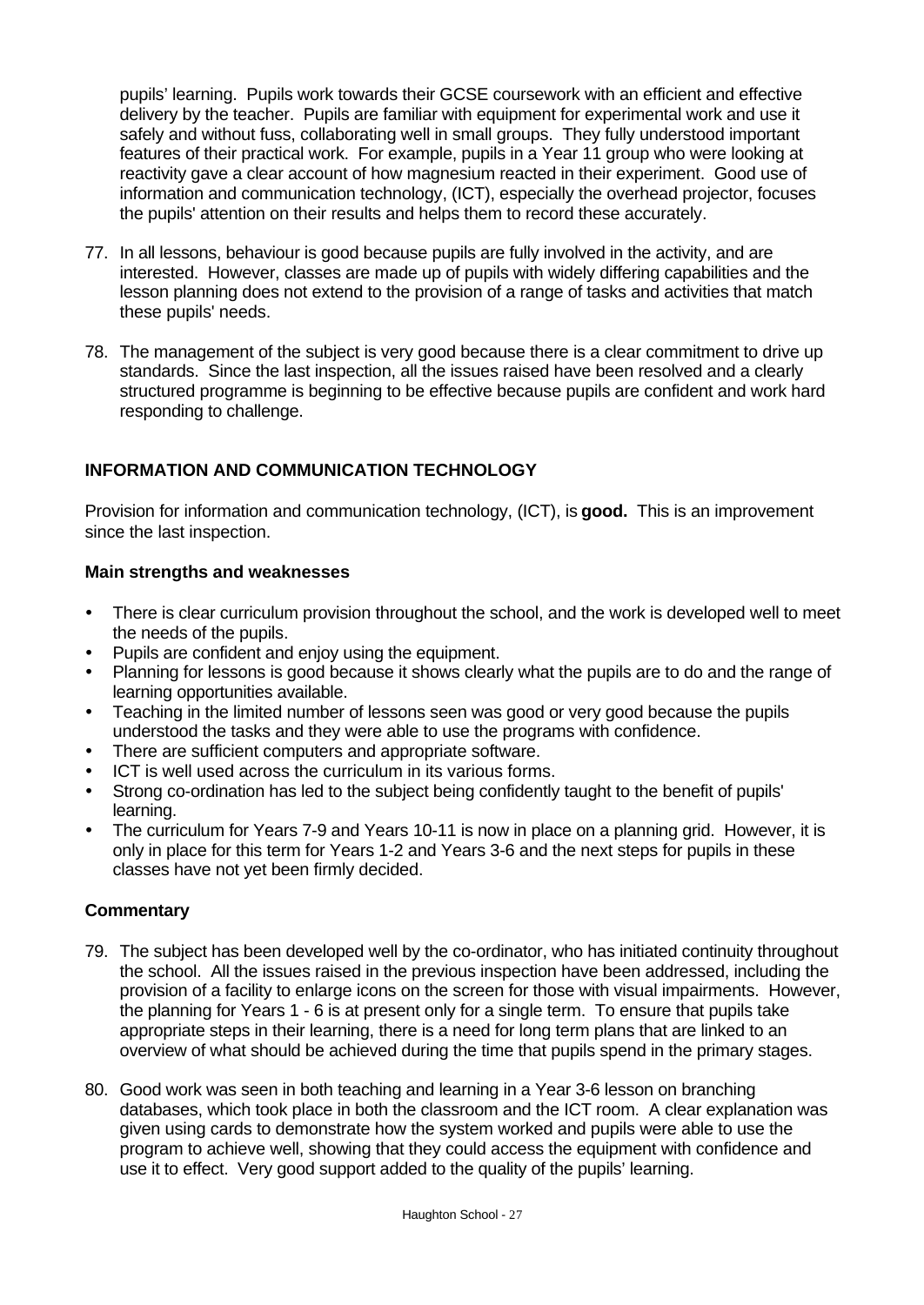pupils' learning. Pupils work towards their GCSE coursework with an efficient and effective delivery by the teacher. Pupils are familiar with equipment for experimental work and use it safely and without fuss, collaborating well in small groups. They fully understood important features of their practical work. For example, pupils in a Year 11 group who were looking at reactivity gave a clear account of how magnesium reacted in their experiment. Good use of information and communication technology, (ICT), especially the overhead projector, focuses the pupils' attention on their results and helps them to record these accurately.

- 77. In all lessons, behaviour is good because pupils are fully involved in the activity, and are interested. However, classes are made up of pupils with widely differing capabilities and the lesson planning does not extend to the provision of a range of tasks and activities that match these pupils' needs.
- 78. The management of the subject is very good because there is a clear commitment to drive up standards. Since the last inspection, all the issues raised have been resolved and a clearly structured programme is beginning to be effective because pupils are confident and work hard responding to challenge.

### **INFORMATION AND COMMUNICATION TECHNOLOGY**

Provision for information and communication technology, (ICT), is **good.** This is an improvement since the last inspection.

### **Main strengths and weaknesses**

- ü There is clear curriculum provision throughout the school, and the work is developed well to meet the needs of the pupils.
- Pupils are confident and enjoy using the equipment.
- Planning for lessons is good because it shows clearly what the pupils are to do and the range of learning opportunities available.
- Teaching in the limited number of lessons seen was good or very good because the pupils understood the tasks and they were able to use the programs with confidence.
- There are sufficient computers and appropriate software.
- ICT is well used across the curriculum in its various forms.
- ü Strong co-ordination has led to the subject being confidently taught to the benefit of pupils' learning.
- The curriculum for Years 7-9 and Years 10-11 is now in place on a planning grid. However, it is only in place for this term for Years 1-2 and Years 3-6 and the next steps for pupils in these classes have not yet been firmly decided.

- 79. The subject has been developed well by the co-ordinator, who has initiated continuity throughout the school. All the issues raised in the previous inspection have been addressed, including the provision of a facility to enlarge icons on the screen for those with visual impairments. However, the planning for Years 1 - 6 is at present only for a single term. To ensure that pupils take appropriate steps in their learning, there is a need for long term plans that are linked to an overview of what should be achieved during the time that pupils spend in the primary stages.
- 80. Good work was seen in both teaching and learning in a Year 3-6 lesson on branching databases, which took place in both the classroom and the ICT room. A clear explanation was given using cards to demonstrate how the system worked and pupils were able to use the program to achieve well, showing that they could access the equipment with confidence and use it to effect. Very good support added to the quality of the pupils' learning.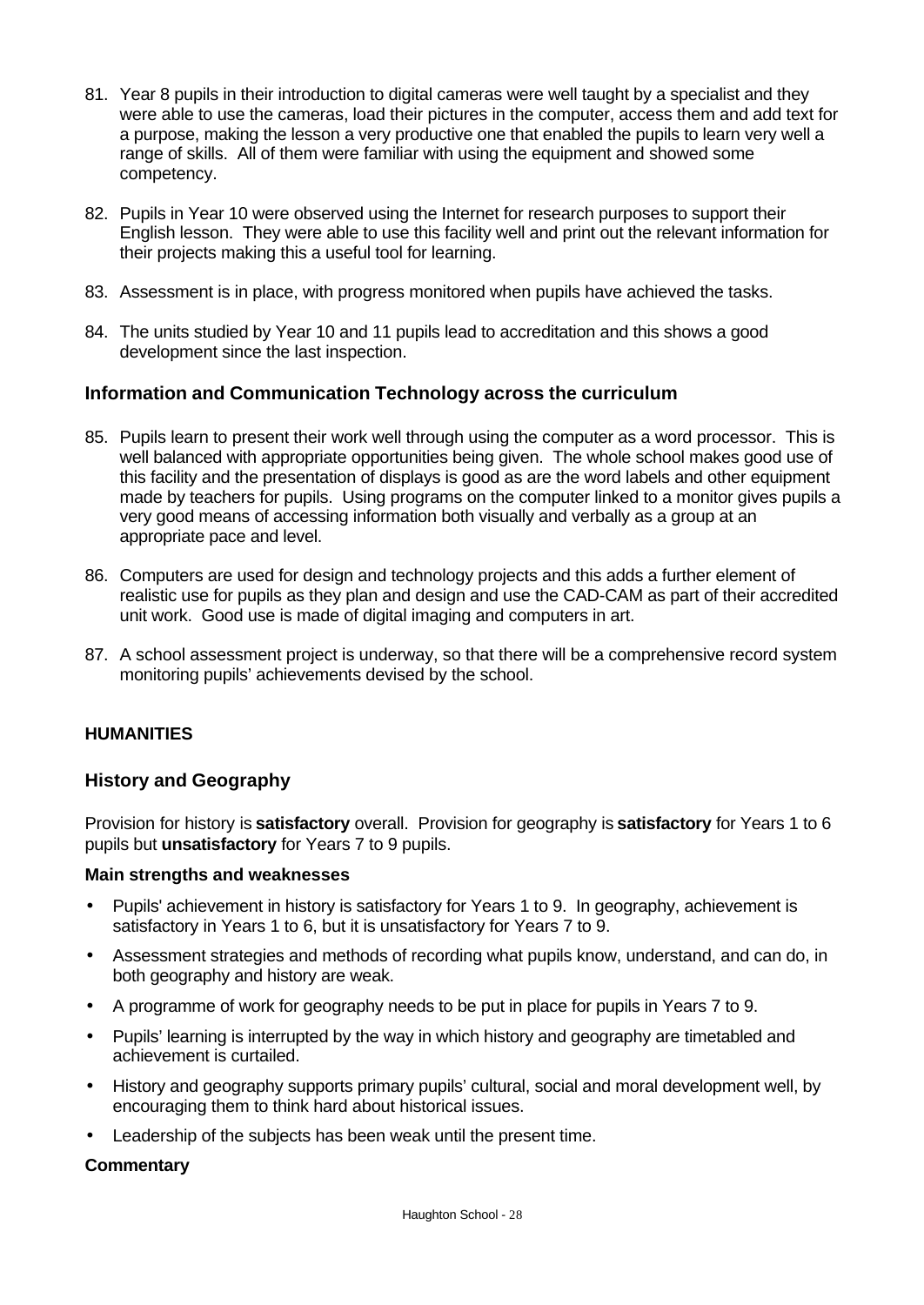- 81. Year 8 pupils in their introduction to digital cameras were well taught by a specialist and they were able to use the cameras, load their pictures in the computer, access them and add text for a purpose, making the lesson a very productive one that enabled the pupils to learn very well a range of skills. All of them were familiar with using the equipment and showed some competency.
- 82. Pupils in Year 10 were observed using the Internet for research purposes to support their English lesson. They were able to use this facility well and print out the relevant information for their projects making this a useful tool for learning.
- 83. Assessment is in place, with progress monitored when pupils have achieved the tasks.
- 84. The units studied by Year 10 and 11 pupils lead to accreditation and this shows a good development since the last inspection.

### **Information and Communication Technology across the curriculum**

- 85. Pupils learn to present their work well through using the computer as a word processor. This is well balanced with appropriate opportunities being given. The whole school makes good use of this facility and the presentation of displays is good as are the word labels and other equipment made by teachers for pupils. Using programs on the computer linked to a monitor gives pupils a very good means of accessing information both visually and verbally as a group at an appropriate pace and level.
- 86. Computers are used for design and technology projects and this adds a further element of realistic use for pupils as they plan and design and use the CAD-CAM as part of their accredited unit work. Good use is made of digital imaging and computers in art.
- 87. A school assessment project is underway, so that there will be a comprehensive record system monitoring pupils' achievements devised by the school.

### **HUMANITIES**

### **History and Geography**

Provision for history is **satisfactory** overall. Provision for geography is **satisfactory** for Years 1 to 6 pupils but **unsatisfactory** for Years 7 to 9 pupils.

#### **Main strengths and weaknesses**

- Pupils' achievement in history is satisfactory for Years 1 to 9. In geography, achievement is satisfactory in Years 1 to 6, but it is unsatisfactory for Years 7 to 9.
- Assessment strategies and methods of recording what pupils know, understand, and can do, in both geography and history are weak.
- A programme of work for geography needs to be put in place for pupils in Years 7 to 9.
- Pupils' learning is interrupted by the way in which history and geography are timetabled and achievement is curtailed.
- History and geography supports primary pupils' cultural, social and moral development well, by encouraging them to think hard about historical issues.
- Leadership of the subjects has been weak until the present time.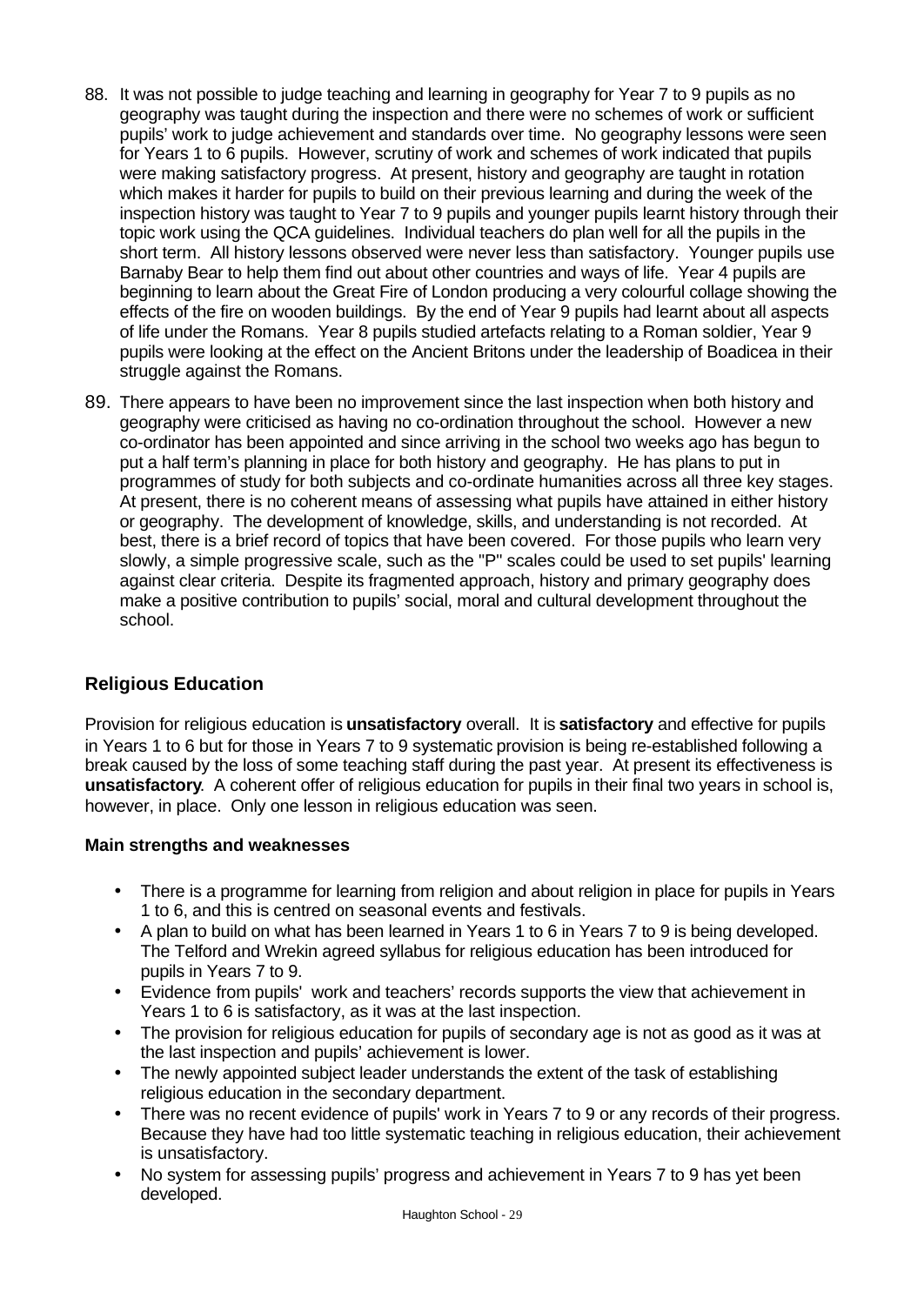- 88. It was not possible to judge teaching and learning in geography for Year 7 to 9 pupils as no geography was taught during the inspection and there were no schemes of work or sufficient pupils' work to judge achievement and standards over time. No geography lessons were seen for Years 1 to 6 pupils. However, scrutiny of work and schemes of work indicated that pupils were making satisfactory progress. At present, history and geography are taught in rotation which makes it harder for pupils to build on their previous learning and during the week of the inspection history was taught to Year 7 to 9 pupils and younger pupils learnt history through their topic work using the QCA guidelines. Individual teachers do plan well for all the pupils in the short term. All history lessons observed were never less than satisfactory. Younger pupils use Barnaby Bear to help them find out about other countries and ways of life. Year 4 pupils are beginning to learn about the Great Fire of London producing a very colourful collage showing the effects of the fire on wooden buildings. By the end of Year 9 pupils had learnt about all aspects of life under the Romans. Year 8 pupils studied artefacts relating to a Roman soldier, Year 9 pupils were looking at the effect on the Ancient Britons under the leadership of Boadicea in their struggle against the Romans.
- 89. There appears to have been no improvement since the last inspection when both history and geography were criticised as having no co-ordination throughout the school. However a new co-ordinator has been appointed and since arriving in the school two weeks ago has begun to put a half term's planning in place for both history and geography. He has plans to put in programmes of study for both subjects and co-ordinate humanities across all three key stages. At present, there is no coherent means of assessing what pupils have attained in either history or geography. The development of knowledge, skills, and understanding is not recorded. At best, there is a brief record of topics that have been covered. For those pupils who learn very slowly, a simple progressive scale, such as the "P" scales could be used to set pupils' learning against clear criteria. Despite its fragmented approach, history and primary geography does make a positive contribution to pupils' social, moral and cultural development throughout the school.

# **Religious Education**

Provision for religious education is **unsatisfactory** overall. It is **satisfactory** and effective for pupils in Years 1 to 6 but for those in Years 7 to 9 systematic provision is being re-established following a break caused by the loss of some teaching staff during the past year. At present its effectiveness is **unsatisfactory**. A coherent offer of religious education for pupils in their final two years in school is, however, in place. Only one lesson in religious education was seen.

### **Main strengths and weaknesses**

- There is a programme for learning from religion and about religion in place for pupils in Years 1 to 6, and this is centred on seasonal events and festivals.
- A plan to build on what has been learned in Years 1 to 6 in Years 7 to 9 is being developed. The Telford and Wrekin agreed syllabus for religious education has been introduced for pupils in Years 7 to 9.
- Evidence from pupils' work and teachers' records supports the view that achievement in Years 1 to 6 is satisfactory, as it was at the last inspection.
- The provision for religious education for pupils of secondary age is not as good as it was at the last inspection and pupils' achievement is lower.
- The newly appointed subject leader understands the extent of the task of establishing religious education in the secondary department.
- There was no recent evidence of pupils' work in Years 7 to 9 or any records of their progress. Because they have had too little systematic teaching in religious education, their achievement is unsatisfactory.
- No system for assessing pupils' progress and achievement in Years 7 to 9 has yet been developed.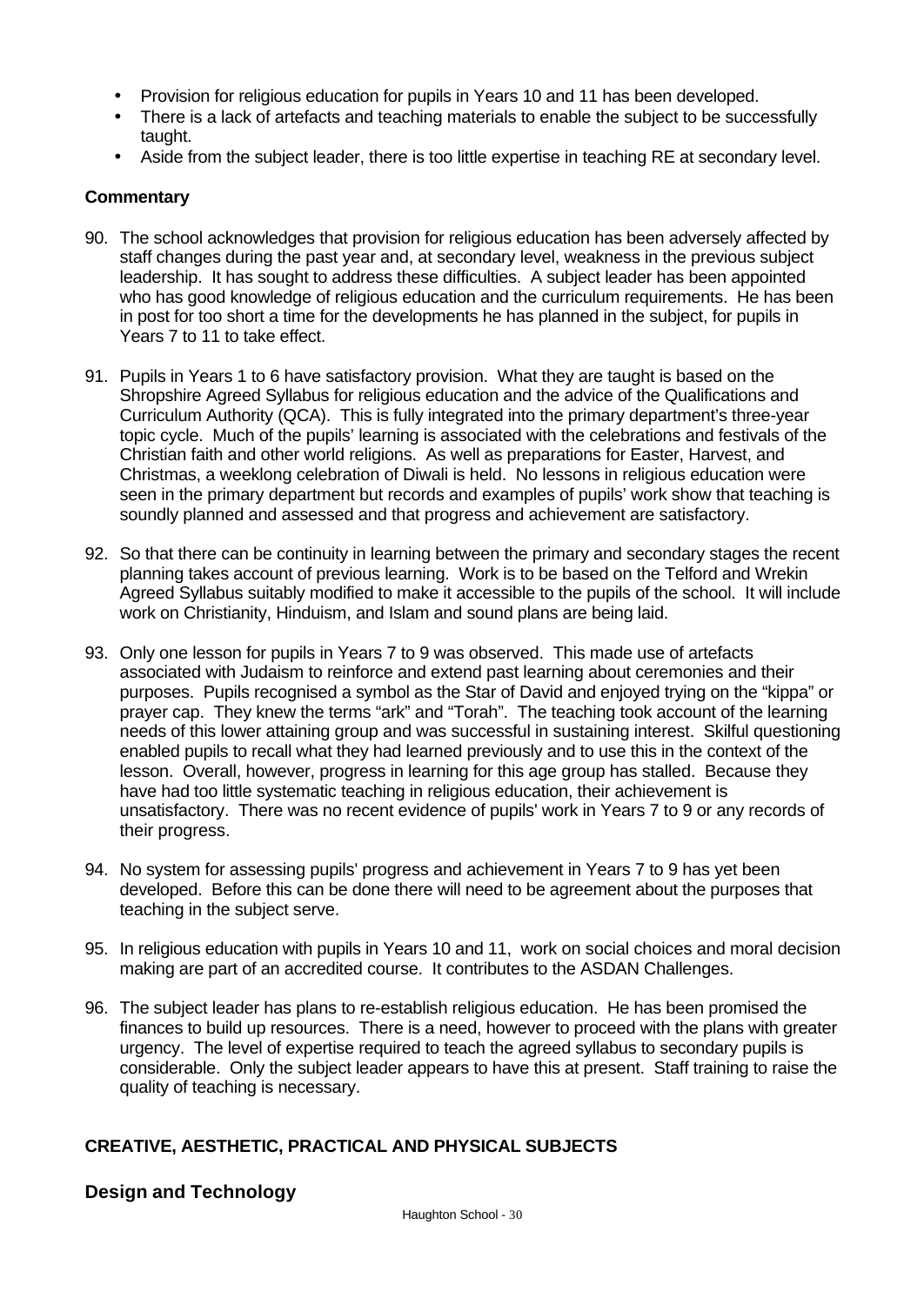- Provision for religious education for pupils in Years 10 and 11 has been developed.
- There is a lack of artefacts and teaching materials to enable the subject to be successfully taught.
- Aside from the subject leader, there is too little expertise in teaching RE at secondary level.

#### **Commentary**

- 90. The school acknowledges that provision for religious education has been adversely affected by staff changes during the past year and, at secondary level, weakness in the previous subject leadership. It has sought to address these difficulties. A subject leader has been appointed who has good knowledge of religious education and the curriculum requirements. He has been in post for too short a time for the developments he has planned in the subject, for pupils in Years 7 to 11 to take effect.
- 91. Pupils in Years 1 to 6 have satisfactory provision. What they are taught is based on the Shropshire Agreed Syllabus for religious education and the advice of the Qualifications and Curriculum Authority (QCA). This is fully integrated into the primary department's three-year topic cycle. Much of the pupils' learning is associated with the celebrations and festivals of the Christian faith and other world religions. As well as preparations for Easter, Harvest, and Christmas, a weeklong celebration of Diwali is held. No lessons in religious education were seen in the primary department but records and examples of pupils' work show that teaching is soundly planned and assessed and that progress and achievement are satisfactory.
- 92. So that there can be continuity in learning between the primary and secondary stages the recent planning takes account of previous learning. Work is to be based on the Telford and Wrekin Agreed Syllabus suitably modified to make it accessible to the pupils of the school. It will include work on Christianity, Hinduism, and Islam and sound plans are being laid.
- 93. Only one lesson for pupils in Years 7 to 9 was observed. This made use of artefacts associated with Judaism to reinforce and extend past learning about ceremonies and their purposes. Pupils recognised a symbol as the Star of David and enjoyed trying on the "kippa" or prayer cap. They knew the terms "ark" and "Torah". The teaching took account of the learning needs of this lower attaining group and was successful in sustaining interest. Skilful questioning enabled pupils to recall what they had learned previously and to use this in the context of the lesson. Overall, however, progress in learning for this age group has stalled. Because they have had too little systematic teaching in religious education, their achievement is unsatisfactory. There was no recent evidence of pupils' work in Years 7 to 9 or any records of their progress.
- 94. No system for assessing pupils' progress and achievement in Years 7 to 9 has yet been developed. Before this can be done there will need to be agreement about the purposes that teaching in the subject serve.
- 95. In religious education with pupils in Years 10 and 11, work on social choices and moral decision making are part of an accredited course. It contributes to the ASDAN Challenges.
- 96. The subject leader has plans to re-establish religious education. He has been promised the finances to build up resources. There is a need, however to proceed with the plans with greater urgency. The level of expertise required to teach the agreed syllabus to secondary pupils is considerable. Only the subject leader appears to have this at present. Staff training to raise the quality of teaching is necessary.

### **CREATIVE, AESTHETIC, PRACTICAL AND PHYSICAL SUBJECTS**

### **Design and Technology**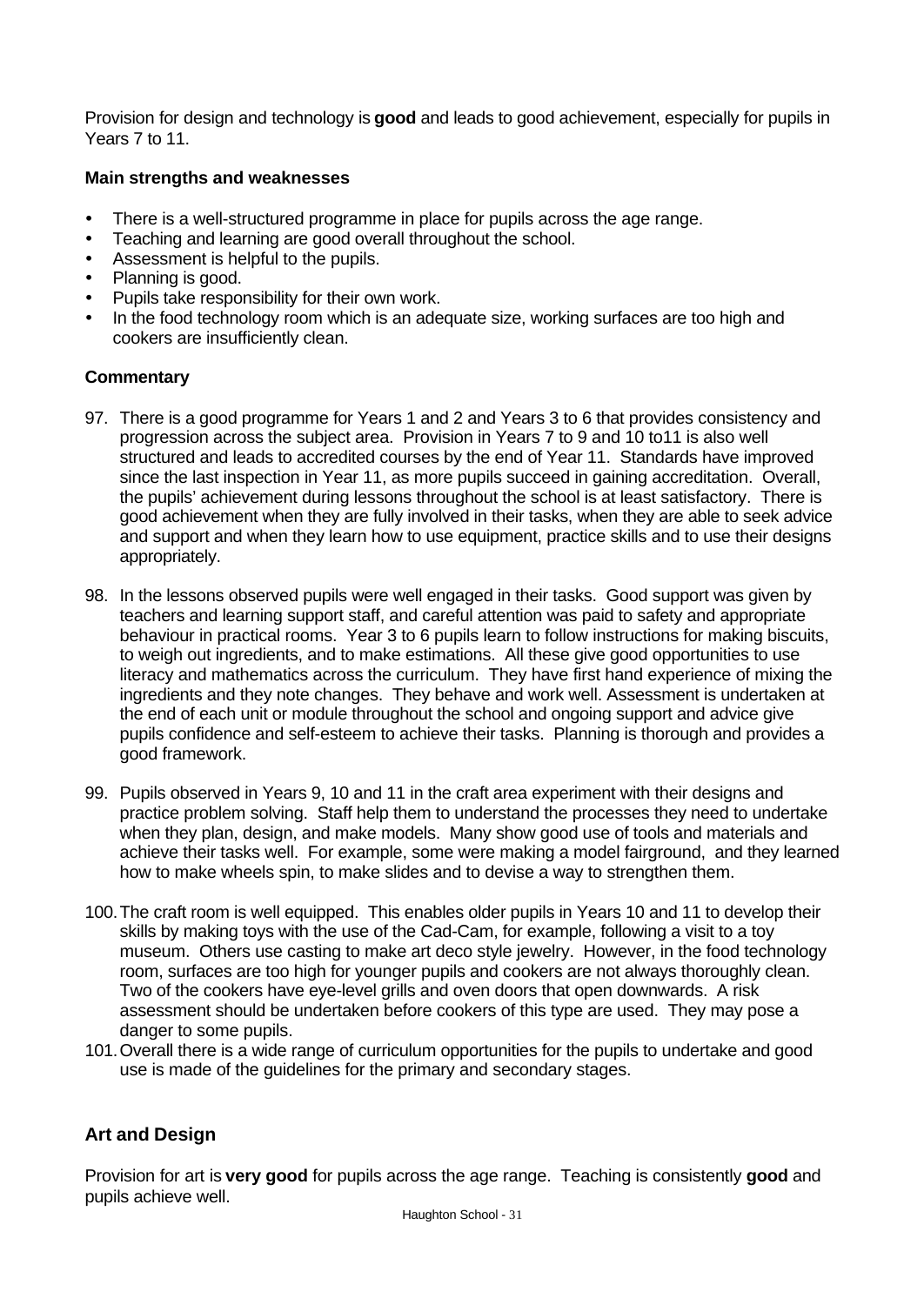Provision for design and technology is **good** and leads to good achievement, especially for pupils in Years 7 to 11.

### **Main strengths and weaknesses**

- There is a well-structured programme in place for pupils across the age range.
- Teaching and learning are good overall throughout the school.
- Assessment is helpful to the pupils.
- Planning is good.
- Pupils take responsibility for their own work.
- In the food technology room which is an adequate size, working surfaces are too high and cookers are insufficiently clean.

### **Commentary**

- 97. There is a good programme for Years 1 and 2 and Years 3 to 6 that provides consistency and progression across the subject area. Provision in Years 7 to 9 and 10 to11 is also well structured and leads to accredited courses by the end of Year 11. Standards have improved since the last inspection in Year 11, as more pupils succeed in gaining accreditation. Overall, the pupils' achievement during lessons throughout the school is at least satisfactory. There is good achievement when they are fully involved in their tasks, when they are able to seek advice and support and when they learn how to use equipment, practice skills and to use their designs appropriately.
- 98. In the lessons observed pupils were well engaged in their tasks. Good support was given by teachers and learning support staff, and careful attention was paid to safety and appropriate behaviour in practical rooms. Year 3 to 6 pupils learn to follow instructions for making biscuits, to weigh out ingredients, and to make estimations. All these give good opportunities to use literacy and mathematics across the curriculum. They have first hand experience of mixing the ingredients and they note changes. They behave and work well. Assessment is undertaken at the end of each unit or module throughout the school and ongoing support and advice give pupils confidence and self-esteem to achieve their tasks. Planning is thorough and provides a good framework.
- 99. Pupils observed in Years 9, 10 and 11 in the craft area experiment with their designs and practice problem solving. Staff help them to understand the processes they need to undertake when they plan, design, and make models. Many show good use of tools and materials and achieve their tasks well. For example, some were making a model fairground, and they learned how to make wheels spin, to make slides and to devise a way to strengthen them.
- 100.The craft room is well equipped. This enables older pupils in Years 10 and 11 to develop their skills by making toys with the use of the Cad-Cam, for example, following a visit to a toy museum. Others use casting to make art deco style jewelry. However, in the food technology room, surfaces are too high for younger pupils and cookers are not always thoroughly clean. Two of the cookers have eye-level grills and oven doors that open downwards. A risk assessment should be undertaken before cookers of this type are used. They may pose a danger to some pupils.
- 101.Overall there is a wide range of curriculum opportunities for the pupils to undertake and good use is made of the guidelines for the primary and secondary stages.

# **Art and Design**

Provision for art is **very good** for pupils across the age range. Teaching is consistently **good** and pupils achieve well.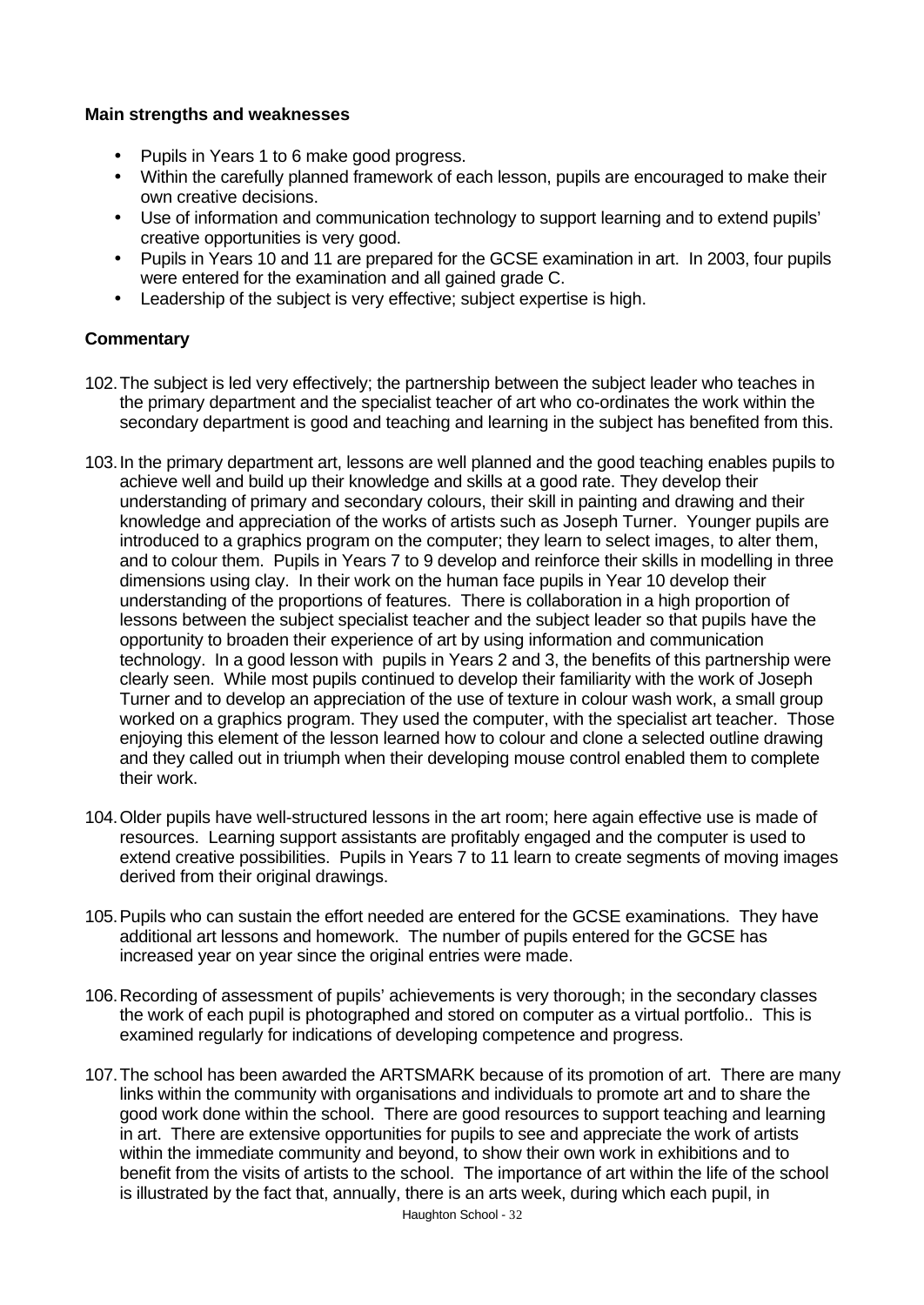#### **Main strengths and weaknesses**

- Pupils in Years 1 to 6 make good progress.
- Within the carefully planned framework of each lesson, pupils are encouraged to make their own creative decisions.
- Use of information and communication technology to support learning and to extend pupils' creative opportunities is very good.
- Pupils in Years 10 and 11 are prepared for the GCSE examination in art. In 2003, four pupils were entered for the examination and all gained grade C.
- Leadership of the subject is very effective; subject expertise is high.

- 102.The subject is led very effectively; the partnership between the subject leader who teaches in the primary department and the specialist teacher of art who co-ordinates the work within the secondary department is good and teaching and learning in the subject has benefited from this.
- 103.In the primary department art, lessons are well planned and the good teaching enables pupils to achieve well and build up their knowledge and skills at a good rate. They develop their understanding of primary and secondary colours, their skill in painting and drawing and their knowledge and appreciation of the works of artists such as Joseph Turner. Younger pupils are introduced to a graphics program on the computer; they learn to select images, to alter them, and to colour them. Pupils in Years 7 to 9 develop and reinforce their skills in modelling in three dimensions using clay. In their work on the human face pupils in Year 10 develop their understanding of the proportions of features. There is collaboration in a high proportion of lessons between the subject specialist teacher and the subject leader so that pupils have the opportunity to broaden their experience of art by using information and communication technology. In a good lesson with pupils in Years 2 and 3, the benefits of this partnership were clearly seen. While most pupils continued to develop their familiarity with the work of Joseph Turner and to develop an appreciation of the use of texture in colour wash work, a small group worked on a graphics program. They used the computer, with the specialist art teacher. Those enjoying this element of the lesson learned how to colour and clone a selected outline drawing and they called out in triumph when their developing mouse control enabled them to complete their work.
- 104.Older pupils have well-structured lessons in the art room; here again effective use is made of resources. Learning support assistants are profitably engaged and the computer is used to extend creative possibilities. Pupils in Years 7 to 11 learn to create segments of moving images derived from their original drawings.
- 105.Pupils who can sustain the effort needed are entered for the GCSE examinations. They have additional art lessons and homework. The number of pupils entered for the GCSE has increased year on year since the original entries were made.
- 106.Recording of assessment of pupils' achievements is very thorough; in the secondary classes the work of each pupil is photographed and stored on computer as a virtual portfolio.. This is examined regularly for indications of developing competence and progress.
- 107.The school has been awarded the ARTSMARK because of its promotion of art. There are many links within the community with organisations and individuals to promote art and to share the good work done within the school. There are good resources to support teaching and learning in art. There are extensive opportunities for pupils to see and appreciate the work of artists within the immediate community and beyond, to show their own work in exhibitions and to benefit from the visits of artists to the school. The importance of art within the life of the school is illustrated by the fact that, annually, there is an arts week, during which each pupil, in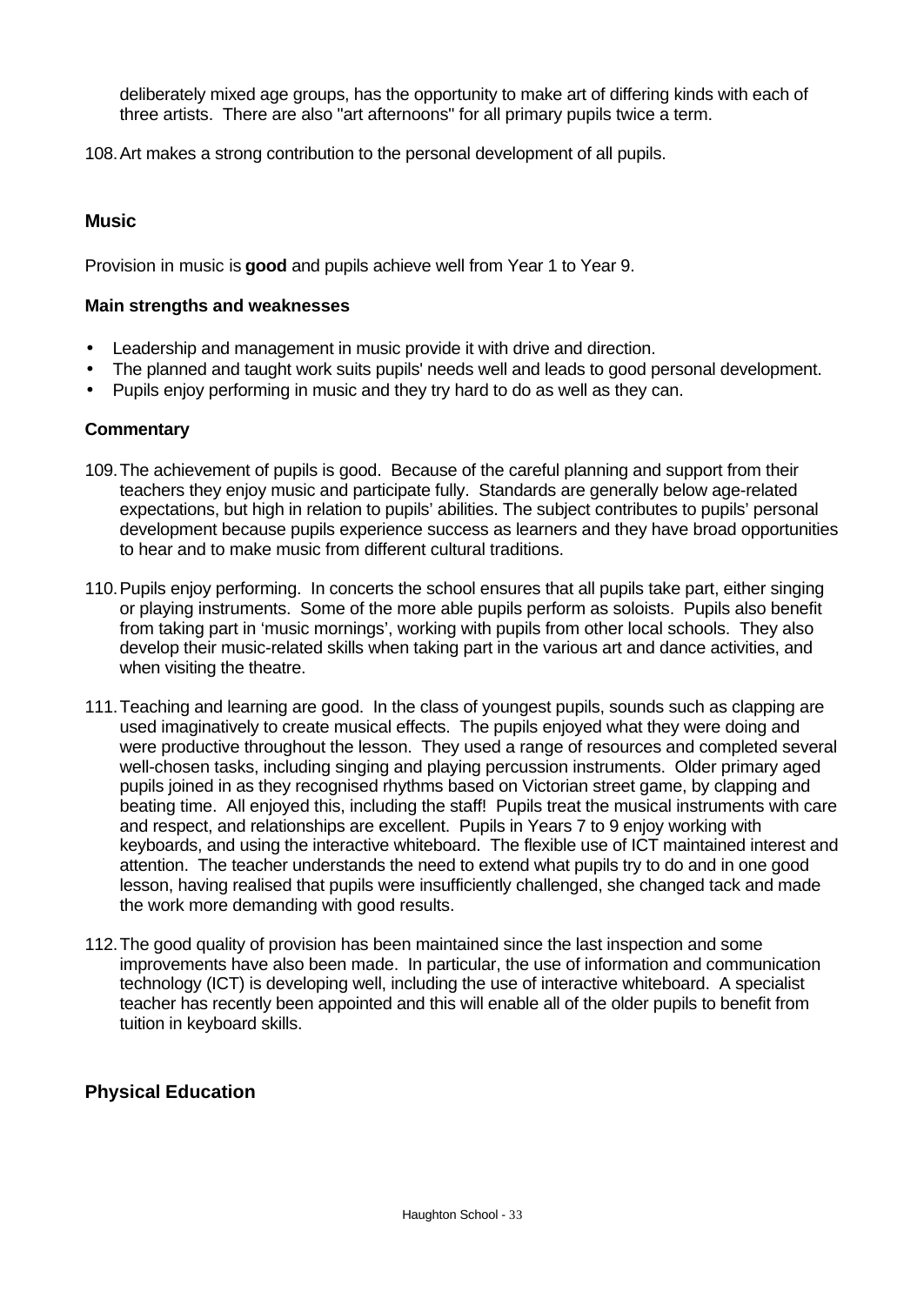deliberately mixed age groups, has the opportunity to make art of differing kinds with each of three artists. There are also "art afternoons" for all primary pupils twice a term.

108.Art makes a strong contribution to the personal development of all pupils.

### **Music**

Provision in music is **good** and pupils achieve well from Year 1 to Year 9.

### **Main strengths and weaknesses**

- Leadership and management in music provide it with drive and direction.
- The planned and taught work suits pupils' needs well and leads to good personal development.
- Pupils enjoy performing in music and they try hard to do as well as they can.

### **Commentary**

- 109.The achievement of pupils is good. Because of the careful planning and support from their teachers they enjoy music and participate fully. Standards are generally below age-related expectations, but high in relation to pupils' abilities. The subject contributes to pupils' personal development because pupils experience success as learners and they have broad opportunities to hear and to make music from different cultural traditions.
- 110.Pupils enjoy performing. In concerts the school ensures that all pupils take part, either singing or playing instruments. Some of the more able pupils perform as soloists. Pupils also benefit from taking part in 'music mornings', working with pupils from other local schools. They also develop their music-related skills when taking part in the various art and dance activities, and when visiting the theatre.
- 111.Teaching and learning are good. In the class of youngest pupils, sounds such as clapping are used imaginatively to create musical effects. The pupils enjoyed what they were doing and were productive throughout the lesson. They used a range of resources and completed several well-chosen tasks, including singing and playing percussion instruments. Older primary aged pupils joined in as they recognised rhythms based on Victorian street game, by clapping and beating time. All enjoyed this, including the staff! Pupils treat the musical instruments with care and respect, and relationships are excellent. Pupils in Years 7 to 9 enjoy working with keyboards, and using the interactive whiteboard. The flexible use of ICT maintained interest and attention. The teacher understands the need to extend what pupils try to do and in one good lesson, having realised that pupils were insufficiently challenged, she changed tack and made the work more demanding with good results.
- 112.The good quality of provision has been maintained since the last inspection and some improvements have also been made. In particular, the use of information and communication technology (ICT) is developing well, including the use of interactive whiteboard. A specialist teacher has recently been appointed and this will enable all of the older pupils to benefit from tuition in keyboard skills.

### **Physical Education**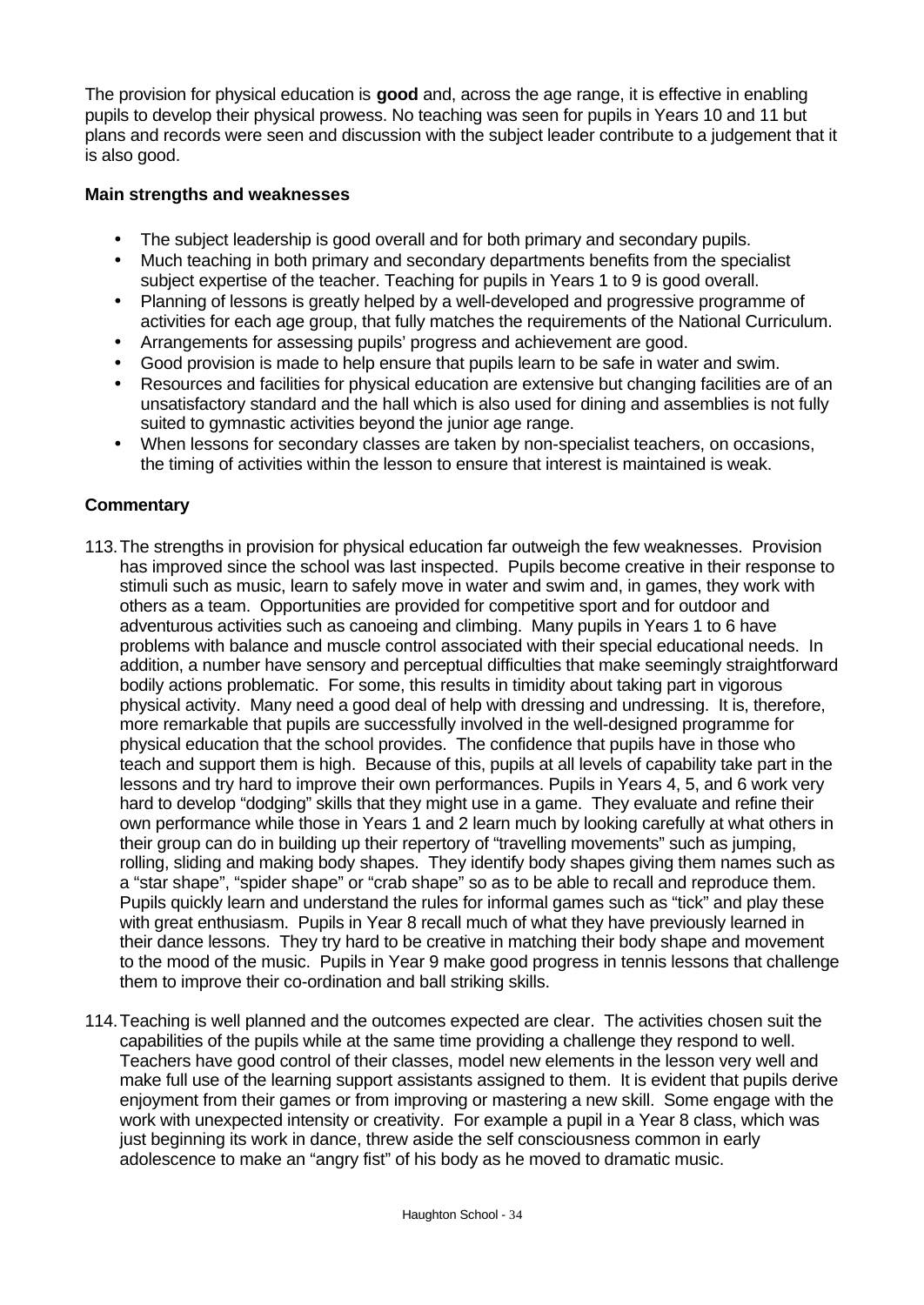The provision for physical education is **good** and, across the age range, it is effective in enabling pupils to develop their physical prowess. No teaching was seen for pupils in Years 10 and 11 but plans and records were seen and discussion with the subject leader contribute to a judgement that it is also good.

### **Main strengths and weaknesses**

- The subject leadership is good overall and for both primary and secondary pupils.
- Much teaching in both primary and secondary departments benefits from the specialist subject expertise of the teacher. Teaching for pupils in Years 1 to 9 is good overall.
- Planning of lessons is greatly helped by a well-developed and progressive programme of activities for each age group, that fully matches the requirements of the National Curriculum.
- Arrangements for assessing pupils' progress and achievement are good.
- Good provision is made to help ensure that pupils learn to be safe in water and swim.
- Resources and facilities for physical education are extensive but changing facilities are of an unsatisfactory standard and the hall which is also used for dining and assemblies is not fully suited to gymnastic activities beyond the junior age range.
- When lessons for secondary classes are taken by non-specialist teachers, on occasions, the timing of activities within the lesson to ensure that interest is maintained is weak.

- 113.The strengths in provision for physical education far outweigh the few weaknesses. Provision has improved since the school was last inspected. Pupils become creative in their response to stimuli such as music, learn to safely move in water and swim and, in games, they work with others as a team. Opportunities are provided for competitive sport and for outdoor and adventurous activities such as canoeing and climbing. Many pupils in Years 1 to 6 have problems with balance and muscle control associated with their special educational needs. In addition, a number have sensory and perceptual difficulties that make seemingly straightforward bodily actions problematic. For some, this results in timidity about taking part in vigorous physical activity. Many need a good deal of help with dressing and undressing. It is, therefore, more remarkable that pupils are successfully involved in the well-designed programme for physical education that the school provides. The confidence that pupils have in those who teach and support them is high. Because of this, pupils at all levels of capability take part in the lessons and try hard to improve their own performances. Pupils in Years 4, 5, and 6 work very hard to develop "dodging" skills that they might use in a game. They evaluate and refine their own performance while those in Years 1 and 2 learn much by looking carefully at what others in their group can do in building up their repertory of "travelling movements" such as jumping, rolling, sliding and making body shapes. They identify body shapes giving them names such as a "star shape", "spider shape" or "crab shape" so as to be able to recall and reproduce them. Pupils quickly learn and understand the rules for informal games such as "tick" and play these with great enthusiasm. Pupils in Year 8 recall much of what they have previously learned in their dance lessons. They try hard to be creative in matching their body shape and movement to the mood of the music. Pupils in Year 9 make good progress in tennis lessons that challenge them to improve their co-ordination and ball striking skills.
- 114.Teaching is well planned and the outcomes expected are clear. The activities chosen suit the capabilities of the pupils while at the same time providing a challenge they respond to well. Teachers have good control of their classes, model new elements in the lesson very well and make full use of the learning support assistants assigned to them. It is evident that pupils derive enjoyment from their games or from improving or mastering a new skill. Some engage with the work with unexpected intensity or creativity. For example a pupil in a Year 8 class, which was just beginning its work in dance, threw aside the self consciousness common in early adolescence to make an "angry fist" of his body as he moved to dramatic music.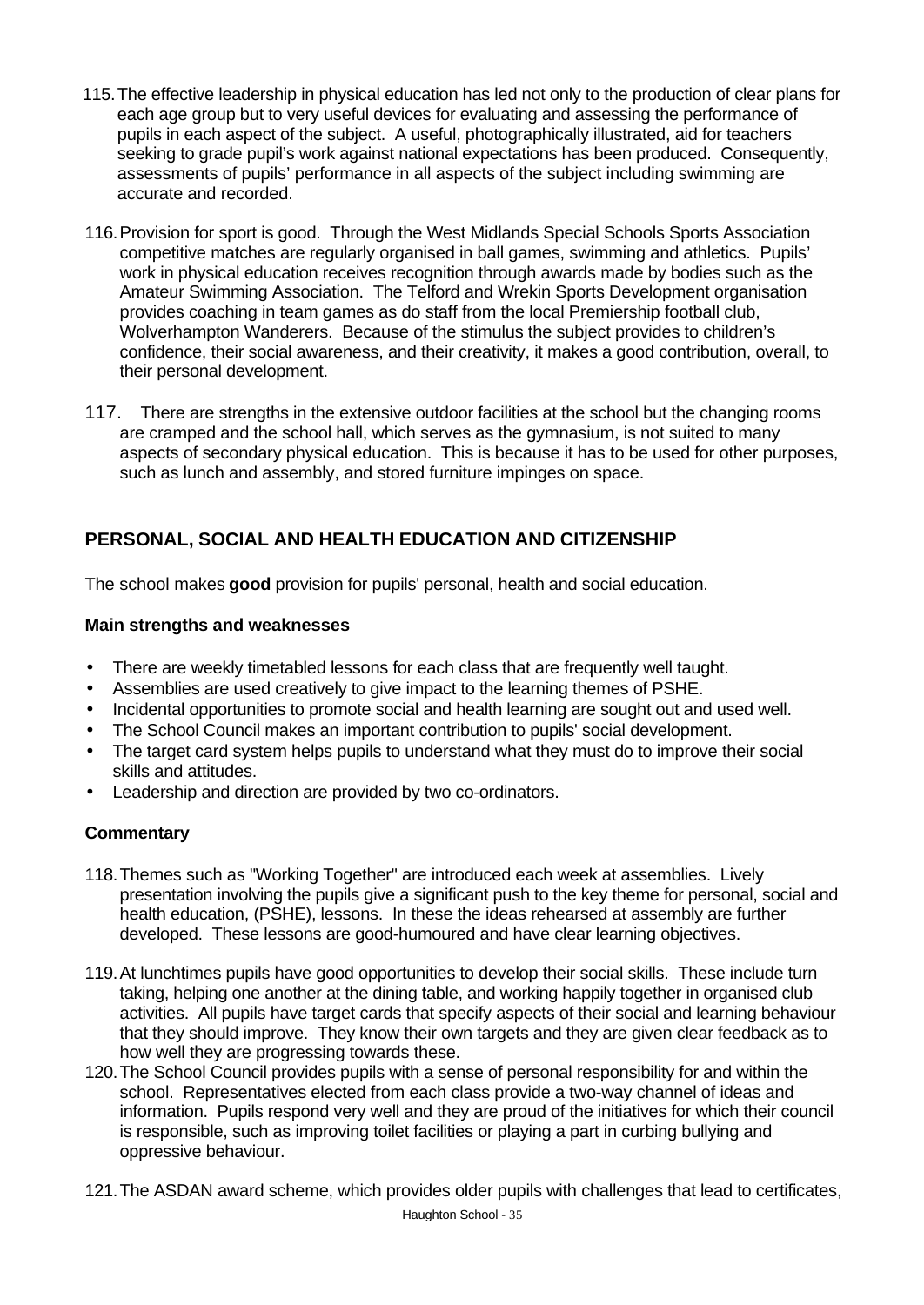- 115.The effective leadership in physical education has led not only to the production of clear plans for each age group but to very useful devices for evaluating and assessing the performance of pupils in each aspect of the subject. A useful, photographically illustrated, aid for teachers seeking to grade pupil's work against national expectations has been produced. Consequently, assessments of pupils' performance in all aspects of the subject including swimming are accurate and recorded.
- 116.Provision for sport is good. Through the West Midlands Special Schools Sports Association competitive matches are regularly organised in ball games, swimming and athletics. Pupils' work in physical education receives recognition through awards made by bodies such as the Amateur Swimming Association. The Telford and Wrekin Sports Development organisation provides coaching in team games as do staff from the local Premiership football club, Wolverhampton Wanderers. Because of the stimulus the subject provides to children's confidence, their social awareness, and their creativity, it makes a good contribution, overall, to their personal development.
- 117. There are strengths in the extensive outdoor facilities at the school but the changing rooms are cramped and the school hall, which serves as the gymnasium, is not suited to many aspects of secondary physical education. This is because it has to be used for other purposes, such as lunch and assembly, and stored furniture impinges on space.

# **PERSONAL, SOCIAL AND HEALTH EDUCATION AND CITIZENSHIP**

The school makes **good** provision for pupils' personal, health and social education.

### **Main strengths and weaknesses**

- There are weekly timetabled lessons for each class that are frequently well taught.
- Assemblies are used creatively to give impact to the learning themes of PSHE.
- Incidental opportunities to promote social and health learning are sought out and used well.
- The School Council makes an important contribution to pupils' social development.
- The target card system helps pupils to understand what they must do to improve their social skills and attitudes.
- Leadership and direction are provided by two co-ordinators.

- 118.Themes such as "Working Together" are introduced each week at assemblies. Lively presentation involving the pupils give a significant push to the key theme for personal, social and health education, (PSHE), lessons. In these the ideas rehearsed at assembly are further developed. These lessons are good-humoured and have clear learning objectives.
- 119.At lunchtimes pupils have good opportunities to develop their social skills. These include turn taking, helping one another at the dining table, and working happily together in organised club activities. All pupils have target cards that specify aspects of their social and learning behaviour that they should improve. They know their own targets and they are given clear feedback as to how well they are progressing towards these.
- 120.The School Council provides pupils with a sense of personal responsibility for and within the school. Representatives elected from each class provide a two-way channel of ideas and information. Pupils respond very well and they are proud of the initiatives for which their council is responsible, such as improving toilet facilities or playing a part in curbing bullying and oppressive behaviour.
- 121.The ASDAN award scheme, which provides older pupils with challenges that lead to certificates,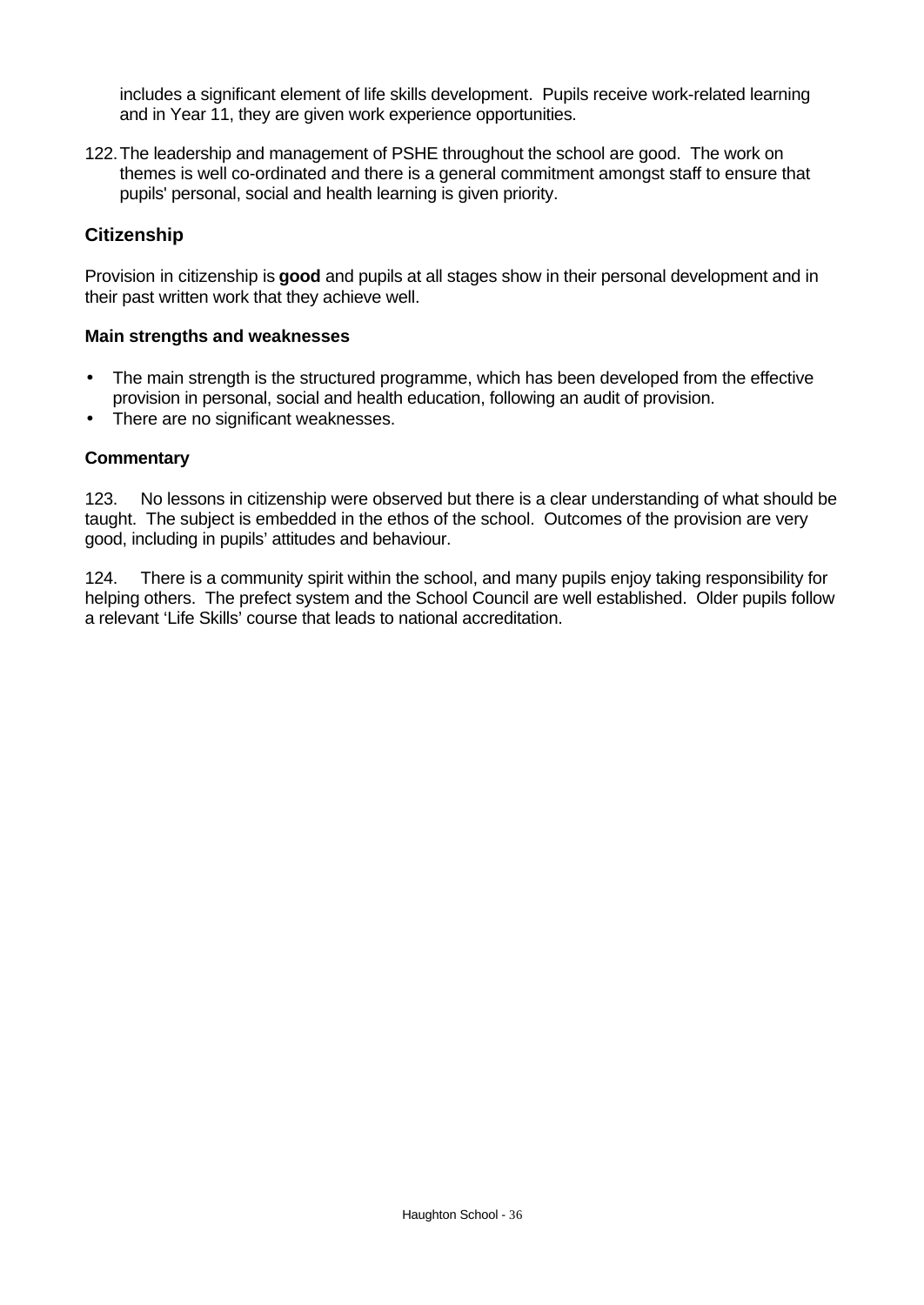includes a significant element of life skills development. Pupils receive work-related learning and in Year 11, they are given work experience opportunities.

122.The leadership and management of PSHE throughout the school are good. The work on themes is well co-ordinated and there is a general commitment amongst staff to ensure that pupils' personal, social and health learning is given priority.

### **Citizenship**

Provision in citizenship is **good** and pupils at all stages show in their personal development and in their past written work that they achieve well.

#### **Main strengths and weaknesses**

- The main strength is the structured programme, which has been developed from the effective provision in personal, social and health education, following an audit of provision.
- There are no significant weaknesses.

#### **Commentary**

123. No lessons in citizenship were observed but there is a clear understanding of what should be taught. The subject is embedded in the ethos of the school. Outcomes of the provision are very good, including in pupils' attitudes and behaviour.

124. There is a community spirit within the school, and many pupils enjoy taking responsibility for helping others. The prefect system and the School Council are well established. Older pupils follow a relevant 'Life Skills' course that leads to national accreditation.